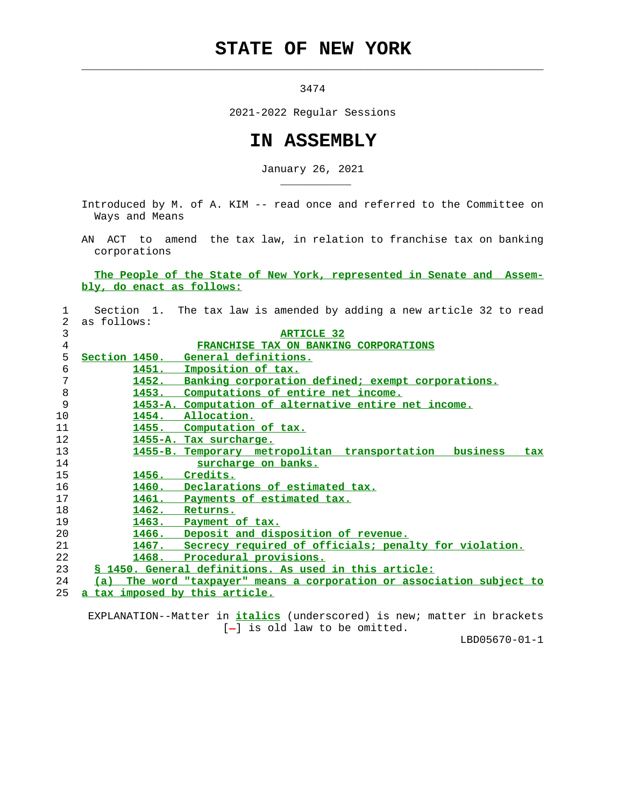## **STATE OF NEW YORK**

 $\mathcal{L}_\text{max} = \frac{1}{2} \sum_{i=1}^{n} \frac{1}{2} \sum_{i=1}^{n} \frac{1}{2} \sum_{i=1}^{n} \frac{1}{2} \sum_{i=1}^{n} \frac{1}{2} \sum_{i=1}^{n} \frac{1}{2} \sum_{i=1}^{n} \frac{1}{2} \sum_{i=1}^{n} \frac{1}{2} \sum_{i=1}^{n} \frac{1}{2} \sum_{i=1}^{n} \frac{1}{2} \sum_{i=1}^{n} \frac{1}{2} \sum_{i=1}^{n} \frac{1}{2} \sum_{i=1}^{n} \frac{1$ 

\_\_\_\_\_\_\_\_\_\_\_

3474

2021-2022 Regular Sessions

## **IN ASSEMBLY**

January 26, 2021

 Introduced by M. of A. KIM -- read once and referred to the Committee on Ways and Means

 AN ACT to amend the tax law, in relation to franchise tax on banking corporations

 **The People of the State of New York, represented in Senate and Assem bly, do enact as follows:**

| 1              | Section 1. The tax law is amended by adding a new article 32 to read     |
|----------------|--------------------------------------------------------------------------|
| $\mathfrak{D}$ | as follows:                                                              |
| 3              | <b>ARTICLE 32</b>                                                        |
| 4              | FRANCHISE TAX ON BANKING CORPORATIONS                                    |
| 5              | Section 1450. General definitions.                                       |
| 6              | 1451.<br>Imposition of tax.                                              |
| 7              | Banking corporation defined; exempt corporations.<br>1452.               |
| 8              | 1453.<br>Computations of entire net income.                              |
| 9              | 1453-A. Computation of alternative entire net income.                    |
| 10             | Allocation.<br>1454.                                                     |
| 11             | 1455. Computation of tax.                                                |
| 12             | 1455-A. Tax surcharge.                                                   |
| 13             | 1455-B. Temporary metropolitan transportation business<br>tax            |
| 14             | surcharge on banks.                                                      |
| 15             | 1456. Credits.                                                           |
| 16             | 1460. Declarations of estimated tax.                                     |
| 17             | 1461. Payments of estimated tax.                                         |
| 18             | 1462.<br>Returns.                                                        |
| 19             | 1463.<br>Payment of tax.                                                 |
| 20             | 1466. Deposit and disposition of revenue.                                |
| 21             | Secrecy required of officials; penalty for violation.<br>1467.           |
| 22             | 1468. Procedural provisions.                                             |
| 23             | § 1450. General definitions. As used in this article:                    |
| 24             | The word "taxpayer" means a corporation or association subject to<br>(a) |
| 25             | a tax imposed by this article.                                           |

 EXPLANATION--Matter in **italics** (underscored) is new; matter in brackets [-] is old law to be omitted.

LBD05670-01-1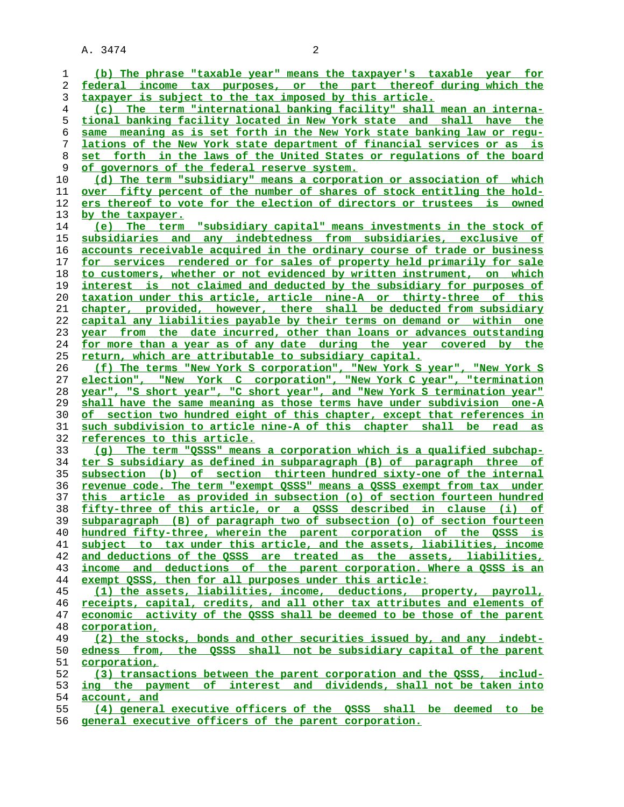**(b) The phrase "taxable year" means the taxpayer's taxable year for federal income tax purposes, or the part thereof during which the taxpayer is subject to the tax imposed by this article. (c) The term "international banking facility" shall mean an interna- tional banking facility located in New York state and shall have the same meaning as is set forth in the New York state banking law or regu- lations of the New York state department of financial services or as is set forth in the laws of the United States or regulations of the board** of governors of the federal reserve system. **(d) The term "subsidiary" means a corporation or association of which over fifty percent of the number of shares of stock entitling the hold- ers thereof to vote for the election of directors or trustees is owned by the taxpayer. (e) The term "subsidiary capital" means investments in the stock of subsidiaries and any indebtedness from subsidiaries, exclusive of accounts receivable acquired in the ordinary course of trade or business for services rendered or for sales of property held primarily for sale to customers, whether or not evidenced by written instrument, on which interest is not claimed and deducted by the subsidiary for purposes of taxation under this article, article nine-A or thirty-three of this chapter, provided, however, there shall be deducted from subsidiary capital any liabilities payable by their terms on demand or within one year from the date incurred, other than loans or advances outstanding for more than a year as of any date during the year covered by the return, which are attributable to subsidiary capital. (f) The terms "New York S corporation", "New York S year", "New York S election", "New York C corporation", "New York C year", "termination year", "S short year", "C short year", and "New York S termination year" shall have the same meaning as those terms have under subdivision one-A of section two hundred eight of this chapter, except that references in such subdivision to article nine-A of this chapter shall be read as references to this article. (g) The term "QSSS" means a corporation which is a qualified subchap- ter S subsidiary as defined in subparagraph (B) of paragraph three of subsection (b) of section thirteen hundred sixty-one of the internal revenue code. The term "exempt QSSS" means a QSSS exempt from tax under this article as provided in subsection (o) of section fourteen hundred fifty-three of this article, or a QSSS described in clause (i) of subparagraph (B) of paragraph two of subsection (o) of section fourteen hundred fifty-three, wherein the parent corporation of the QSSS is subject to tax under this article, and the assets, liabilities, income and deductions of the QSSS are treated as the assets, liabilities, income and deductions of the parent corporation. Where a QSSS is an exempt QSSS, then for all purposes under this article: (1) the assets, liabilities, income, deductions, property, payroll, receipts, capital, credits, and all other tax attributes and elements of economic activity of the QSSS shall be deemed to be those of the parent corporation, (2) the stocks, bonds and other securities issued by, and any indebt- edness from, the QSSS shall not be subsidiary capital of the parent corporation, (3) transactions between the parent corporation and the QSSS, includ- ing the payment of interest and dividends, shall not be taken into account, and (4) general executive officers of the QSSS shall be deemed to be general executive officers of the parent corporation.**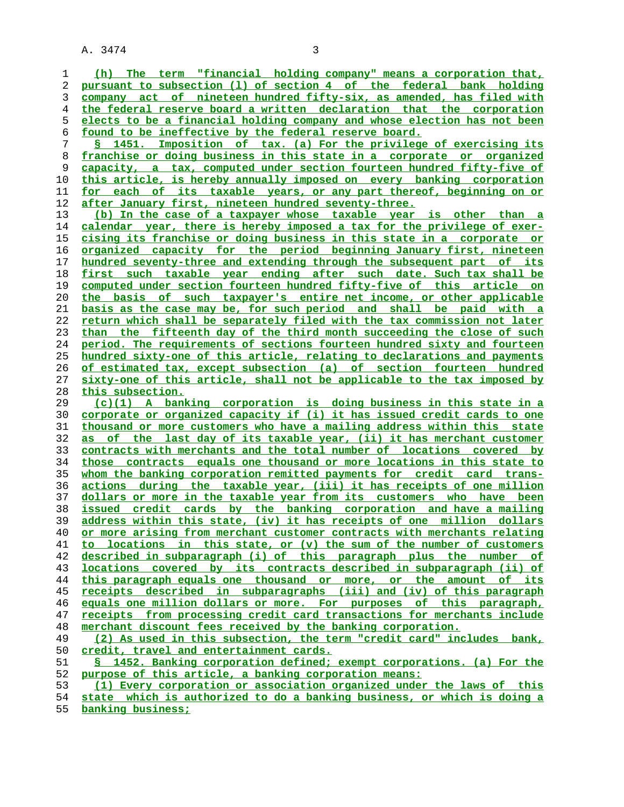**(h) The term "financial holding company" means a corporation that, pursuant to subsection (l) of section 4 of the federal bank holding company act of nineteen hundred fifty-six, as amended, has filed with the federal reserve board a written declaration that the corporation elects to be a financial holding company and whose election has not been found to be ineffective by the federal reserve board. § 1451. Imposition of tax. (a) For the privilege of exercising its franchise or doing business in this state in a corporate or organized capacity, a tax, computed under section fourteen hundred fifty-five of this article, is hereby annually imposed on every banking corporation**

**for each of its taxable years, or any part thereof, beginning on or after January first, nineteen hundred seventy-three. (b) In the case of a taxpayer whose taxable year is other than a calendar year, there is hereby imposed a tax for the privilege of exer-**

**cising its franchise or doing business in this state in a corporate or organized capacity for the period beginning January first, nineteen hundred seventy-three and extending through the subsequent part of its first such taxable year ending after such date. Such tax shall be computed under section fourteen hundred fifty-five of this article on the basis of such taxpayer's entire net income, or other applicable basis as the case may be, for such period and shall be paid with a return which shall be separately filed with the tax commission not later than the fifteenth day of the third month succeeding the close of such period. The requirements of sections fourteen hundred sixty and fourteen hundred sixty-one of this article, relating to declarations and payments of estimated tax, except subsection (a) of section fourteen hundred sixty-one of this article, shall not be applicable to the tax imposed by this subsection.**

**(c)(1) A banking corporation is doing business in this state in a corporate or organized capacity if (i) it has issued credit cards to one thousand or more customers who have a mailing address within this state as of the last day of its taxable year, (ii) it has merchant customer contracts with merchants and the total number of locations covered by those contracts equals one thousand or more locations in this state to whom the banking corporation remitted payments for credit card trans- actions during the taxable year, (iii) it has receipts of one million dollars or more in the taxable year from its customers who have been issued credit cards by the banking corporation and have a mailing address within this state, (iv) it has receipts of one million dollars or more arising from merchant customer contracts with merchants relating to locations in this state, or (v) the sum of the number of customers described in subparagraph (i) of this paragraph plus the number of locations covered by its contracts described in subparagraph (ii) of this paragraph equals one thousand or more, or the amount of its receipts described in subparagraphs (iii) and (iv) of this paragraph equals one million dollars or more. For purposes of this paragraph, receipts from processing credit card transactions for merchants include merchant discount fees received by the banking corporation. (2) As used in this subsection, the term "credit card" includes bank, credit, travel and entertainment cards.**

**§ 1452. Banking corporation defined; exempt corporations. (a) For the purpose of this article, a banking corporation means:**

**(1) Every corporation or association organized under the laws of this**

**state which is authorized to do a banking business, or which is doing a banking business;**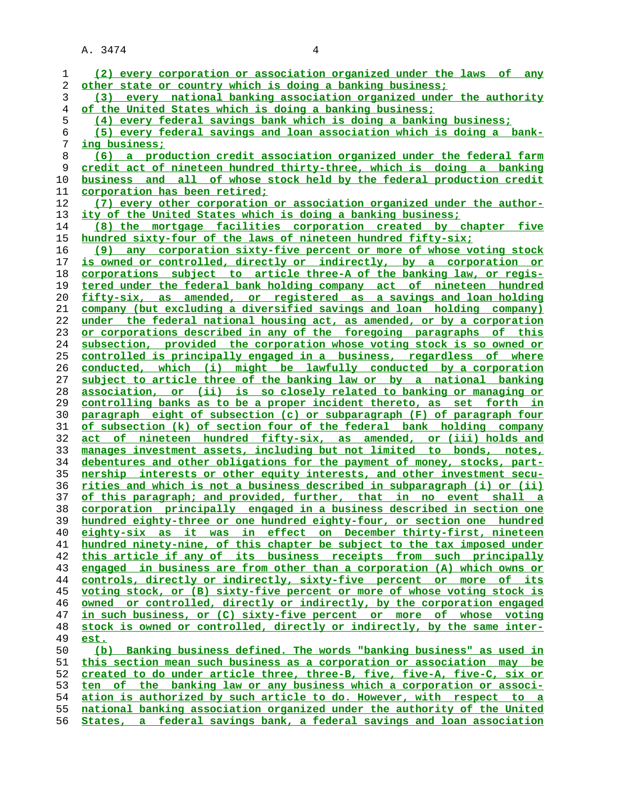| 1  | (2) every corporation or association organized under the laws of any     |
|----|--------------------------------------------------------------------------|
| 2  | other state or country which is doing a banking business;                |
|    | every national banking association organized under the authority         |
| 3  | (3)                                                                      |
| 4  | of the United States which is doing a banking business;                  |
| 5  | (4) every federal savings bank which is doing a banking business;        |
| 6  | (5) every federal savings and loan association which is doing a bank-    |
| 7  | ing business;                                                            |
| 8  | (6) a production credit association organized under the federal farm     |
| 9  | credit act of nineteen hundred thirty-three, which is doing a banking    |
| 10 | business and all of whose stock held by the federal production credit    |
| 11 | corporation has been retired;                                            |
| 12 | (7) every other corporation or association organized under the author-   |
| 13 | ity of the United States which is doing a banking business;              |
| 14 | (8) the mortgage facilities corporation created by chapter five          |
| 15 | hundred sixty-four of the laws of nineteen hundred fifty-six;            |
|    |                                                                          |
| 16 | any corporation sixty-five percent or more of whose voting stock<br>(9)  |
| 17 | is owned or controlled, directly or indirectly, by a corporation or      |
| 18 | corporations subject to article three-A of the banking law, or regis-    |
| 19 | tered under the federal bank holding company act of nineteen hundred     |
| 20 | fifty-six, as amended, or registered as a savings and loan holding       |
| 21 | company (but excluding a diversified savings and loan holding company)   |
| 22 | under the federal national housing act, as amended, or by a corporation  |
| 23 | or corporations described in any of the foregoing paragraphs of this     |
| 24 | subsection, provided the corporation whose voting stock is so owned or   |
| 25 | controlled is principally engaged in a business, regardless of where     |
| 26 | conducted, which (i) might be lawfully conducted by a corporation        |
| 27 | subject to article three of the banking law or by a national banking     |
| 28 | association, or (ii) is so closely related to banking or managing or     |
| 29 | controlling banks as to be a proper incident thereto, as set forth in    |
| 30 | paragraph eight of subsection (c) or subparagraph (F) of paragraph four  |
| 31 | of subsection (k) of section four of the federal bank holding company    |
| 32 | act of nineteen hundred fifty-six, as amended, or (iii) holds and        |
| 33 | manages investment assets, including but not limited to bonds, notes,    |
|    |                                                                          |
| 34 | debentures and other obligations for the payment of money, stocks, part- |
| 35 | nership interests or other equity interests, and other investment secu-  |
| 36 | rities and which is not a business described in subparagraph (i) or (ii) |
| 37 | of this paragraph; and provided, further, that in no event shall a       |
| 38 | corporation principally engaged in a business described in section one   |
| 39 | hundred eighty-three or one hundred eighty-four, or section one hundred  |
| 40 | eighty-six as it was in effect on December thirty-first, nineteen        |
| 41 | hundred ninety-nine, of this chapter be subject to the tax imposed under |
| 42 | this article if any of its business receipts from such principally       |
| 43 | engaged in business are from other than a corporation (A) which owns or  |
| 44 | controls, directly or indirectly, sixty-five percent or more of its      |
| 45 | voting stock, or (B) sixty-five percent or more of whose voting stock is |
| 46 | owned or controlled, directly or indirectly, by the corporation engaged  |
| 47 | in such business, or (C) sixty-five percent or more of whose voting      |
| 48 | stock is owned or controlled, directly or indirectly, by the same inter- |
| 49 | est.                                                                     |
| 50 | (b) Banking business defined. The words "banking business" as used in    |
| 51 | this section mean such business as a corporation or association may be   |
| 52 | created to do under article three, three-B, five, five-A, five-C, six or |
| 53 | ten of the banking law or any business which a corporation or associ-    |
| 54 | ation is authorized by such article to do. However, with respect to a    |
| 55 | national banking association organized under the authority of the United |
| 56 | States, a federal savings bank, a federal savings and loan association   |
|    |                                                                          |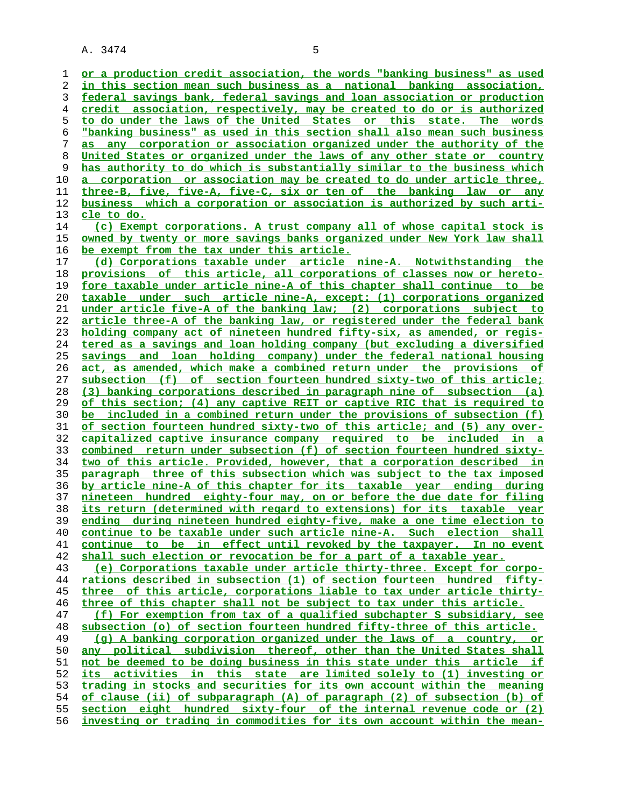**or a production credit association, the words "banking business" as used in this section mean such business as a national banking association, federal savings bank, federal savings and loan association or production credit association, respectively, may be created to do or is authorized to do under the laws of the United States or this state. The words "banking business" as used in this section shall also mean such business as any corporation or association organized under the authority of the United States or organized under the laws of any other state or country has authority to do which is substantially similar to the business which a corporation or association may be created to do under article three, three-B, five, five-A, five-C, six or ten of the banking law or any business which a corporation or association is authorized by such arti- cle to do. (c) Exempt corporations. A trust company all of whose capital stock is owned by twenty or more savings banks organized under New York law shall be exempt from the tax under this article. (d) Corporations taxable under article nine-A. Notwithstanding the provisions of this article, all corporations of classes now or hereto- fore taxable under article nine-A of this chapter shall continue to be taxable under such article nine-A, except: (1) corporations organized under article five-A of the banking law; (2) corporations subject to article three-A of the banking law, or registered under the federal bank holding company act of nineteen hundred fifty-six, as amended, or regis- tered as a savings and loan holding company (but excluding a diversified savings and loan holding company) under the federal national housing act, as amended, which make a combined return under the provisions of subsection (f) of section fourteen hundred sixty-two of this article; (3) banking corporations described in paragraph nine of subsection (a) of this section; (4) any captive REIT or captive RIC that is required to be included in a combined return under the provisions of subsection (f) of section fourteen hundred sixty-two of this article; and (5) any over- capitalized captive insurance company required to be included in a combined return under subsection (f) of section fourteen hundred sixty- two of this article. Provided, however, that a corporation described in paragraph three of this subsection which was subject to the tax imposed by article nine-A of this chapter for its taxable year ending during nineteen hundred eighty-four may, on or before the due date for filing its return (determined with regard to extensions) for its taxable year ending during nineteen hundred eighty-five, make a one time election to continue to be taxable under such article nine-A. Such election shall continue to be in effect until revoked by the taxpayer. In no event shall such election or revocation be for a part of a taxable year. (e) Corporations taxable under article thirty-three. Except for corpo- rations described in subsection (1) of section fourteen hundred fifty- three of this article, corporations liable to tax under article thirty- three of this chapter shall not be subject to tax under this article. (f) For exemption from tax of a qualified subchapter S subsidiary, see subsection (o) of section fourteen hundred fifty-three of this article. (g) A banking corporation organized under the laws of a country, or any political subdivision thereof, other than the United States shall not be deemed to be doing business in this state under this article if its activities in this state are limited solely to (1) investing or trading in stocks and securities for its own account within the meaning of clause (ii) of subparagraph (A) of paragraph (2) of subsection (b) of section eight hundred sixty-four of the internal revenue code or (2) investing or trading in commodities for its own account within the mean-**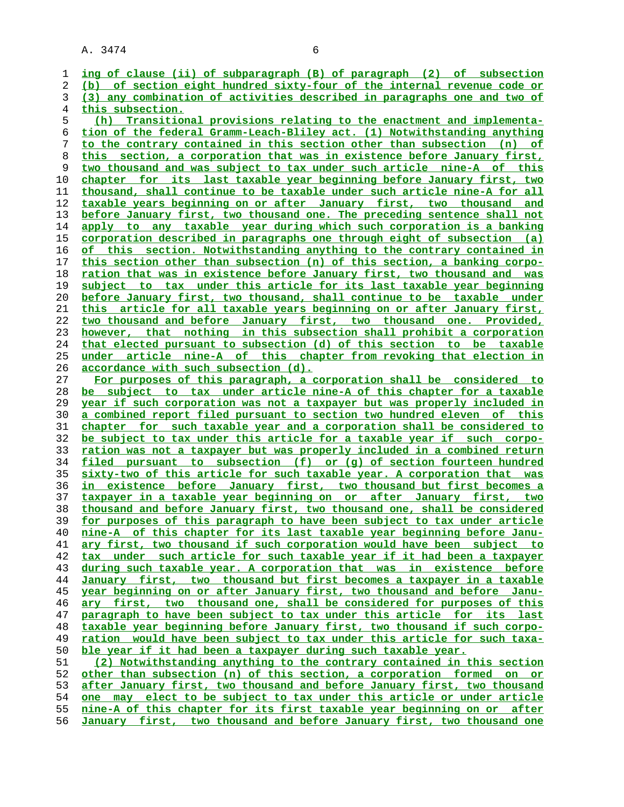**ing of clause (ii) of subparagraph (B) of paragraph (2) of subsection (b) of section eight hundred sixty-four of the internal revenue code or (3) any combination of activities described in paragraphs one and two of this subsection. (h) Transitional provisions relating to the enactment and implementa- tion of the federal Gramm-Leach-Bliley act. (1) Notwithstanding anything to the contrary contained in this section other than subsection (n) of this section, a corporation that was in existence before January first, two thousand and was subject to tax under such article nine-A of this chapter for its last taxable year beginning before January first, two thousand, shall continue to be taxable under such article nine-A for all taxable years beginning on or after January first, two thousand and before January first, two thousand one. The preceding sentence shall not apply to any taxable year during which such corporation is a banking corporation described in paragraphs one through eight of subsection (a) of this section. Notwithstanding anything to the contrary contained in this section other than subsection (n) of this section, a banking corpo- ration that was in existence before January first, two thousand and was subject to tax under this article for its last taxable year beginning before January first, two thousand, shall continue to be taxable under this article for all taxable years beginning on or after January first, two thousand and before January first, two thousand one. Provided, however, that nothing in this subsection shall prohibit a corporation that elected pursuant to subsection (d) of this section to be taxable under article nine-A of this chapter from revoking that election in accordance with such subsection (d). For purposes of this paragraph, a corporation shall be considered to be subject to tax under article nine-A of this chapter for a taxable year if such corporation was not a taxpayer but was properly included in a combined report filed pursuant to section two hundred eleven of this chapter for such taxable year and a corporation shall be considered to be subject to tax under this article for a taxable year if such corpo- ration was not a taxpayer but was properly included in a combined return filed pursuant to subsection (f) or (g) of section fourteen hundred sixty-two of this article for such taxable year. A corporation that was in existence before January first, two thousand but first becomes a taxpayer in a taxable year beginning on or after January first, two thousand and before January first, two thousand one, shall be considered for purposes of this paragraph to have been subject to tax under article nine-A of this chapter for its last taxable year beginning before Janu- ary first, two thousand if such corporation would have been subject to tax under such article for such taxable year if it had been a taxpayer during such taxable year. A corporation that was in existence before January first, two thousand but first becomes a taxpayer in a taxable year beginning on or after January first, two thousand and before Janu- ary first, two thousand one, shall be considered for purposes of this paragraph to have been subject to tax under this article for its last taxable year beginning before January first, two thousand if such corpo- ration would have been subject to tax under this article for such taxa- ble year if it had been a taxpayer during such taxable year. (2) Notwithstanding anything to the contrary contained in this section other than subsection (n) of this section, a corporation formed on or after January first, two thousand and before January first, two thousand one may elect to be subject to tax under this article or under article nine-A of this chapter for its first taxable year beginning on or after January first, two thousand and before January first, two thousand one**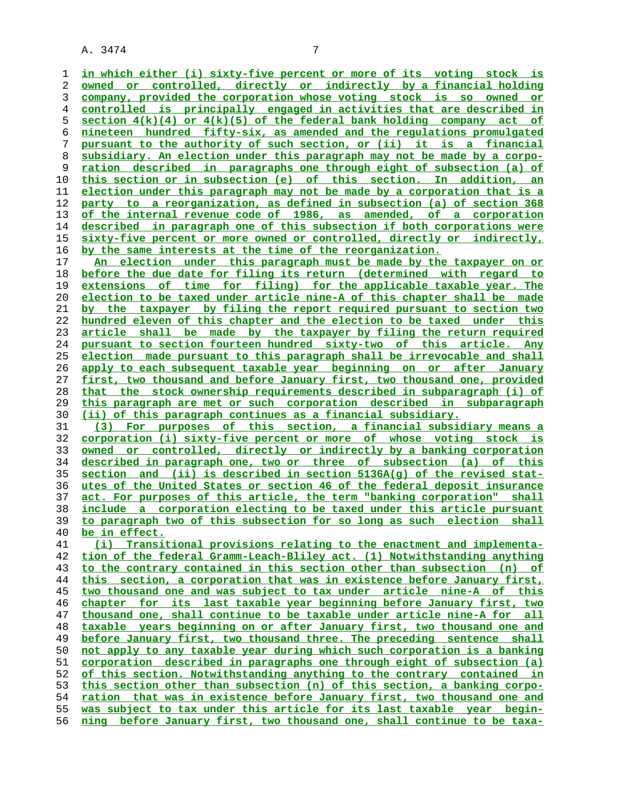**in which either (i) sixty-five percent or more of its voting stock is owned or controlled, directly or indirectly by a financial holding company, provided the corporation whose voting stock is so owned or controlled is principally engaged in activities that are described in section 4(k)(4) or 4(k)(5) of the federal bank holding company act of nineteen hundred fifty-six, as amended and the regulations promulgated pursuant to the authority of such section, or (ii) it is a financial subsidiary. An election under this paragraph may not be made by a corpo- ration described in paragraphs one through eight of subsection (a) of this section or in subsection (e) of this section. In addition, an election under this paragraph may not be made by a corporation that is a party to a reorganization, as defined in subsection (a) of section 368 of the internal revenue code of 1986, as amended, of a corporation described in paragraph one of this subsection if both corporations were sixty-five percent or more owned or controlled, directly or indirectly, by the same interests at the time of the reorganization. An election under this paragraph must be made by the taxpayer on or**

**before the due date for filing its return (determined with regard to extensions of time for filing) for the applicable taxable year. The election to be taxed under article nine-A of this chapter shall be made by the taxpayer by filing the report required pursuant to section two hundred eleven of this chapter and the election to be taxed under this article shall be made by the taxpayer by filing the return required pursuant to section fourteen hundred sixty-two of this article. Any election made pursuant to this paragraph shall be irrevocable and shall apply to each subsequent taxable year beginning on or after January first, two thousand and before January first, two thousand one, provided that the stock ownership requirements described in subparagraph (i) of this paragraph are met or such corporation described in subparagraph (ii) of this paragraph continues as a financial subsidiary.**

**(3) For purposes of this section, a financial subsidiary means a corporation (i) sixty-five percent or more of whose voting stock is owned or controlled, directly or indirectly by a banking corporation described in paragraph one, two or three of subsection (a) of this section and (ii) is described in section 5136A(g) of the revised stat- utes of the United States or section 46 of the federal deposit insurance act. For purposes of this article, the term "banking corporation" shall include a corporation electing to be taxed under this article pursuant to paragraph two of this subsection for so long as such election shall be in effect.**

**(i) Transitional provisions relating to the enactment and implementa- tion of the federal Gramm-Leach-Bliley act. (1) Notwithstanding anything to the contrary contained in this section other than subsection (n) of this section, a corporation that was in existence before January first, two thousand one and was subject to tax under article nine-A of this chapter for its last taxable year beginning before January first, two thousand one, shall continue to be taxable under article nine-A for all taxable years beginning on or after January first, two thousand one and** before January first, two thousand three. The preceding sentence shall **not apply to any taxable year during which such corporation is a banking corporation described in paragraphs one through eight of subsection (a) of this section. Notwithstanding anything to the contrary contained in this section other than subsection (n) of this section, a banking corpo- ration that was in existence before January first, two thousand one and was subject to tax under this article for its last taxable year begin- ning before January first, two thousand one, shall continue to be taxa-**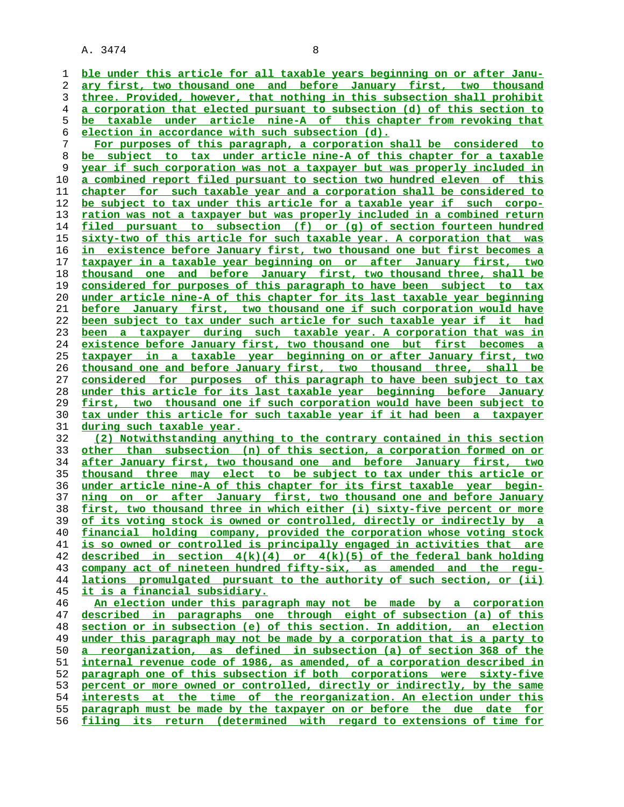**ble under this article for all taxable years beginning on or after Janu- ary first, two thousand one and before January first, two thousand three. Provided, however, that nothing in this subsection shall prohibit a corporation that elected pursuant to subsection (d) of this section to be taxable under article nine-A of this chapter from revoking that election in accordance with such subsection (d). For purposes of this paragraph, a corporation shall be considered to**

**be subject to tax under article nine-A of this chapter for a taxable year if such corporation was not a taxpayer but was properly included in a combined report filed pursuant to section two hundred eleven of this chapter for such taxable year and a corporation shall be considered to be subject to tax under this article for a taxable year if such corpo- ration was not a taxpayer but was properly included in a combined return filed pursuant to subsection (f) or (g) of section fourteen hundred sixty-two of this article for such taxable year. A corporation that was in existence before January first, two thousand one but first becomes a taxpayer in a taxable year beginning on or after January first, two thousand one and before January first, two thousand three, shall be considered for purposes of this paragraph to have been subject to tax under article nine-A of this chapter for its last taxable year beginning before January first, two thousand one if such corporation would have been subject to tax under such article for such taxable year if it had been a taxpayer during such taxable year. A corporation that was in existence before January first, two thousand one but first becomes a taxpayer in a taxable year beginning on or after January first, two thousand one and before January first, two thousand three, shall be considered for purposes of this paragraph to have been subject to tax under this article for its last taxable year beginning before January first, two thousand one if such corporation would have been subject to tax under this article for such taxable year if it had been a taxpayer during such taxable year.**

**(2) Notwithstanding anything to the contrary contained in this section other than subsection (n) of this section, a corporation formed on or after January first, two thousand one and before January first, two thousand three may elect to be subject to tax under this article or under article nine-A of this chapter for its first taxable year begin- ning on or after January first, two thousand one and before January first, two thousand three in which either (i) sixty-five percent or more of its voting stock is owned or controlled, directly or indirectly by a financial holding company, provided the corporation whose voting stock is so owned or controlled is principally engaged in activities that are described in section 4(k)(4) or 4(k)(5) of the federal bank holding company act of nineteen hundred fifty-six, as amended and the regu- lations promulgated pursuant to the authority of such section, or (ii) it is a financial subsidiary. An election under this paragraph may not be made by a corporation**

**described in paragraphs one through eight of subsection (a) of this section or in subsection (e) of this section. In addition, an election under this paragraph may not be made by a corporation that is a party to a reorganization, as defined in subsection (a) of section 368 of the internal revenue code of 1986, as amended, of a corporation described in paragraph one of this subsection if both corporations were sixty-five percent or more owned or controlled, directly or indirectly, by the same interests at the time of the reorganization. An election under this paragraph must be made by the taxpayer on or before the due date for filing its return (determined with regard to extensions of time for**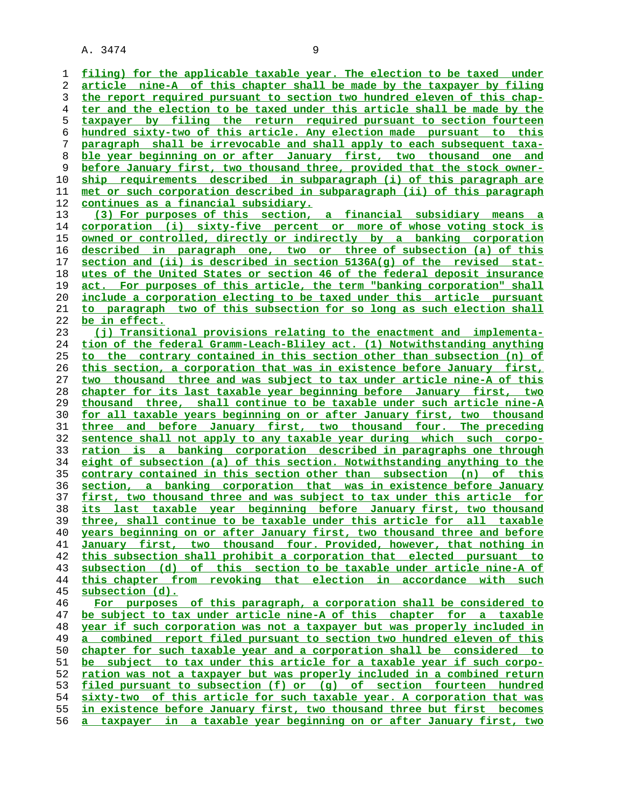**filing) for the applicable taxable year. The election to be taxed under article nine-A of this chapter shall be made by the taxpayer by filing the report required pursuant to section two hundred eleven of this chap- ter and the election to be taxed under this article shall be made by the taxpayer by filing the return required pursuant to section fourteen hundred sixty-two of this article. Any election made pursuant to this paragraph shall be irrevocable and shall apply to each subsequent taxa- ble year beginning on or after January first, two thousand one and before January first, two thousand three, provided that the stock owner- ship requirements described in subparagraph (i) of this paragraph are met or such corporation described in subparagraph (ii) of this paragraph continues as a financial subsidiary. (3) For purposes of this section, a financial subsidiary means a corporation (i) sixty-five percent or more of whose voting stock is owned or controlled, directly or indirectly by a banking corporation described in paragraph one, two or three of subsection (a) of this section and (ii) is described in section 5136A(g) of the revised stat- utes of the United States or section 46 of the federal deposit insurance act. For purposes of this article, the term "banking corporation" shall include a corporation electing to be taxed under this article pursuant to paragraph two of this subsection for so long as such election shall be in effect. (j) Transitional provisions relating to the enactment and implementa- tion of the federal Gramm-Leach-Bliley act. (1) Notwithstanding anything to the contrary contained in this section other than subsection (n) of this section, a corporation that was in existence before January first, two thousand three and was subject to tax under article nine-A of this chapter for its last taxable year beginning before January first, two thousand three, shall continue to be taxable under such article nine-A for all taxable years beginning on or after January first, two thousand three and before January first, two thousand four. The preceding sentence shall not apply to any taxable year during which such corpo- ration is a banking corporation described in paragraphs one through eight of subsection (a) of this section. Notwithstanding anything to the contrary contained in this section other than subsection (n) of this section, a banking corporation that was in existence before January first, two thousand three and was subject to tax under this article for its last taxable year beginning before January first, two thousand three, shall continue to be taxable under this article for all taxable years beginning on or after January first, two thousand three and before January first, two thousand four. Provided, however, that nothing in this subsection shall prohibit a corporation that elected pursuant to subsection (d) of this section to be taxable under article nine-A of this chapter from revoking that election in accordance with such subsection (d). For purposes of this paragraph, a corporation shall be considered to be subject to tax under article nine-A of this chapter for a taxable year if such corporation was not a taxpayer but was properly included in a combined report filed pursuant to section two hundred eleven of this chapter for such taxable year and a corporation shall be considered to be subject to tax under this article for a taxable year if such corpo- ration was not a taxpayer but was properly included in a combined return filed pursuant to subsection (f) or (g) of section fourteen hundred sixty-two of this article for such taxable year. A corporation that was in existence before January first, two thousand three but first becomes a taxpayer in a taxable year beginning on or after January first, two**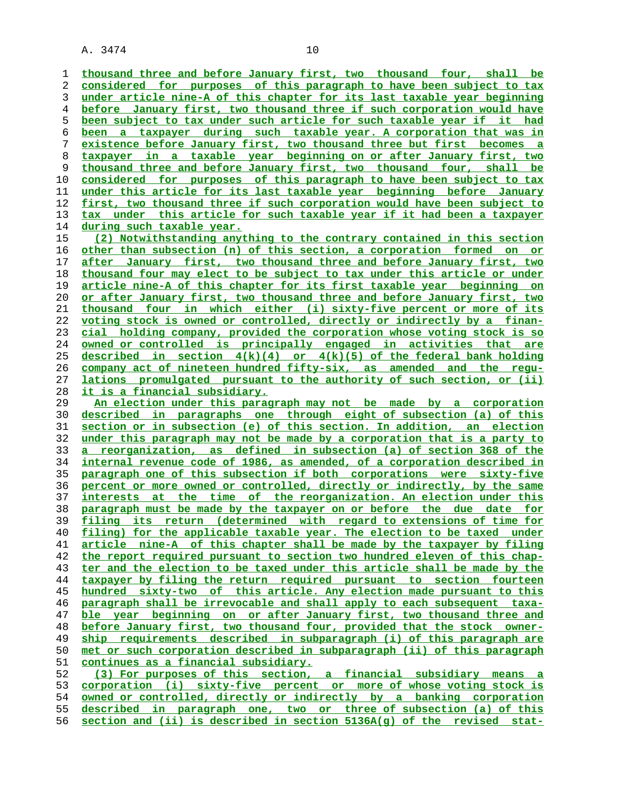**thousand three and before January first, two thousand four, shall be considered for purposes of this paragraph to have been subject to tax under article nine-A of this chapter for its last taxable year beginning before January first, two thousand three if such corporation would have been subject to tax under such article for such taxable year if it had been a taxpayer during such taxable year. A corporation that was in existence before January first, two thousand three but first becomes a taxpayer in a taxable year beginning on or after January first, two thousand three and before January first, two thousand four, shall be considered for purposes of this paragraph to have been subject to tax under this article for its last taxable year beginning before January first, two thousand three if such corporation would have been subject to tax under this article for such taxable year if it had been a taxpayer during such taxable year. (2) Notwithstanding anything to the contrary contained in this section other than subsection (n) of this section, a corporation formed on or after January first, two thousand three and before January first, two thousand four may elect to be subject to tax under this article or under article nine-A of this chapter for its first taxable year beginning on or after January first, two thousand three and before January first, two thousand four in which either (i) sixty-five percent or more of its voting stock is owned or controlled, directly or indirectly by a finan- cial holding company, provided the corporation whose voting stock is so owned or controlled is principally engaged in activities that are described in section 4(k)(4) or 4(k)(5) of the federal bank holding company act of nineteen hundred fifty-six, as amended and the regu- lations promulgated pursuant to the authority of such section, or (ii) it is a financial subsidiary. An election under this paragraph may not be made by a corporation described in paragraphs one through eight of subsection (a) of this section or in subsection (e) of this section. In addition, an election under this paragraph may not be made by a corporation that is a party to a reorganization, as defined in subsection (a) of section 368 of the internal revenue code of 1986, as amended, of a corporation described in paragraph one of this subsection if both corporations were sixty-five percent or more owned or controlled, directly or indirectly, by the same interests at the time of the reorganization. An election under this paragraph must be made by the taxpayer on or before the due date for filing its return (determined with regard to extensions of time for filing) for the applicable taxable year. The election to be taxed under article nine-A of this chapter shall be made by the taxpayer by filing the report required pursuant to section two hundred eleven of this chap- ter and the election to be taxed under this article shall be made by the taxpayer by filing the return required pursuant to section fourteen hundred sixty-two of this article. Any election made pursuant to this paragraph shall be irrevocable and shall apply to each subsequent taxa- ble year beginning on or after January first, two thousand three and before January first, two thousand four, provided that the stock owner- ship requirements described in subparagraph (i) of this paragraph are met or such corporation described in subparagraph (ii) of this paragraph continues as a financial subsidiary. (3) For purposes of this section, a financial subsidiary means a corporation (i) sixty-five percent or more of whose voting stock is owned or controlled, directly or indirectly by a banking corporation described in paragraph one, two or three of subsection (a) of this**

**section and (ii) is described in section 5136A(g) of the revised stat-**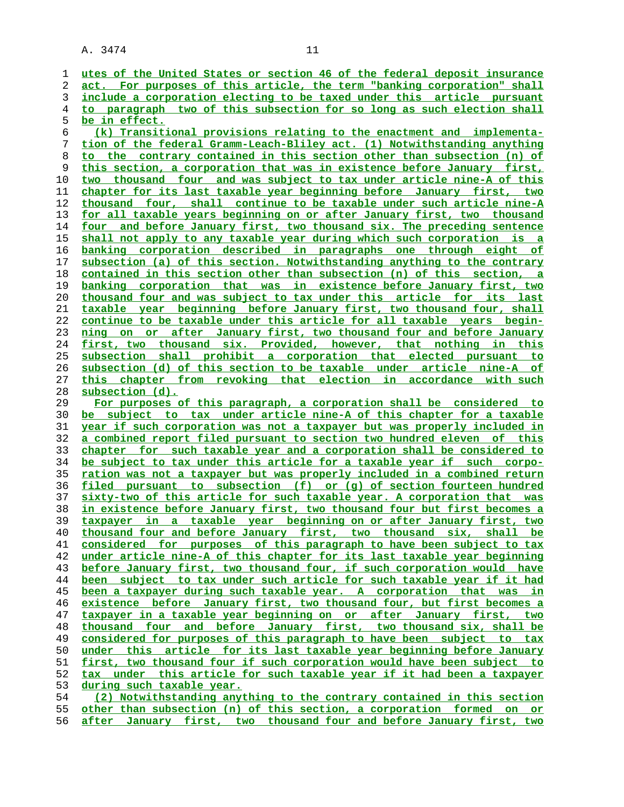**utes of the United States or section 46 of the federal deposit insurance act. For purposes of this article, the term "banking corporation" shall include a corporation electing to be taxed under this article pursuant to paragraph two of this subsection for so long as such election shall be in effect. (k) Transitional provisions relating to the enactment and implementa- tion of the federal Gramm-Leach-Bliley act. (1) Notwithstanding anything to the contrary contained in this section other than subsection (n) of this section, a corporation that was in existence before January first, two thousand four and was subject to tax under article nine-A of this chapter for its last taxable year beginning before January first, two thousand four, shall continue to be taxable under such article nine-A for all taxable years beginning on or after January first, two thousand** four and before January first, two thousand six. The preceding sentence **shall not apply to any taxable year during which such corporation is a banking corporation described in paragraphs one through eight of subsection (a) of this section. Notwithstanding anything to the contrary contained in this section other than subsection (n) of this section, a banking corporation that was in existence before January first, two thousand four and was subject to tax under this article for its last taxable year beginning before January first, two thousand four, shall continue to be taxable under this article for all taxable years begin- ning on or after January first, two thousand four and before January first, two thousand six. Provided, however, that nothing in this subsection shall prohibit a corporation that elected pursuant to subsection (d) of this section to be taxable under article nine-A of this chapter from revoking that election in accordance with such subsection (d). For purposes of this paragraph, a corporation shall be considered to be subject to tax under article nine-A of this chapter for a taxable year if such corporation was not a taxpayer but was properly included in a combined report filed pursuant to section two hundred eleven of this chapter for such taxable year and a corporation shall be considered to be subject to tax under this article for a taxable year if such corpo- ration was not a taxpayer but was properly included in a combined return filed pursuant to subsection (f) or (g) of section fourteen hundred sixty-two of this article for such taxable year. A corporation that was in existence before January first, two thousand four but first becomes a taxpayer in a taxable year beginning on or after January first, two thousand four and before January first, two thousand six, shall be considered for purposes of this paragraph to have been subject to tax under article nine-A of this chapter for its last taxable year beginning before January first, two thousand four, if such corporation would have been subject to tax under such article for such taxable year if it had been a taxpayer during such taxable year. A corporation that was in existence before January first, two thousand four, but first becomes a taxpayer in a taxable year beginning on or after January first, two thousand four and before January first, two thousand six, shall be considered for purposes of this paragraph to have been subject to tax under this article for its last taxable year beginning before January first, two thousand four if such corporation would have been subject to tax under this article for such taxable year if it had been a taxpayer during such taxable year. (2) Notwithstanding anything to the contrary contained in this section other than subsection (n) of this section, a corporation formed on or after January first, two thousand four and before January first, two**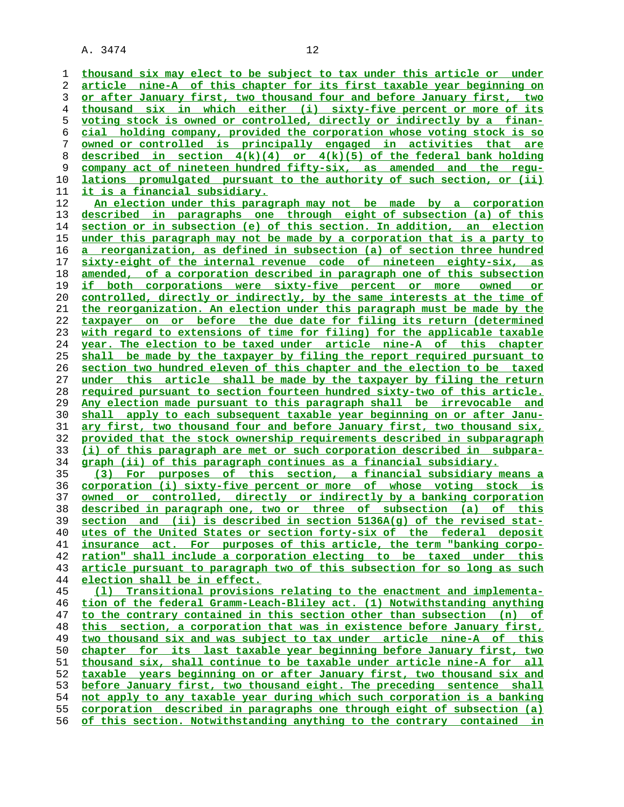**thousand six may elect to be subject to tax under this article or under article nine-A of this chapter for its first taxable year beginning on or after January first, two thousand four and before January first, two thousand six in which either (i) sixty-five percent or more of its voting stock is owned or controlled, directly or indirectly by a finan- cial holding company, provided the corporation whose voting stock is so owned or controlled is principally engaged in activities that are**

**described in section 4(k)(4) or 4(k)(5) of the federal bank holding company act of nineteen hundred fifty-six, as amended and the regu- lations promulgated pursuant to the authority of such section, or (ii) it is a financial subsidiary.**

**An election under this paragraph may not be made by a corporation described in paragraphs one through eight of subsection (a) of this section or in subsection (e) of this section. In addition, an election under this paragraph may not be made by a corporation that is a party to a reorganization, as defined in subsection (a) of section three hundred sixty-eight of the internal revenue code of nineteen eighty-six, as amended, of a corporation described in paragraph one of this subsection if both corporations were sixty-five percent or more owned or controlled, directly or indirectly, by the same interests at the time of the reorganization. An election under this paragraph must be made by the taxpayer on or before the due date for filing its return (determined with regard to extensions of time for filing) for the applicable taxable year. The election to be taxed under article nine-A of this chapter shall be made by the taxpayer by filing the report required pursuant to section two hundred eleven of this chapter and the election to be taxed under this article shall be made by the taxpayer by filing the return required pursuant to section fourteen hundred sixty-two of this article. Any election made pursuant to this paragraph shall be irrevocable and shall apply to each subsequent taxable year beginning on or after Janu- ary first, two thousand four and before January first, two thousand six, provided that the stock ownership requirements described in subparagraph (i) of this paragraph are met or such corporation described in subpara- graph (ii) of this paragraph continues as a financial subsidiary.**

**(3) For purposes of this section, a financial subsidiary means a corporation (i) sixty-five percent or more of whose voting stock is owned or controlled, directly or indirectly by a banking corporation described in paragraph one, two or three of subsection (a) of this section and (ii) is described in section 5136A(g) of the revised stat- utes of the United States or section forty-six of the federal deposit insurance act. For purposes of this article, the term "banking corpo- ration" shall include a corporation electing to be taxed under this article pursuant to paragraph two of this subsection for so long as such election shall be in effect.**

**(l) Transitional provisions relating to the enactment and implementa- tion of the federal Gramm-Leach-Bliley act. (1) Notwithstanding anything to the contrary contained in this section other than subsection (n) of this section, a corporation that was in existence before January first, two thousand six and was subject to tax under article nine-A of this chapter for its last taxable year beginning before January first, two thousand six, shall continue to be taxable under article nine-A for all taxable years beginning on or after January first, two thousand six and before January first, two thousand eight. The preceding sentence shall not apply to any taxable year during which such corporation is a banking corporation described in paragraphs one through eight of subsection (a) of this section. Notwithstanding anything to the contrary contained in**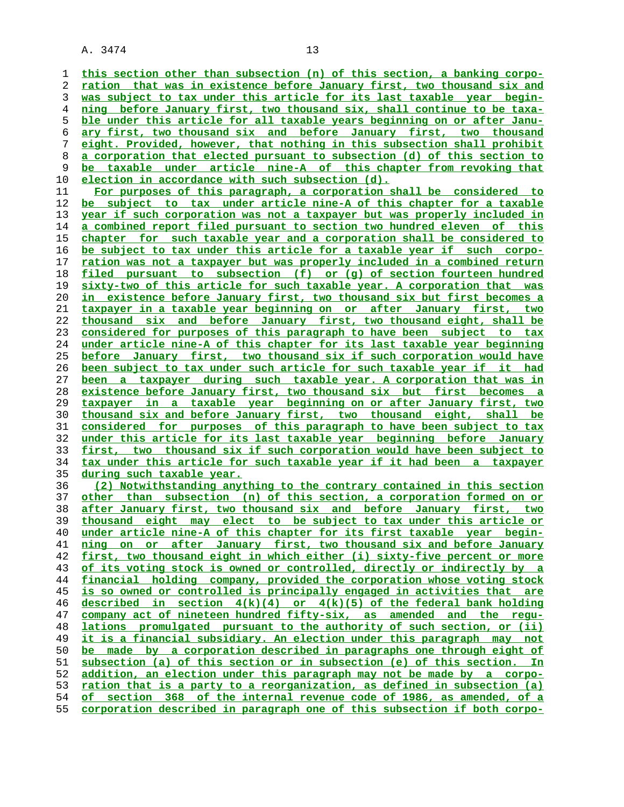**this section other than subsection (n) of this section, a banking corpo- ration that was in existence before January first, two thousand six and was subject to tax under this article for its last taxable year begin- ning before January first, two thousand six, shall continue to be taxa- ble under this article for all taxable years beginning on or after Janu- ary first, two thousand six and before January first, two thousand eight. Provided, however, that nothing in this subsection shall prohibit a corporation that elected pursuant to subsection (d) of this section to be taxable under article nine-A of this chapter from revoking that**

**election in accordance with such subsection (d). For purposes of this paragraph, a corporation shall be considered to be subject to tax under article nine-A of this chapter for a taxable year if such corporation was not a taxpayer but was properly included in a combined report filed pursuant to section two hundred eleven of this chapter for such taxable year and a corporation shall be considered to be subject to tax under this article for a taxable year if such corpo- ration was not a taxpayer but was properly included in a combined return filed pursuant to subsection (f) or (g) of section fourteen hundred sixty-two of this article for such taxable year. A corporation that was in existence before January first, two thousand six but first becomes a taxpayer in a taxable year beginning on or after January first, two thousand six and before January first, two thousand eight, shall be considered for purposes of this paragraph to have been subject to tax under article nine-A of this chapter for its last taxable year beginning before January first, two thousand six if such corporation would have been subject to tax under such article for such taxable year if it had been a taxpayer during such taxable year. A corporation that was in existence before January first, two thousand six but first becomes a taxpayer in a taxable year beginning on or after January first, two thousand six and before January first, two thousand eight, shall be considered for purposes of this paragraph to have been subject to tax under this article for its last taxable year beginning before January first, two thousand six if such corporation would have been subject to tax under this article for such taxable year if it had been a taxpayer**

**during such taxable year.**

**(2) Notwithstanding anything to the contrary contained in this section other than subsection (n) of this section, a corporation formed on or after January first, two thousand six and before January first, two thousand eight may elect to be subject to tax under this article or under article nine-A of this chapter for its first taxable year begin- ning on or after January first, two thousand six and before January first, two thousand eight in which either (i) sixty-five percent or more of its voting stock is owned or controlled, directly or indirectly by a financial holding company, provided the corporation whose voting stock is so owned or controlled is principally engaged in activities that are described in section 4(k)(4) or 4(k)(5) of the federal bank holding company act of nineteen hundred fifty-six, as amended and the regu- lations promulgated pursuant to the authority of such section, or (ii) it is a financial subsidiary. An election under this paragraph may not be made by a corporation described in paragraphs one through eight of subsection (a) of this section or in subsection (e) of this section. In addition, an election under this paragraph may not be made by a corpo- ration that is a party to a reorganization, as defined in subsection (a) of section 368 of the internal revenue code of 1986, as amended, of a corporation described in paragraph one of this subsection if both corpo-**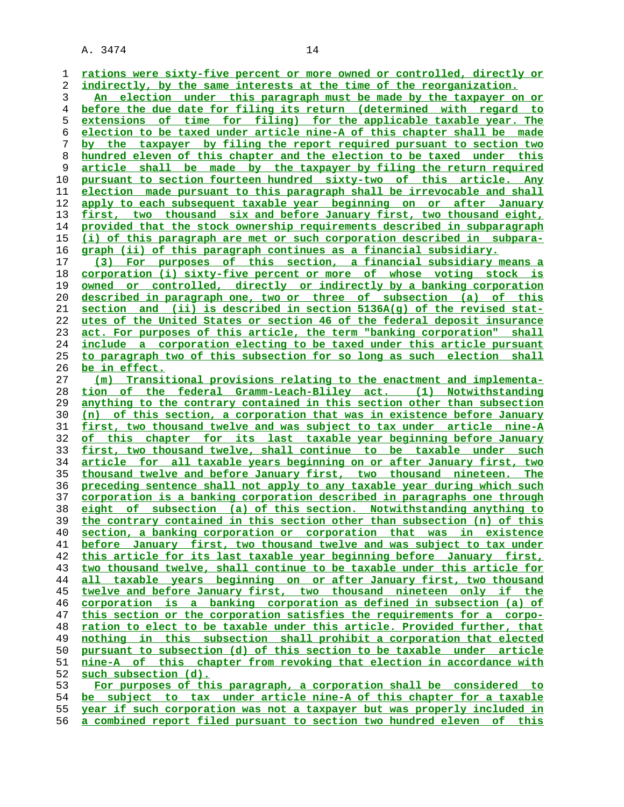**rations were sixty-five percent or more owned or controlled, directly or indirectly, by the same interests at the time of the reorganization. An election under this paragraph must be made by the taxpayer on or**

**before the due date for filing its return (determined with regard to extensions of time for filing) for the applicable taxable year. The election to be taxed under article nine-A of this chapter shall be made by the taxpayer by filing the report required pursuant to section two hundred eleven of this chapter and the election to be taxed under this article shall be made by the taxpayer by filing the return required pursuant to section fourteen hundred sixty-two of this article. Any election made pursuant to this paragraph shall be irrevocable and shall apply to each subsequent taxable year beginning on or after January first, two thousand six and before January first, two thousand eight, provided that the stock ownership requirements described in subparagraph (i) of this paragraph are met or such corporation described in subpara- graph (ii) of this paragraph continues as a financial subsidiary.**

**(3) For purposes of this section, a financial subsidiary means a corporation (i) sixty-five percent or more of whose voting stock is owned or controlled, directly or indirectly by a banking corporation described in paragraph one, two or three of subsection (a) of this section and (ii) is described in section 5136A(g) of the revised stat- utes of the United States or section 46 of the federal deposit insurance act. For purposes of this article, the term "banking corporation" shall include a corporation electing to be taxed under this article pursuant to paragraph two of this subsection for so long as such election shall be in effect.**

**(m) Transitional provisions relating to the enactment and implementa- tion of the federal Gramm-Leach-Bliley act. (1) Notwithstanding anything to the contrary contained in this section other than subsection (n) of this section, a corporation that was in existence before January first, two thousand twelve and was subject to tax under article nine-A of this chapter for its last taxable year beginning before January first, two thousand twelve, shall continue to be taxable under such article for all taxable years beginning on or after January first, two thousand twelve and before January first, two thousand nineteen. The preceding sentence shall not apply to any taxable year during which such corporation is a banking corporation described in paragraphs one through eight of subsection (a) of this section. Notwithstanding anything to the contrary contained in this section other than subsection (n) of this section, a banking corporation or corporation that was in existence before January first, two thousand twelve and was subject to tax under this article for its last taxable year beginning before January first, two thousand twelve, shall continue to be taxable under this article for all taxable years beginning on or after January first, two thousand twelve and before January first, two thousand nineteen only if the corporation is a banking corporation as defined in subsection (a) of this section or the corporation satisfies the requirements for a corpo- ration to elect to be taxable under this article. Provided further, that nothing in this subsection shall prohibit a corporation that elected pursuant to subsection (d) of this section to be taxable under article nine-A of this chapter from revoking that election in accordance with such subsection (d). For purposes of this paragraph, a corporation shall be considered to be subject to tax under article nine-A of this chapter for a taxable**

**year if such corporation was not a taxpayer but was properly included in**

**a combined report filed pursuant to section two hundred eleven of this**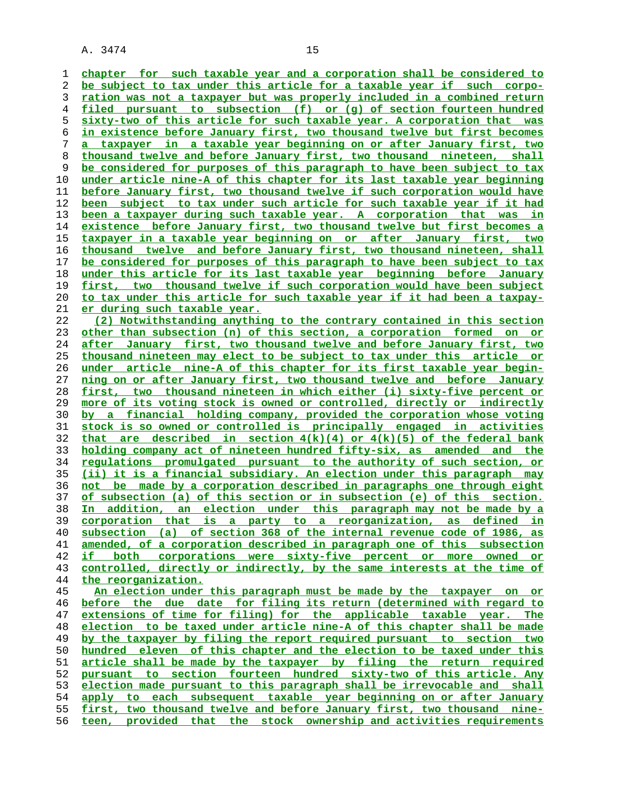**chapter for such taxable year and a corporation shall be considered to be subject to tax under this article for a taxable year if such corpo- ration was not a taxpayer but was properly included in a combined return filed pursuant to subsection (f) or (g) of section fourteen hundred sixty-two of this article for such taxable year. A corporation that was in existence before January first, two thousand twelve but first becomes a taxpayer in a taxable year beginning on or after January first, two thousand twelve and before January first, two thousand nineteen, shall be considered for purposes of this paragraph to have been subject to tax under article nine-A of this chapter for its last taxable year beginning before January first, two thousand twelve if such corporation would have been subject to tax under such article for such taxable year if it had been a taxpayer during such taxable year. A corporation that was in existence before January first, two thousand twelve but first becomes a taxpayer in a taxable year beginning on or after January first, two thousand twelve and before January first, two thousand nineteen, shall be considered for purposes of this paragraph to have been subject to tax under this article for its last taxable year beginning before January first, two thousand twelve if such corporation would have been subject to tax under this article for such taxable year if it had been a taxpay- er during such taxable year. (2) Notwithstanding anything to the contrary contained in this section other than subsection (n) of this section, a corporation formed on or after January first, two thousand twelve and before January first, two thousand nineteen may elect to be subject to tax under this article or under article nine-A of this chapter for its first taxable year begin- ning on or after January first, two thousand twelve and before January first, two thousand nineteen in which either (i) sixty-five percent or more of its voting stock is owned or controlled, directly or indirectly by a financial holding company, provided the corporation whose voting stock is so owned or controlled is principally engaged in activities that are described in section 4(k)(4) or 4(k)(5) of the federal bank holding company act of nineteen hundred fifty-six, as amended and the regulations promulgated pursuant to the authority of such section, or (ii) it is a financial subsidiary. An election under this paragraph may not be made by a corporation described in paragraphs one through eight of subsection (a) of this section or in subsection (e) of this section. In addition, an election under this paragraph may not be made by a corporation that is a party to a reorganization, as defined in subsection (a) of section 368 of the internal revenue code of 1986, as amended, of a corporation described in paragraph one of this subsection if both corporations were sixty-five percent or more owned or controlled, directly or indirectly, by the same interests at the time of the reorganization. An election under this paragraph must be made by the taxpayer on or before the due date for filing its return (determined with regard to extensions of time for filing) for the applicable taxable year. The election to be taxed under article nine-A of this chapter shall be made by the taxpayer by filing the report required pursuant to section two hundred eleven of this chapter and the election to be taxed under this article shall be made by the taxpayer by filing the return required pursuant to section fourteen hundred sixty-two of this article. Any election made pursuant to this paragraph shall be irrevocable and shall apply to each subsequent taxable year beginning on or after January**

**first, two thousand twelve and before January first, two thousand nine- teen, provided that the stock ownership and activities requirements**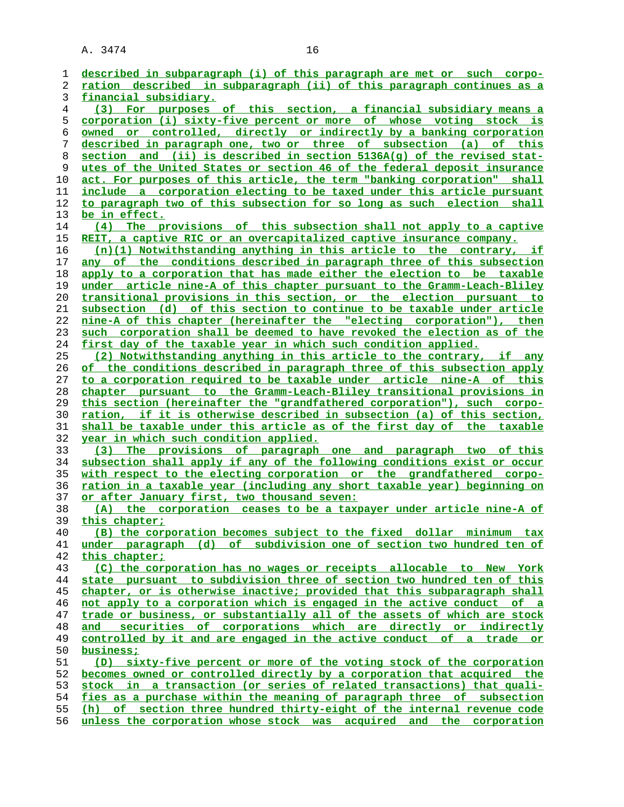| 1  | described in subparagraph (i) of this paragraph are met or such corpo-         |
|----|--------------------------------------------------------------------------------|
| 2  | ration described in subparagraph (ii) of this paragraph continues as a         |
| 3  | financial subsidiary.                                                          |
| 4  | (3) For purposes of this section, a financial subsidiary means a               |
| 5  | <u>corporation (i) sixty-five percent or more of whose voting stock is</u>     |
| 6  | owned or controlled, directly or indirectly by a banking corporation           |
| 7  | described in paragraph one, two or three of subsection (a) of this             |
| 8  | section and (ii) is described in section 5136A(g) of the revised stat-         |
| 9  | utes of the United States or section 46 of the federal deposit insurance       |
| 10 | act. For purposes of this article, the term "banking corporation" shall        |
| 11 | include a corporation electing to be taxed under this article pursuant         |
| 12 | to paragraph two of this subsection for so long as such election shall         |
| 13 | be in effect.                                                                  |
| 14 | The provisions of this subsection shall not apply to a captive<br>(4)          |
| 15 | REIT, a captive RIC or an overcapitalized captive insurance company.           |
| 16 | $(n)(1)$ Notwithstanding anything in this article to the contrary, if          |
| 17 | <u>any of the conditions described in paragraph three of this subsection</u>   |
| 18 | apply to a corporation that has made either the election to be taxable         |
| 19 | under article nine-A of this chapter pursuant to the Gramm-Leach-Bliley        |
| 20 | transitional provisions in this section, or the election pursuant to           |
| 21 | subsection (d) of this section to continue to be taxable under article         |
| 22 | nine-A of this chapter (hereinafter the "electing corporation"), then          |
| 23 | such corporation shall be deemed to have revoked the election as of the        |
| 24 | first day of the taxable year in which such condition applied.                 |
| 25 | (2) Notwithstanding anything in this article to the contrary, if any           |
| 26 | of the conditions described in paragraph three of this subsection apply        |
| 27 | to a corporation required to be taxable under article nine-A of this           |
| 28 | chapter pursuant to the Gramm-Leach-Bliley transitional provisions in          |
| 29 | this section (hereinafter the "grandfathered corporation"), such corpo-        |
| 30 | <u>ration, if it is otherwise described in subsection (a) of this section,</u> |
| 31 | shall be taxable under this article as of the first day of the taxable         |
| 32 | <u>year in which such condition applied.</u>                                   |
| 33 | The provisions of paragraph one and paragraph two of this<br>(3)               |
| 34 | subsection shall apply if any of the following conditions exist or occur       |
| 35 | with respect to the electing corporation or the grandfathered corpo-           |
| 36 | ration in a taxable year (including any short taxable year) beginning on       |
| 37 | or after January first, two thousand seven:                                    |
| 38 | (A) the corporation ceases to be a taxpayer under article nine-A of            |
| 39 | this chapter;                                                                  |
| 40 | (B) the corporation becomes subject to the fixed dollar minimum tax            |
| 41 | under paragraph (d) of subdivision one of section two hundred ten of           |
| 42 | this chapter;                                                                  |
| 43 | (C) the corporation has no wages or receipts allocable to New York             |
| 44 | state pursuant to subdivision three of section two hundred ten of this         |
| 45 | chapter, or is otherwise inactive; provided that this subparagraph shall       |
| 46 | not apply to a corporation which is engaged in the active conduct of a         |
| 47 | trade or business, or substantially all of the assets of which are stock       |
| 48 | securities of corporations which are directly or indirectly<br>and             |
| 49 | controlled by it and are engaged in the active conduct of a trade or           |
| 50 | business;                                                                      |
| 51 | (D) sixty-five percent or more of the voting stock of the corporation          |
| 52 | becomes owned or controlled directly by a corporation that acquired the        |
| 53 | stock in a transaction (or series of related transactions) that quali-         |
| 54 | fies as a purchase within the meaning of paragraph three of subsection         |
| 55 | (h) of section three hundred thirty-eight of the internal revenue code         |
| 56 | unless the corporation whose stock was acquired and the corporation            |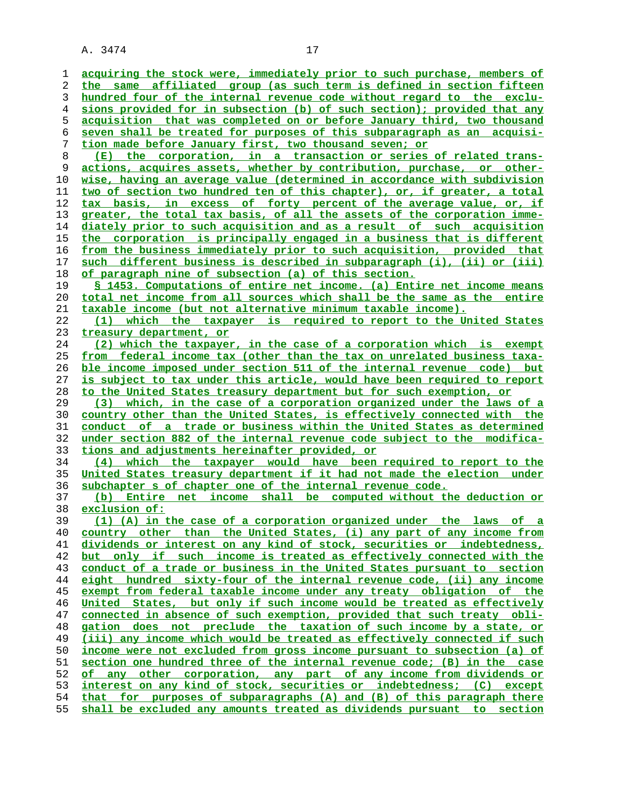**acquiring the stock were, immediately prior to such purchase, members of the same affiliated group (as such term is defined in section fifteen hundred four of the internal revenue code without regard to the exclu- sions provided for in subsection (b) of such section); provided that any acquisition that was completed on or before January third, two thousand seven shall be treated for purposes of this subparagraph as an acquisi- tion made before January first, two thousand seven; or (E) the corporation, in a transaction or series of related trans- actions, acquires assets, whether by contribution, purchase, or other- wise, having an average value (determined in accordance with subdivision two of section two hundred ten of this chapter), or, if greater, a total tax basis, in excess of forty percent of the average value, or, if greater, the total tax basis, of all the assets of the corporation imme- diately prior to such acquisition and as a result of such acquisition the corporation is principally engaged in a business that is different from the business immediately prior to such acquisition, provided that such different business is described in subparagraph (i), (ii) or (iii) of paragraph nine of subsection (a) of this section. § 1453. Computations of entire net income. (a) Entire net income means total net income from all sources which shall be the same as the entire taxable income (but not alternative minimum taxable income). (1) which the taxpayer is required to report to the United States treasury department, or (2) which the taxpayer, in the case of a corporation which is exempt from federal income tax (other than the tax on unrelated business taxa- ble income imposed under section 511 of the internal revenue code) but is subject to tax under this article, would have been required to report to the United States treasury department but for such exemption, or (3) which, in the case of a corporation organized under the laws of a country other than the United States, is effectively connected with the conduct of a trade or business within the United States as determined under section 882 of the internal revenue code subject to the modifica- tions and adjustments hereinafter provided, or (4) which the taxpayer would have been required to report to the United States treasury department if it had not made the election under subchapter s of chapter one of the internal revenue code.**

**(b) Entire net income shall be computed without the deduction or exclusion of:**

**(1) (A) in the case of a corporation organized under the laws of a country other than the United States, (i) any part of any income from dividends or interest on any kind of stock, securities or indebtedness, but only if such income is treated as effectively connected with the conduct of a trade or business in the United States pursuant to section eight hundred sixty-four of the internal revenue code, (ii) any income exempt from federal taxable income under any treaty obligation of the United States, but only if such income would be treated as effectively connected in absence of such exemption, provided that such treaty obli- gation does not preclude the taxation of such income by a state, or (iii) any income which would be treated as effectively connected if such income were not excluded from gross income pursuant to subsection (a) of section one hundred three of the internal revenue code; (B) in the case of any other corporation, any part of any income from dividends or interest on any kind of stock, securities or indebtedness; (C) except that for purposes of subparagraphs (A) and (B) of this paragraph there shall be excluded any amounts treated as dividends pursuant to section**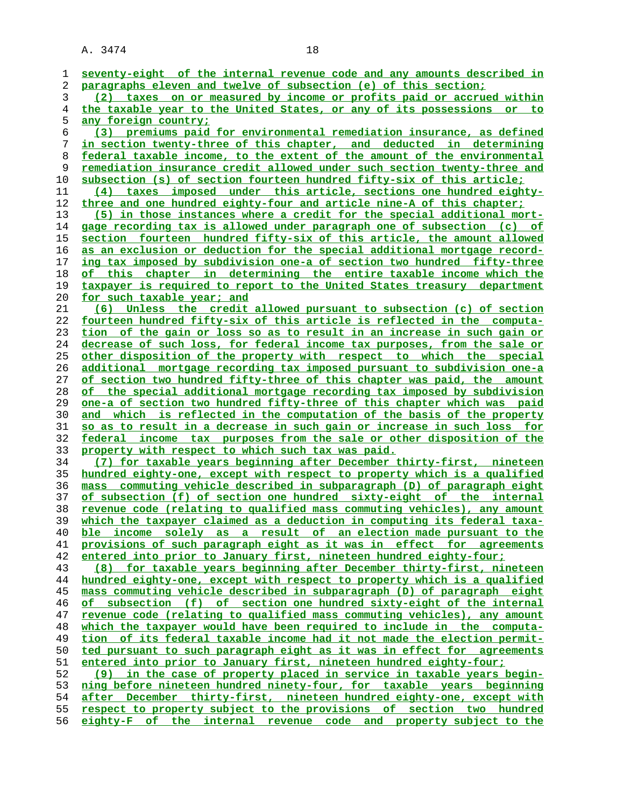| 1      | seventy-eight of the internal revenue code and any amounts described in        |
|--------|--------------------------------------------------------------------------------|
| 2      | paragraphs eleven and twelve of subsection (e) of this section;                |
| 3      | (2) taxes on or measured by income or profits paid or accrued within           |
| 4      | the taxable year to the United States, or any of its possessions or to         |
|        | any foreign country;                                                           |
| 5<br>6 | (3) premiums paid for environmental remediation insurance, as defined          |
| 7      | in section twenty-three of this chapter, and deducted in determining           |
|        |                                                                                |
| 8      | federal taxable income, to the extent of the amount of the environmental       |
| 9      | remediation insurance credit allowed under such section twenty-three and       |
| 10     | subsection (s) of section fourteen hundred fifty-six of this article;          |
| 11     | (4) taxes imposed under this article, sections one hundred eighty-             |
| 12     | three and one hundred eighty-four and article nine-A of this chapter;          |
| 13     | (5) in those instances where a credit for the special additional mort-         |
| 14     | <u>gage recording tax is allowed under paragraph one of subsection (c) of</u>  |
| 15     | section fourteen hundred fifty-six of this article, the amount allowed         |
| 16     | as an exclusion or deduction for the special additional mortgage record-       |
| 17     | ing tax imposed by subdivision one-a of section two hundred fifty-three        |
| 18     | of this chapter in determining the entire taxable income which the             |
| 19     | taxpayer is required to report to the United States treasury department        |
| 20     | for such taxable year; and                                                     |
| 21     | (6) Unless the credit allowed pursuant to subsection (c) of section            |
| 22     | fourteen hundred fifty-six of this article is reflected in the computa-        |
| 23     | tion of the gain or loss so as to result in an increase in such gain or        |
| 24     | decrease of such loss, for federal income tax purposes, from the sale or       |
| 25     | other disposition of the property with respect to which the special            |
| 26     | <u>additional mortgage recording tax imposed pursuant to subdivision one-a</u> |
| 27     | <u>of section two hundred fifty-three of this chapter was paid, the amount</u> |
| 28     | of the special additional mortgage recording tax imposed by subdivision        |
| 29     |                                                                                |
|        | <u>one-a of section two hundred fifty-three of this chapter which was paid</u> |
| 30     | and which is reflected in the computation of the basis of the property         |
| 31     | so as to result in a decrease in such gain or increase in such loss for        |
| 32     | federal income tax purposes from the sale or other disposition of the          |
| 33     | property with respect to which such tax was paid.                              |
| 34     | (7) for taxable years beginning after December thirty-first, nineteen          |
| 35     | hundred eighty-one, except with respect to property which is a qualified       |
| 36     | mass commuting vehicle described in subparagraph (D) of paragraph eight        |
| 37     | of subsection (f) of section one hundred sixty-eight of the internal           |
| 38     | revenue code (relating to qualified mass commuting vehicles), any amount       |
| 39     | which the taxpayer claimed as a deduction in computing its federal taxa-       |
| 40     | ble income solely as a result of an election made pursuant to the              |
| 41     | provisions of such paragraph eight as it was in effect for agreements          |
| 42     | entered into prior to January first, nineteen hundred eighty-four;             |
| 43     | (8) for taxable years beginning after December thirty-first, nineteen          |
| 44     | hundred eighty-one, except with respect to property which is a qualified       |
| 45     | mass commuting vehicle described in subparagraph (D) of paragraph eight        |
| 46     | of subsection (f) of section one hundred sixty-eight of the internal           |
| 47     | revenue code (relating to qualified mass commuting vehicles), any amount       |
| 48     | which the taxpayer would have been required to include in the computa-         |
| 49     | tion of its federal taxable income had it not made the election permit-        |
| 50     | ted pursuant to such paragraph eight as it was in effect for agreements        |
| 51     | entered into prior to January first, nineteen hundred eighty-four;             |
| 52     | (9) in the case of property placed in service in taxable years begin-          |
| 53     | ning before nineteen hundred ninety-four, for taxable years beginning          |
| 54     | after December thirty-first, nineteen hundred eighty-one, except with          |
| 55     | respect to property subject to the provisions of section two hundred           |
| 56     | eighty-F of the internal revenue code and property subject to the              |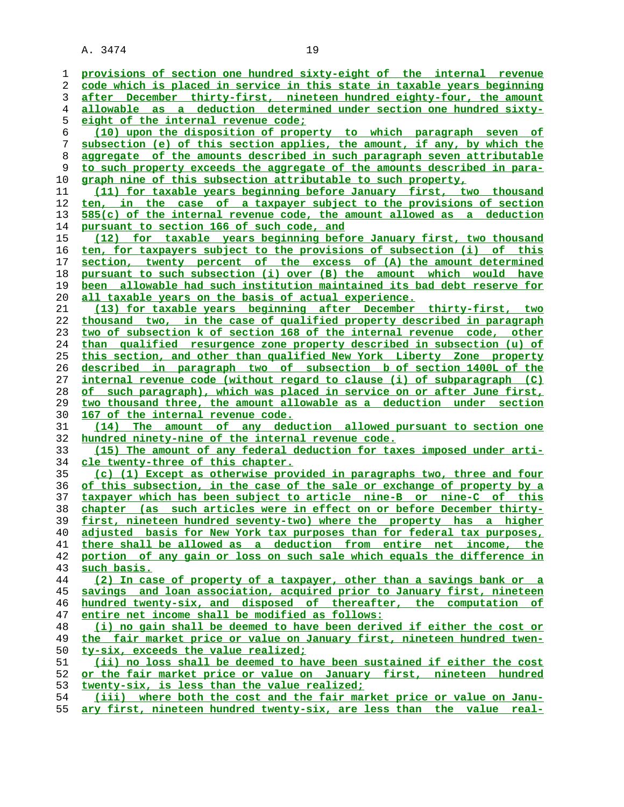**provisions of section one hundred sixty-eight of the internal revenue code which is placed in service in this state in taxable years beginning after December thirty-first, nineteen hundred eighty-four, the amount allowable as a deduction determined under section one hundred sixty- eight of the internal revenue code; (10) upon the disposition of property to which paragraph seven of subsection (e) of this section applies, the amount, if any, by which the aggregate of the amounts described in such paragraph seven attributable to such property exceeds the aggregate of the amounts described in para- graph nine of this subsection attributable to such property, (11) for taxable years beginning before January first, two thousand ten, in the case of a taxpayer subject to the provisions of section 585(c) of the internal revenue code, the amount allowed as a deduction pursuant to section 166 of such code, and (12) for taxable years beginning before January first, two thousand ten, for taxpayers subject to the provisions of subsection (i) of this section, twenty percent of the excess of (A) the amount determined pursuant to such subsection (i) over (B) the amount which would have been allowable had such institution maintained its bad debt reserve for all taxable years on the basis of actual experience. (13) for taxable years beginning after December thirty-first, two thousand two, in the case of qualified property described in paragraph two of subsection k of section 168 of the internal revenue code, other than qualified resurgence zone property described in subsection (u) of this section, and other than qualified New York Liberty Zone property described in paragraph two of subsection b of section 1400L of the internal revenue code (without regard to clause (i) of subparagraph (C) of such paragraph), which was placed in service on or after June first, two thousand three, the amount allowable as a deduction under section 167 of the internal revenue code. (14) The amount of any deduction allowed pursuant to section one hundred ninety-nine of the internal revenue code. (15) The amount of any federal deduction for taxes imposed under arti- cle twenty-three of this chapter. (c) (1) Except as otherwise provided in paragraphs two, three and four of this subsection, in the case of the sale or exchange of property by a taxpayer which has been subject to article nine-B or nine-C of this chapter (as such articles were in effect on or before December thirty- first, nineteen hundred seventy-two) where the property has a higher adjusted basis for New York tax purposes than for federal tax purposes, there shall be allowed as a deduction from entire net income, the portion of any gain or loss on such sale which equals the difference in such basis. (2) In case of property of a taxpayer, other than a savings bank or a savings and loan association, acquired prior to January first, nineteen hundred twenty-six, and disposed of thereafter, the computation of entire net income shall be modified as follows: (i) no gain shall be deemed to have been derived if either the cost or the fair market price or value on January first, nineteen hundred twen- ty-six, exceeds the value realized; (ii) no loss shall be deemed to have been sustained if either the cost or the fair market price or value on January first, nineteen hundred twenty-six, is less than the value realized; (iii) where both the cost and the fair market price or value on Janu-**

**ary first, nineteen hundred twenty-six, are less than the value real-**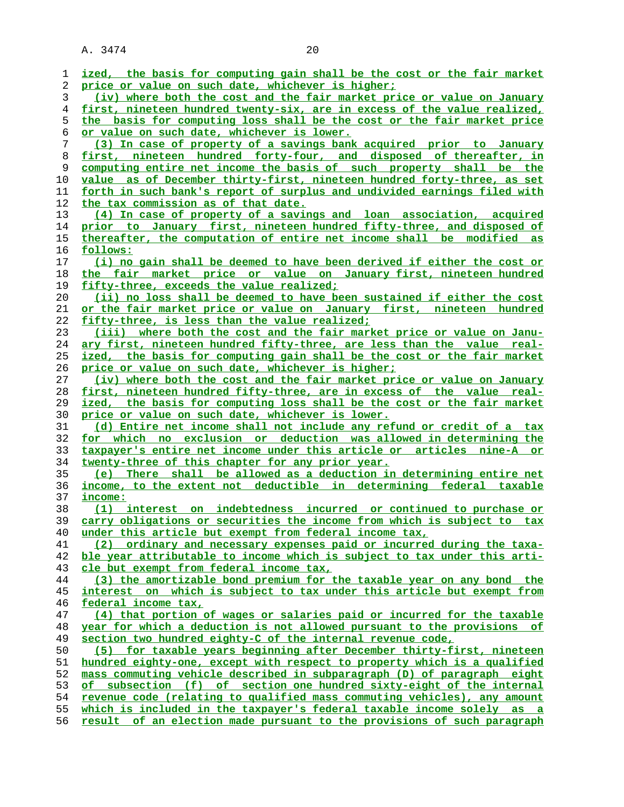| 1  | ized, the basis for computing gain shall be the cost or the fair market  |
|----|--------------------------------------------------------------------------|
| 2  | price or value on such date, whichever is higher;                        |
| 3  | (iv) where both the cost and the fair market price or value on January   |
| 4  | first, nineteen hundred twenty-six, are in excess of the value realized, |
| 5  | the basis for computing loss shall be the cost or the fair market price  |
| 6  | or value on such date, whichever is lower.                               |
| 7  | (3) In case of property of a savings bank acquired prior to January      |
| 8  | first, nineteen hundred forty-four, and disposed of thereafter, in       |
| 9  | computing entire net income the basis of such property shall be the      |
| 10 | value as of December thirty-first, nineteen hundred forty-three, as set  |
| 11 | forth in such bank's report of surplus and undivided earnings filed with |
| 12 | the tax commission as of that date.                                      |
| 13 | (4) In case of property of a savings and loan association, acquired      |
|    |                                                                          |
| 14 | prior to January first, nineteen hundred fifty-three, and disposed of    |
| 15 | thereafter, the computation of entire net income shall be modified as    |
| 16 | follows:                                                                 |
| 17 | (i) no gain shall be deemed to have been derived if either the cost or   |
| 18 | the fair market price or value on January first, nineteen hundred        |
| 19 | fifty-three, exceeds the value realized;                                 |
| 20 | (ii) no loss shall be deemed to have been sustained if either the cost   |
| 21 | or the fair market price or value on January first, nineteen hundred     |
| 22 | fifty-three, is less than the value realized;                            |
| 23 | (iii) where both the cost and the fair market price or value on Janu-    |
| 24 | ary first, nineteen hundred fifty-three, are less than the value real-   |
| 25 | ized, the basis for computing gain shall be the cost or the fair market  |
| 26 | price or value on such date, whichever is higher;                        |
| 27 | (iv) where both the cost and the fair market price or value on January   |
| 28 | first, nineteen hundred fifty-three, are in excess of the value real-    |
| 29 | ized, the basis for computing loss shall be the cost or the fair market  |
| 30 | price or value on such date, whichever is lower.                         |
| 31 | (d) Entire net income shall not include any refund or credit of a tax    |
| 32 | for which no exclusion or deduction was allowed in determining the       |
| 33 | taxpayer's entire net income under this article or articles nine-A or    |
| 34 | twenty-three of this chapter for any prior year.                         |
| 35 | (e) There shall be allowed as a deduction in determining entire net      |
| 36 | income, to the extent not deductible in determining federal taxable      |
| 37 | income:                                                                  |
| 38 | (1) interest on indebtedness incurred or continued to purchase or        |
| 39 | carry obligations or securities the income from which is subject to tax  |
| 40 | under this article but exempt from federal income tax,                   |
| 41 | ordinary and necessary expenses paid or incurred during the taxa-<br>(2) |
| 42 | ble year attributable to income which is subject to tax under this arti- |
| 43 | cle but exempt from federal income tax,                                  |
| 44 | (3) the amortizable bond premium for the taxable year on any bond the    |
| 45 | interest on which is subject to tax under this article but exempt from   |
| 46 | federal income tax,                                                      |
| 47 | (4) that portion of wages or salaries paid or incurred for the taxable   |
| 48 | year for which a deduction is not allowed pursuant to the provisions of  |
| 49 | section two hundred eighty-C of the internal revenue code,               |
| 50 | (5) for taxable years beginning after December thirty-first, nineteen    |
|    |                                                                          |
| 51 | hundred eighty-one, except with respect to property which is a qualified |
| 52 | mass commuting vehicle described in subparagraph (D) of paragraph eight  |
| 53 | subsection (f) of section one hundred sixty-eight of the internal<br>о£  |
| 54 | revenue code (relating to qualified mass commuting vehicles), any amount |
| 55 | which is included in the taxpayer's federal taxable income solely as a   |
| 56 | result of an election made pursuant to the provisions of such paragraph  |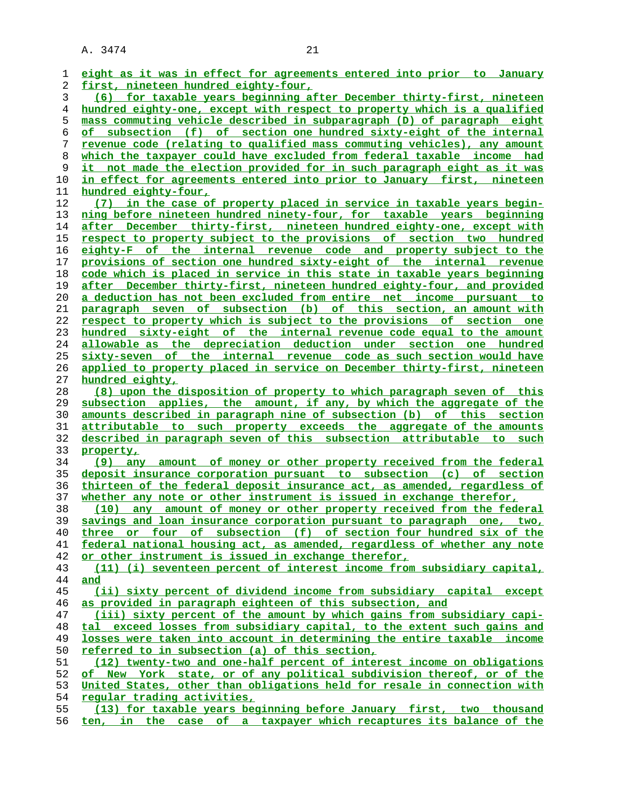| 1              | eight as it was in effect for agreements entered into prior to January                                                                    |
|----------------|-------------------------------------------------------------------------------------------------------------------------------------------|
| 2              | <u>first, nineteen hundred eighty-four,</u>                                                                                               |
| 3              | (6) for taxable years beginning after December thirty-first, nineteen                                                                     |
| $\overline{4}$ | hundred eighty-one, except with respect to property which is a qualified                                                                  |
| 5              | mass commuting vehicle described in subparagraph (D) of paragraph eight                                                                   |
| 6              | of subsection (f) of section one hundred sixty-eight of the internal                                                                      |
| 7              | revenue code (relating to qualified mass commuting vehicles), any amount                                                                  |
| 8              | which the taxpayer could have excluded from federal taxable income had                                                                    |
| 9              | it not made the election provided for in such paragraph eight as it was                                                                   |
| 10             | in effect for agreements entered into prior to January first, nineteen                                                                    |
| 11             | hundred eighty-four,                                                                                                                      |
| 12             | (7) in the case of property placed in service in taxable years begin-                                                                     |
| 13             | ning before nineteen hundred ninety-four, for taxable years beginning                                                                     |
| 14             | after December thirty-first, nineteen hundred eighty-one, except with                                                                     |
| 15             | respect to property subject to the provisions of section two hundred                                                                      |
| 16             | eighty-F of the internal revenue code and property subject to the                                                                         |
| 17             | provisions of section one hundred sixty-eight of the internal revenue                                                                     |
| 18             | code which is placed in service in this state in taxable years beginning                                                                  |
| 19             | after December thirty-first, nineteen hundred eighty-four, and provided                                                                   |
| 20             | a deduction has not been excluded from entire net income pursuant to                                                                      |
| 21             | paragraph seven of subsection (b) of this section, an amount with                                                                         |
| 22             | respect to property which is subject to the provisions of section one                                                                     |
| 23             | hundred sixty-eight of the internal revenue code equal to the amount                                                                      |
| 24             | allowable as the depreciation deduction under section one hundred                                                                         |
| 25             | sixty-seven of the internal revenue code as such section would have                                                                       |
| 26             | <u>applied to property placed in service on December thirty-first, nineteen</u>                                                           |
| 27             | hundred eighty,                                                                                                                           |
| 28             | (8) upon the disposition of property to which paragraph seven of this                                                                     |
| 29             | subsection applies, the amount, if any, by which the aggregate of the                                                                     |
| 30             | amounts described in paragraph nine of subsection (b) of this section                                                                     |
| 31             | attributable to such property exceeds the aggregate of the amounts                                                                        |
| 32             | described in paragraph seven of this subsection attributable to such                                                                      |
| 33             | property,                                                                                                                                 |
| 34             | any amount of money or other property received from the federal<br>(9)                                                                    |
| 35             | deposit insurance corporation pursuant to subsection (c) of section                                                                       |
| 36             | thirteen of the federal deposit insurance act, as amended, regardless of                                                                  |
| 37             | whether any note or other instrument is issued in exchange therefor,                                                                      |
| 38             | any amount of money or other property received from the federal<br>(10)                                                                   |
| 39             | savings and loan insurance corporation pursuant to paragraph one, two,                                                                    |
| 40             | three or four of subsection (f) of section four hundred six of the                                                                        |
| 41             | federal national housing act, as amended, regardless of whether any note                                                                  |
| 42             | or other instrument is issued in exchange therefor,                                                                                       |
| 43             | (11) (i) seventeen percent of interest income from subsidiary capital,                                                                    |
| 44             | and                                                                                                                                       |
| 45             | (ii) sixty percent of dividend income from subsidiary capital except                                                                      |
| 46             | as provided in paragraph eighteen of this subsection, and                                                                                 |
| 47             | (iii) sixty percent of the amount by which gains from subsidiary capi-                                                                    |
| 48             | exceed losses from subsidiary capital, to the extent such gains and<br>tal                                                                |
| 49             | losses were taken into account in determining the entire taxable income                                                                   |
| 50             | referred to in subsection (a) of this section,                                                                                            |
| 51             | (12) twenty-two and one-half percent of interest income on obligations                                                                    |
| 52             | of New York state, or of any political subdivision thereof, or of the                                                                     |
| 53             |                                                                                                                                           |
|                | United States, other than obligations held for resale in connection with                                                                  |
| 54             | <u>regular trading activities,</u>                                                                                                        |
| 55             | (13) for taxable years beginning before January first, two thousand<br>ten, in the case of a taxpayer which recaptures its balance of the |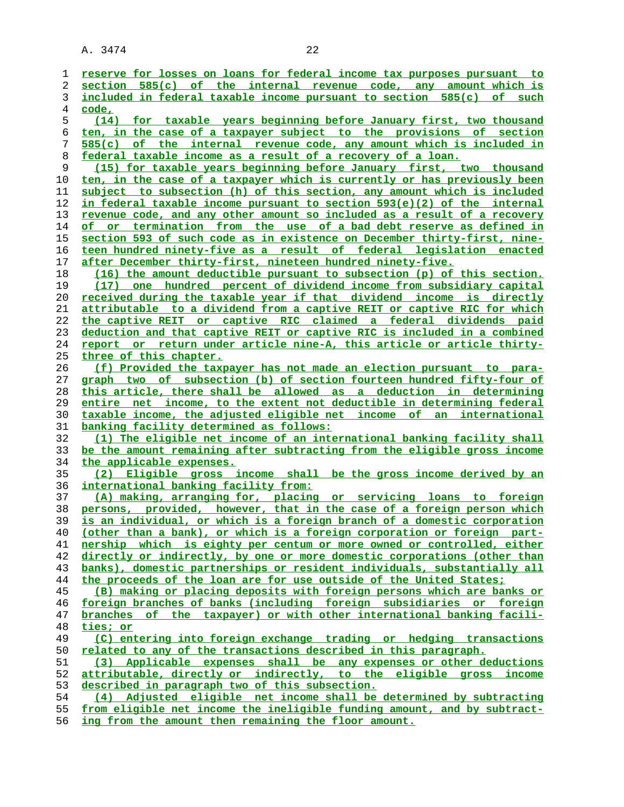| ı  | reserve for losses on loans for federal income tax purposes pursuant to  |
|----|--------------------------------------------------------------------------|
| 2  | section 585(c) of the internal revenue code, any amount which is         |
| 3  | included in federal taxable income pursuant to section 585(c) of such    |
| 4  | code,                                                                    |
| 5  | (14) for taxable years beginning before January first, two thousand      |
| 6  | ten, in the case of a taxpayer subject to the provisions of section      |
| 7  | 585(c) of the internal revenue code, any amount which is included in     |
| 8  | federal taxable income as a result of a recovery of a loan.              |
| 9  | (15) for taxable years beginning before January first, two thousand      |
| 10 | ten, in the case of a taxpayer which is currently or has previously been |
| 11 | subject to subsection (h) of this section, any amount which is included  |
| 12 | in federal taxable income pursuant to section 593(e)(2) of the internal  |
| 13 | revenue code, and any other amount so included as a result of a recovery |
| 14 | of or termination from the use of a bad debt reserve as defined in       |
| 15 | section 593 of such code as in existence on December thirty-first, nine- |
| 16 | teen hundred ninety-five as a result of federal legislation enacted      |
| 17 | after December thirty-first, nineteen hundred ninety-five.               |
| 18 | (16) the amount deductible pursuant to subsection (p) of this section.   |
| 19 | (17) one hundred percent of dividend income from subsidiary capital      |
| 20 | received during the taxable year if that dividend income is directly     |
|    | attributable to a dividend from a captive REIT or captive RIC for which  |
| 21 |                                                                          |
| 22 | the captive REIT or captive RIC claimed a federal dividends paid         |
| 23 | deduction and that captive REIT or captive RIC is included in a combined |
| 24 | report or return under article nine-A, this article or article thirty-   |
| 25 | three of this chapter.                                                   |
| 26 | (f) Provided the taxpayer has not made an election pursuant to para-     |
| 27 | graph two of subsection (b) of section fourteen hundred fifty-four of    |
| 28 | this article, there shall be allowed as a deduction in determining       |
| 29 | entire net income, to the extent not deductible in determining federal   |
| 30 | taxable income, the adjusted eligible net income of an international     |
| 31 | <u>banking facility determined as follows:</u>                           |
| 32 | (1) The eligible net income of an international banking facility shall   |
| 33 | be the amount remaining after subtracting from the eligible gross income |
| 34 | the applicable expenses.                                                 |
| 35 | (2) Eligible gross income shall be the gross income derived by an        |
| 36 | <u>international banking facility from:</u>                              |
| 37 | (A) making, arranging for, placing or servicing loans to foreign         |
| 38 | persons, provided, however, that in the case of a foreign person which   |
| 39 | is an individual, or which is a foreign branch of a domestic corporation |
| 40 | (other than a bank), or which is a foreign corporation or foreign part-  |
| 41 | nership which is eighty per centum or more owned or controlled, either   |
| 42 | directly or indirectly, by one or more domestic corporations (other than |
| 43 | banks), domestic partnerships or resident individuals, substantially all |
| 44 | the proceeds of the loan are for use outside of the United States;       |
| 45 | (B) making or placing deposits with foreign persons which are banks or   |
| 46 | foreign branches of banks (including foreign subsidiaries or foreign     |
| 47 | branches of the taxpayer) or with other international banking facili-    |
| 48 | ties; or                                                                 |
| 49 | (C) entering into foreign exchange trading or hedging transactions       |
| 50 | related to any of the transactions described in this paragraph.          |
| 51 | (3) Applicable expenses shall be any expenses or other deductions        |
| 52 | attributable, directly or indirectly, to the eligible gross income       |
| 53 | described in paragraph two of this subsection.                           |
| 54 | (4) Adjusted eligible net income shall be determined by subtracting      |
| 55 | from eligible net income the ineligible funding amount, and by subtract- |
|    |                                                                          |

**ing from the amount then remaining the floor amount.**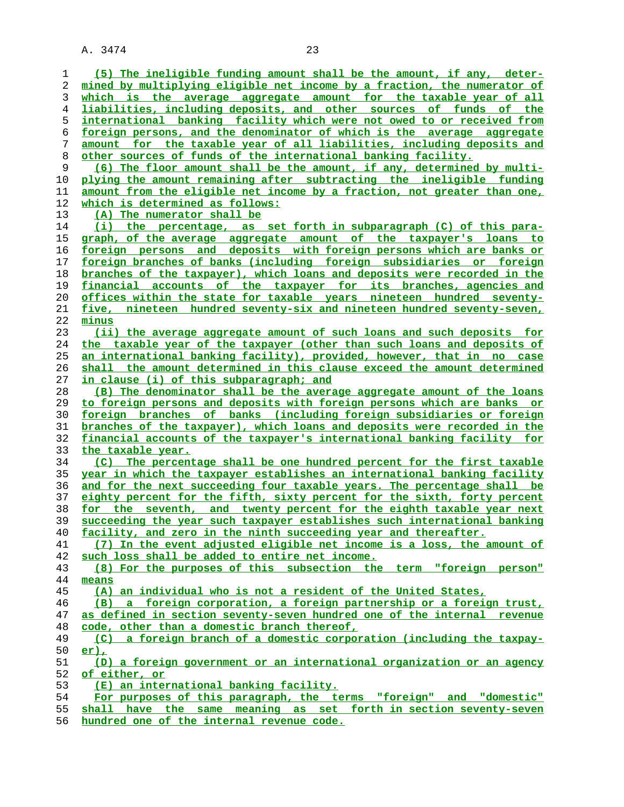**(5) The ineligible funding amount shall be the amount, if any, deter- mined by multiplying eligible net income by a fraction, the numerator of which is the average aggregate amount for the taxable year of all liabilities, including deposits, and other sources of funds of the international banking facility which were not owed to or received from foreign persons, and the denominator of which is the average aggregate amount for the taxable year of all liabilities, including deposits and other sources of funds of the international banking facility. (6) The floor amount shall be the amount, if any, determined by multi- plying the amount remaining after subtracting the ineligible funding amount from the eligible net income by a fraction, not greater than one, which is determined as follows: (A) The numerator shall be (i) the percentage, as set forth in subparagraph (C) of this para- graph, of the average aggregate amount of the taxpayer's loans to foreign persons and deposits with foreign persons which are banks or foreign branches of banks (including foreign subsidiaries or foreign branches of the taxpayer), which loans and deposits were recorded in the financial accounts of the taxpayer for its branches, agencies and offices within the state for taxable years nineteen hundred seventy- five, nineteen hundred seventy-six and nineteen hundred seventy-seven, minus (ii) the average aggregate amount of such loans and such deposits for the taxable year of the taxpayer (other than such loans and deposits of an international banking facility), provided, however, that in no case shall the amount determined in this clause exceed the amount determined in clause (i) of this subparagraph; and (B) The denominator shall be the average aggregate amount of the loans to foreign persons and deposits with foreign persons which are banks or foreign branches of banks (including foreign subsidiaries or foreign branches of the taxpayer), which loans and deposits were recorded in the financial accounts of the taxpayer's international banking facility for the taxable year. (C) The percentage shall be one hundred percent for the first taxable year in which the taxpayer establishes an international banking facility and for the next succeeding four taxable years. The percentage shall be eighty percent for the fifth, sixty percent for the sixth, forty percent for the seventh, and twenty percent for the eighth taxable year next succeeding the year such taxpayer establishes such international banking facility, and zero in the ninth succeeding year and thereafter. (7) In the event adjusted eligible net income is a loss, the amount of such loss shall be added to entire net income. (8) For the purposes of this subsection the term "foreign person" means (A) an individual who is not a resident of the United States, (B) a foreign corporation, a foreign partnership or a foreign trust, as defined in section seventy-seven hundred one of the internal revenue code, other than a domestic branch thereof, (C) a foreign branch of a domestic corporation (including the taxpay- er), (D) a foreign government or an international organization or an agency of either, or (E) an international banking facility. For purposes of this paragraph, the terms "foreign" and "domestic" shall have the same meaning as set forth in section seventy-seven**

**hundred one of the internal revenue code.**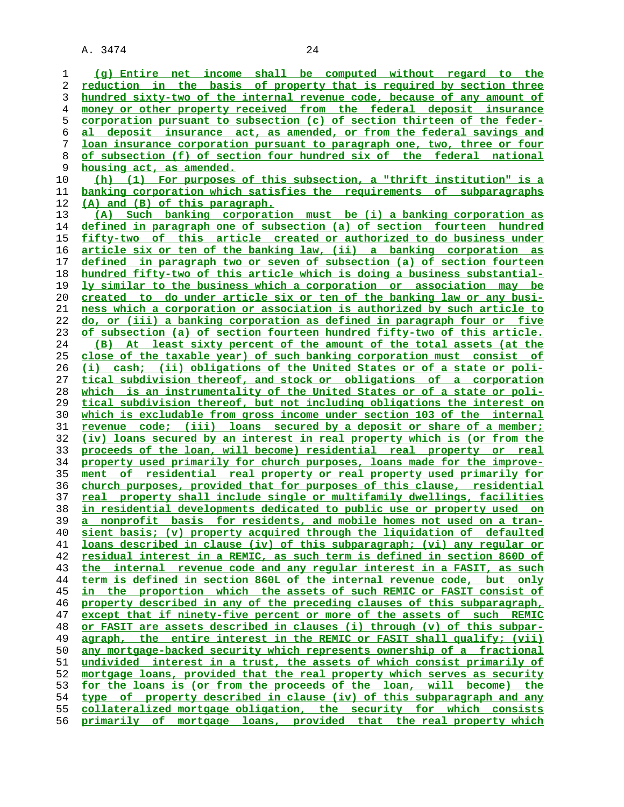**(g) Entire net income shall be computed without regard to the reduction in the basis of property that is required by section three hundred sixty-two of the internal revenue code, because of any amount of money or other property received from the federal deposit insurance corporation pursuant to subsection (c) of section thirteen of the feder- al deposit insurance act, as amended, or from the federal savings and loan insurance corporation pursuant to paragraph one, two, three or four of subsection (f) of section four hundred six of the federal national housing act, as amended. (h) (1) For purposes of this subsection, a "thrift institution" is a banking corporation which satisfies the requirements of subparagraphs (A) and (B) of this paragraph. (A) Such banking corporation must be (i) a banking corporation as defined in paragraph one of subsection (a) of section fourteen hundred fifty-two of this article created or authorized to do business under article six or ten of the banking law, (ii) a banking corporation as defined in paragraph two or seven of subsection (a) of section fourteen hundred fifty-two of this article which is doing a business substantial- ly similar to the business which a corporation or association may be created to do under article six or ten of the banking law or any busi- ness which a corporation or association is authorized by such article to do, or (iii) a banking corporation as defined in paragraph four or five of subsection (a) of section fourteen hundred fifty-two of this article. (B) At least sixty percent of the amount of the total assets (at the close of the taxable year) of such banking corporation must consist of (i) cash; (ii) obligations of the United States or of a state or poli- tical subdivision thereof, and stock or obligations of a corporation which is an instrumentality of the United States or of a state or poli- tical subdivision thereof, but not including obligations the interest on which is excludable from gross income under section 103 of the internal revenue code; (iii) loans secured by a deposit or share of a member; (iv) loans secured by an interest in real property which is (or from the proceeds of the loan, will become) residential real property or real property used primarily for church purposes, loans made for the improve- ment of residential real property or real property used primarily for church purposes, provided that for purposes of this clause, residential real property shall include single or multifamily dwellings, facilities in residential developments dedicated to public use or property used on a nonprofit basis for residents, and mobile homes not used on a tran- sient basis; (v) property acquired through the liquidation of defaulted loans described in clause (iv) of this subparagraph; (vi) any regular or residual interest in a REMIC, as such term is defined in section 860D of the internal revenue code and any regular interest in a FASIT, as such term is defined in section 860L of the internal revenue code, but only in the proportion which the assets of such REMIC or FASIT consist of property described in any of the preceding clauses of this subparagraph, except that if ninety-five percent or more of the assets of such REMIC or FASIT are assets described in clauses (i) through (v) of this subpar- agraph, the entire interest in the REMIC or FASIT shall qualify; (vii) any mortgage-backed security which represents ownership of a fractional undivided interest in a trust, the assets of which consist primarily of mortgage loans, provided that the real property which serves as security for the loans is (or from the proceeds of the loan, will become) the type of property described in clause (iv) of this subparagraph and any collateralized mortgage obligation, the security for which consists primarily of mortgage loans, provided that the real property which**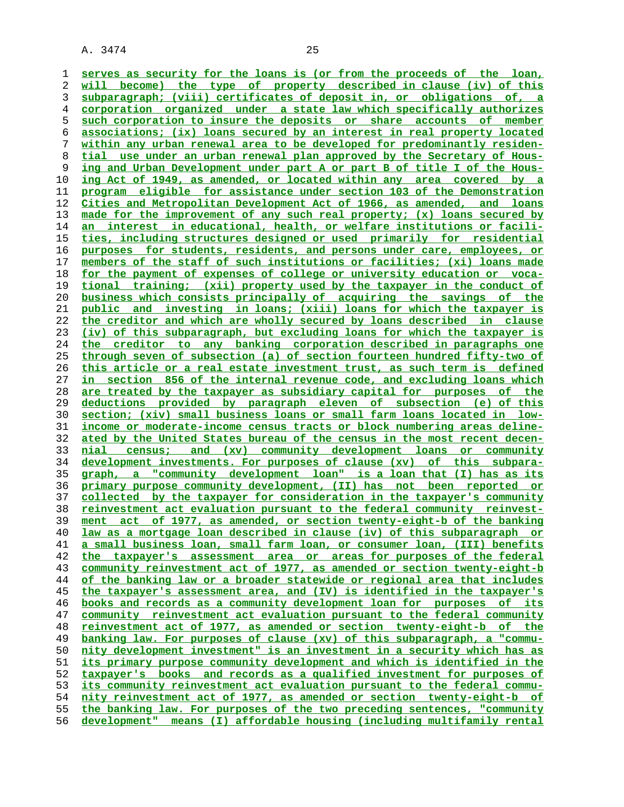**serves as security for the loans is (or from the proceeds of the loan, will become) the type of property described in clause (iv) of this subparagraph; (viii) certificates of deposit in, or obligations of, a corporation organized under a state law which specifically authorizes such corporation to insure the deposits or share accounts of member associations; (ix) loans secured by an interest in real property located within any urban renewal area to be developed for predominantly residen- tial use under an urban renewal plan approved by the Secretary of Hous- ing and Urban Development under part A or part B of title I of the Hous- ing Act of 1949, as amended, or located within any area covered by a program eligible for assistance under section 103 of the Demonstration Cities and Metropolitan Development Act of 1966, as amended, and loans made for the improvement of any such real property; (x) loans secured by an interest in educational, health, or welfare institutions or facili- ties, including structures designed or used primarily for residential purposes for students, residents, and persons under care, employees, or members of the staff of such institutions or facilities; (xi) loans made for the payment of expenses of college or university education or voca- tional training; (xii) property used by the taxpayer in the conduct of business which consists principally of acquiring the savings of the public and investing in loans; (xiii) loans for which the taxpayer is the creditor and which are wholly secured by loans described in clause (iv) of this subparagraph, but excluding loans for which the taxpayer is the creditor to any banking corporation described in paragraphs one through seven of subsection (a) of section fourteen hundred fifty-two of this article or a real estate investment trust, as such term is defined in section 856 of the internal revenue code, and excluding loans which are treated by the taxpayer as subsidiary capital for purposes of the deductions provided by paragraph eleven of subsection (e) of this section; (xiv) small business loans or small farm loans located in low- income or moderate-income census tracts or block numbering areas deline- ated by the United States bureau of the census in the most recent decen- nial census; and (xv) community development loans or community development investments. For purposes of clause (xv) of this subpara- graph, a "community development loan" is a loan that (I) has as its primary purpose community development, (II) has not been reported or collected by the taxpayer for consideration in the taxpayer's community reinvestment act evaluation pursuant to the federal community reinvest- ment act of 1977, as amended, or section twenty-eight-b of the banking law as a mortgage loan described in clause (iv) of this subparagraph or a small business loan, small farm loan, or consumer loan, (III) benefits the taxpayer's assessment area or areas for purposes of the federal community reinvestment act of 1977, as amended or section twenty-eight-b of the banking law or a broader statewide or regional area that includes the taxpayer's assessment area, and (IV) is identified in the taxpayer's books and records as a community development loan for purposes of its community reinvestment act evaluation pursuant to the federal community reinvestment act of 1977, as amended or section twenty-eight-b of the banking law. For purposes of clause (xv) of this subparagraph, a "commu- nity development investment" is an investment in a security which has as its primary purpose community development and which is identified in the taxpayer's books and records as a qualified investment for purposes of its community reinvestment act evaluation pursuant to the federal commu- nity reinvestment act of 1977, as amended or section twenty-eight-b of the banking law. For purposes of the two preceding sentences, "community development" means (I) affordable housing (including multifamily rental**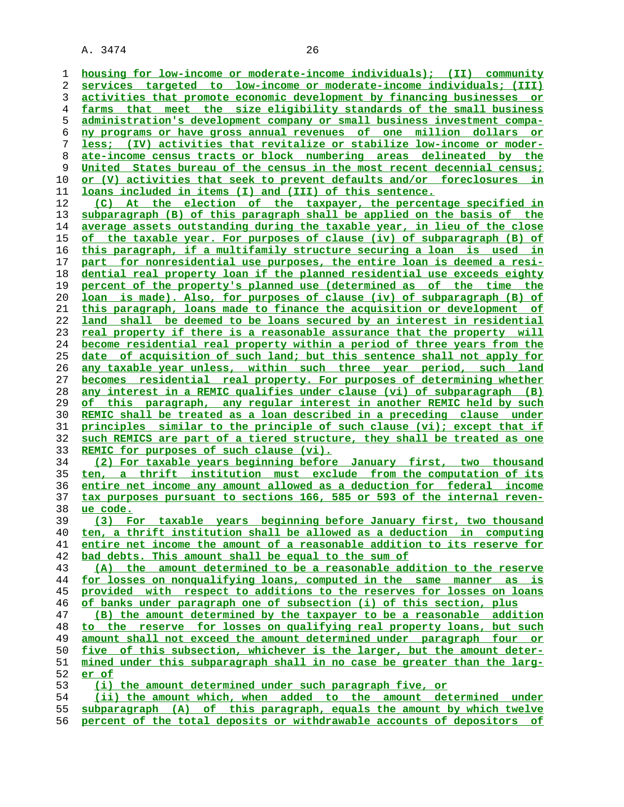**housing for low-income or moderate-income individuals); (II) community services targeted to low-income or moderate-income individuals; (III) activities that promote economic development by financing businesses or farms that meet the size eligibility standards of the small business administration's development company or small business investment compa- ny programs or have gross annual revenues of one million dollars or less; (IV) activities that revitalize or stabilize low-income or moder- ate-income census tracts or block numbering areas delineated by the**

**United States bureau of the census in the most recent decennial census; or (V) activities that seek to prevent defaults and/or foreclosures in loans included in items (I) and (III) of this sentence.**

**(C) At the election of the taxpayer, the percentage specified in subparagraph (B) of this paragraph shall be applied on the basis of the average assets outstanding during the taxable year, in lieu of the close of the taxable year. For purposes of clause (iv) of subparagraph (B) of this paragraph, if a multifamily structure securing a loan is used in part for nonresidential use purposes, the entire loan is deemed a resi- dential real property loan if the planned residential use exceeds eighty percent of the property's planned use (determined as of the time the loan is made). Also, for purposes of clause (iv) of subparagraph (B) of this paragraph, loans made to finance the acquisition or development of land shall be deemed to be loans secured by an interest in residential real property if there is a reasonable assurance that the property will become residential real property within a period of three years from the date of acquisition of such land; but this sentence shall not apply for any taxable year unless, within such three year period, such land becomes residential real property. For purposes of determining whether any interest in a REMIC qualifies under clause (vi) of subparagraph (B) of this paragraph, any regular interest in another REMIC held by such REMIC shall be treated as a loan described in a preceding clause under principles similar to the principle of such clause (vi); except that if such REMICS are part of a tiered structure, they shall be treated as one REMIC for purposes of such clause (vi).**

**(2) For taxable years beginning before January first, two thousand ten, a thrift institution must exclude from the computation of its entire net income any amount allowed as a deduction for federal income tax purposes pursuant to sections 166, 585 or 593 of the internal reven- ue code.**

**(3) For taxable years beginning before January first, two thousand ten, a thrift institution shall be allowed as a deduction in computing entire net income the amount of a reasonable addition to its reserve for bad debts. This amount shall be equal to the sum of**

**(A) the amount determined to be a reasonable addition to the reserve for losses on nonqualifying loans, computed in the same manner as is provided with respect to additions to the reserves for losses on loans of banks under paragraph one of subsection (i) of this section, plus**

**(B) the amount determined by the taxpayer to be a reasonable addition to the reserve for losses on qualifying real property loans, but such amount shall not exceed the amount determined under paragraph four or five of this subsection, whichever is the larger, but the amount deter- mined under this subparagraph shall in no case be greater than the larg- er of**

**(i) the amount determined under such paragraph five, or**

**(ii) the amount which, when added to the amount determined under subparagraph (A) of this paragraph, equals the amount by which twelve percent of the total deposits or withdrawable accounts of depositors of**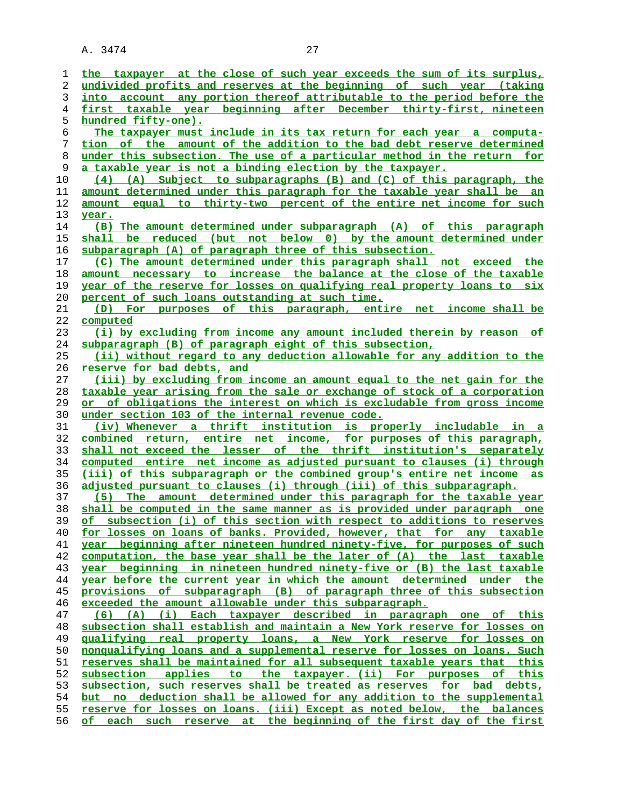| 1        | the taxpayer at the close of such year exceeds the sum of its surplus,                                                                        |
|----------|-----------------------------------------------------------------------------------------------------------------------------------------------|
| 2        | undivided profits and reserves at the beginning of such year (taking                                                                          |
| 3        | into account any portion thereof attributable to the period before the                                                                        |
|          |                                                                                                                                               |
| 4        | first taxable year beginning after December thirty-first, nineteen                                                                            |
| 5        | <u>hundred fifty-one).</u>                                                                                                                    |
| 6        | The taxpayer must include in its tax return for each year a computa-                                                                          |
| 7        | tion of the amount of the addition to the bad debt reserve determined                                                                         |
| 8        | under this subsection. The use of a particular method in the return for                                                                       |
| 9        | a taxable year is not a binding election by the taxpayer.                                                                                     |
|          |                                                                                                                                               |
| 10       | (4) (A) Subject to subparagraphs (B) and (C) of this paragraph, the                                                                           |
| 11       | <u>amount determined under this paragraph for the taxable year shall be an</u>                                                                |
| 12       | amount equal to thirty-two percent of the entire net income for such                                                                          |
| 13       | year.                                                                                                                                         |
| 14       | (B) The amount determined under subparagraph (A) of this paragraph                                                                            |
| 15       |                                                                                                                                               |
|          | shall be reduced (but not below 0) by the amount determined under                                                                             |
| 16       | subparagraph (A) of paragraph three of this subsection.                                                                                       |
| 17       | (C) The amount determined under this paragraph shall not exceed the                                                                           |
| 18       | amount necessary to increase the balance at the close of the taxable                                                                          |
| 19       | year of the reserve for losses on qualifying real property loans to six                                                                       |
| 20       | percent of such loans outstanding at such time.                                                                                               |
|          |                                                                                                                                               |
| 21       | (D) For purposes of this paragraph, entire net income shall be                                                                                |
| 22       | computed                                                                                                                                      |
| 23       | (i) by excluding from income any amount included therein by reason of                                                                         |
| 24       | subparagraph (B) of paragraph eight of this subsection,                                                                                       |
| 25       | (ii) without regard to any deduction allowable for any addition to the                                                                        |
| 26       | reserve for bad debts, and                                                                                                                    |
|          |                                                                                                                                               |
| 27       | (iii) by excluding from income an amount equal to the net gain for the                                                                        |
| 28       | taxable year arising from the sale or exchange of stock of a corporation                                                                      |
|          |                                                                                                                                               |
| 29       | <u>or of obligations the interest on which is excludable from gross income</u>                                                                |
| 30       | under section 103 of the internal revenue code.                                                                                               |
|          |                                                                                                                                               |
| 31       | (iv) Whenever a thrift institution is properly includable in a                                                                                |
| 32       | combined return, entire net income, for purposes of this paragraph,                                                                           |
| 33       | shall not exceed the lesser of the thrift institution's separately                                                                            |
| 34       | computed entire net income as adjusted pursuant to clauses (i) through                                                                        |
| 35       | (iii) of this subparagraph or the combined group's entire net income as                                                                       |
| 36       | <u>adjusted pursuant to clauses (i) through (iii) of this subparagraph.</u>                                                                   |
|          |                                                                                                                                               |
| 37       | (5) The amount determined under this paragraph for the taxable year                                                                           |
| 38       | shall be computed in the same manner as is provided under paragraph one                                                                       |
| 39       | of subsection (i) of this section with respect to additions to reserves                                                                       |
| 40       | for losses on loans of banks. Provided, however, that for any taxable                                                                         |
| 41       | year beginning after nineteen hundred ninety-five, for purposes of such                                                                       |
| 42       | computation, the base year shall be the later of (A) the last taxable                                                                         |
| 43       |                                                                                                                                               |
|          | year beginning in nineteen hundred ninety-five or (B) the last taxable                                                                        |
| 44       | year before the current year in which the amount determined under the                                                                         |
| 45       | provisions of subparagraph (B) of paragraph three of this subsection                                                                          |
| 46       | exceeded the amount allowable under this subparagraph.                                                                                        |
| 47       | (6) (A) (i) Each taxpayer described in paragraph one of this                                                                                  |
| 48       | subsection shall establish and maintain a New York reserve for losses on                                                                      |
| 49       | <u>qualifying real property loans, a New York reserve for losses_on</u>                                                                       |
| 50       | nonqualifying loans and a supplemental reserve for losses on loans. Such                                                                      |
|          |                                                                                                                                               |
| 51       | reserves shall be maintained for all subsequent taxable years that this                                                                       |
| 52       | subsection applies to the taxpayer. (ii) For purposes<br>of this                                                                              |
| 53       | subsection, such reserves shall be treated as reserves for bad debts,                                                                         |
| 54       | but no deduction shall be allowed for any addition to the supplemental                                                                        |
| 55<br>56 | reserve for losses on loans. (iii) Except as noted below, the balances<br>of each such reserve at the beginning of the first day of the first |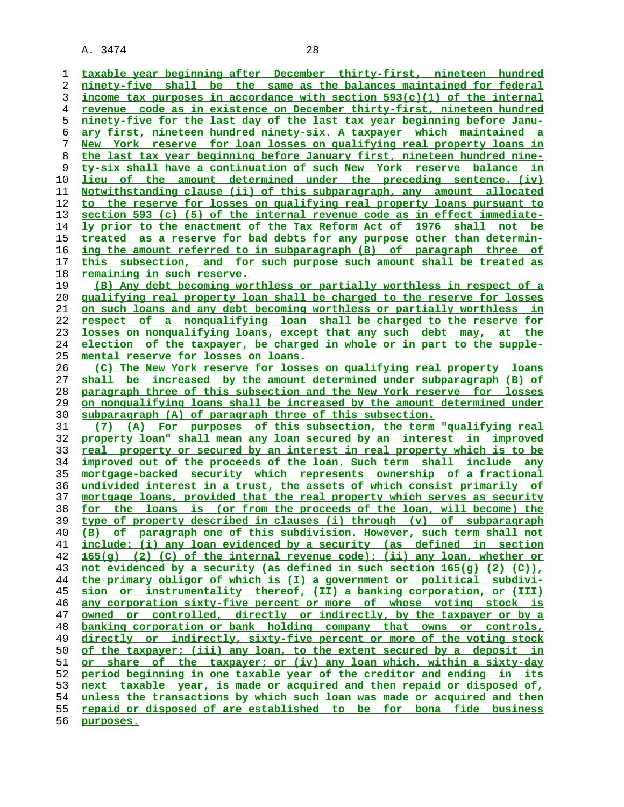**taxable year beginning after December thirty-first, nineteen hundred ninety-five shall be the same as the balances maintained for federal income tax purposes in accordance with section 593(c)(1) of the internal revenue code as in existence on December thirty-first, nineteen hundred ninety-five for the last day of the last tax year beginning before Janu- ary first, nineteen hundred ninety-six. A taxpayer which maintained a New York reserve for loan losses on qualifying real property loans in the last tax year beginning before January first, nineteen hundred nine- ty-six shall have a continuation of such New York reserve balance in lieu of the amount determined under the preceding sentence. (iv) Notwithstanding clause (ii) of this subparagraph, any amount allocated to the reserve for losses on qualifying real property loans pursuant to section 593 (c) (5) of the internal revenue code as in effect immediate- ly prior to the enactment of the Tax Reform Act of 1976 shall not be treated as a reserve for bad debts for any purpose other than determin- ing the amount referred to in subparagraph (B) of paragraph three of this subsection, and for such purpose such amount shall be treated as remaining in such reserve. (B) Any debt becoming worthless or partially worthless in respect of a qualifying real property loan shall be charged to the reserve for losses on such loans and any debt becoming worthless or partially worthless in respect of a nonqualifying loan shall be charged to the reserve for losses on nonqualifying loans, except that any such debt may, at the election of the taxpayer, be charged in whole or in part to the supple- mental reserve for losses on loans. (C) The New York reserve for losses on qualifying real property loans shall be increased by the amount determined under subparagraph (B) of paragraph three of this subsection and the New York reserve for losses on nonqualifying loans shall be increased by the amount determined under subparagraph (A) of paragraph three of this subsection. (7) (A) For purposes of this subsection, the term "qualifying real property loan" shall mean any loan secured by an interest in improved real property or secured by an interest in real property which is to be improved out of the proceeds of the loan. Such term shall include any mortgage-backed security which represents ownership of a fractional undivided interest in a trust, the assets of which consist primarily of mortgage loans, provided that the real property which serves as security for the loans is (or from the proceeds of the loan, will become) the type of property described in clauses (i) through (v) of subparagraph (B) of paragraph one of this subdivision. However, such term shall not include: (i) any loan evidenced by a security (as defined in section 165(g) (2) (C) of the internal revenue code); (ii) any loan, whether or not evidenced by a security (as defined in such section 165(g) (2) (C)), the primary obligor of which is (I) a government or political subdivi- sion or instrumentality thereof, (II) a banking corporation, or (III) any corporation sixty-five percent or more of whose voting stock is owned or controlled, directly or indirectly, by the taxpayer or by a banking corporation or bank holding company that owns or controls, directly or indirectly, sixty-five percent or more of the voting stock of the taxpayer; (iii) any loan, to the extent secured by a deposit in or share of the taxpayer; or (iv) any loan which, within a sixty-day period beginning in one taxable year of the creditor and ending in its next taxable year, is made or acquired and then repaid or disposed of, unless the transactions by which such loan was made or acquired and then repaid or disposed of are established to be for bona fide business purposes.**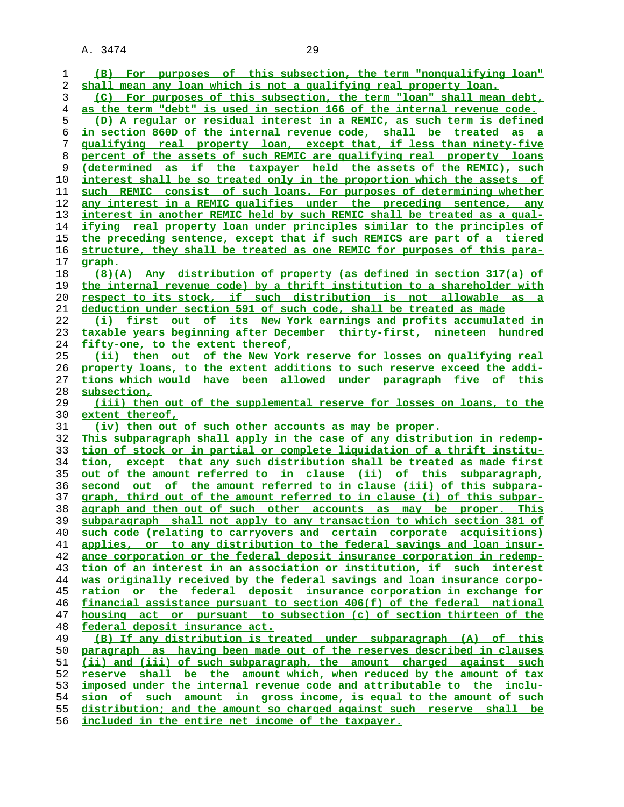| 1  | (B) For purposes of this subsection, the term "nonqualifying loan"       |
|----|--------------------------------------------------------------------------|
| 2  | shall mean any loan which is not a qualifying real property loan.        |
| 3  | For purposes of this subsection, the term "loan" shall mean debt,<br>(C) |
| 4  | as the term "debt" is used in section 166 of the internal revenue code.  |
| 5  | (D) A reqular or residual interest in a REMIC, as such term is defined   |
| 6  | in section 860D of the internal revenue code, shall be treated as a      |
| 7  | qualifying real property loan, except that, if less than ninety-five     |
|    |                                                                          |
| 8  | percent of the assets of such REMIC are qualifying real property loans   |
| 9  | (determined as if the taxpayer held the assets of the REMIC), such       |
| 10 | interest shall be so treated only in the proportion which the assets of  |
| 11 | such REMIC consist of such loans. For purposes of determining whether    |
| 12 | any interest in a REMIC qualifies under the preceding sentence, any      |
| 13 | interest in another REMIC held by such REMIC shall be treated as a qual- |
| 14 | ifying real property loan under principles similar to the principles of  |
| 15 | the preceding sentence, except that if such REMICS are part of a tiered  |
| 16 | structure, they shall be treated as one REMIC for purposes of this para- |
| 17 | <u>graph.</u>                                                            |
| 18 | $(8)(A)$ Any distribution of property (as defined in section 317(a) of   |
|    |                                                                          |
| 19 | the internal revenue code) by a thrift institution to a shareholder with |
| 20 | respect to its stock, if such distribution is not allowable as a         |
| 21 | deduction under section 591 of such code, shall be treated as made       |
| 22 | (i) first out of its New York earnings and profits accumulated in        |
| 23 | taxable years beginning after December thirty-first, nineteen hundred    |
| 24 | fifty-one, to the extent thereof,                                        |
| 25 | (ii) then out of the New York reserve for losses on qualifying real      |
| 26 | property loans, to the extent additions to such reserve exceed the addi- |
| 27 | tions which would have been allowed under paragraph five of this         |
| 28 | subsection,                                                              |
| 29 | (iii) then out of the supplemental reserve for losses on loans, to the   |
|    |                                                                          |
|    |                                                                          |
| 30 | extent thereof,                                                          |
| 31 | (iv) then out of such other accounts as may be proper.                   |
| 32 | This subparagraph shall apply in the case of any distribution in redemp- |
| 33 | tion of stock or in partial or complete liquidation of a thrift institu- |
| 34 | tion, except that any such distribution shall be treated as made first   |
| 35 | out of the amount referred to in clause (ii) of this subparagraph,       |
| 36 | second out of the amount referred to in clause (iii) of this subpara-    |
| 37 | graph, third out of the amount referred to in clause (i) of this subpar- |
| 38 | agraph and then out of such other accounts as may be proper. This        |
| 39 | subparagraph shall not apply to any transaction to which section 381 of  |
| 40 | such code (relating to carryovers and certain corporate acquisitions)    |
| 41 | applies, or to any distribution to the federal savings and loan insur-   |
| 42 | ance corporation or the federal deposit insurance corporation in redemp- |
| 43 | tion of an interest in an association or institution, if such interest   |
| 44 | was originally received by the federal savings and loan insurance corpo- |
| 45 | ration or the federal deposit insurance corporation in exchange for      |
| 46 | financial assistance pursuant to section 406(f) of the federal national  |
| 47 | housing act or pursuant to subsection (c) of section thirteen of the     |
| 48 | federal deposit insurance act.                                           |
| 49 | (B) If any distribution is treated under subparagraph (A) of this        |
| 50 | paragraph as having been made out of the reserves described in clauses   |
| 51 | (ii) and (iii) of such subparagraph, the amount charged against such     |
| 52 | reserve shall be the amount which, when reduced by the amount of tax     |
| 53 | imposed under the internal revenue code and attributable to the inclu-   |
| 54 | sion of such amount in gross income, is equal to the amount of such      |
| 55 | distribution; and the amount so charged against such reserve shall be    |

**included in the entire net income of the taxpayer.**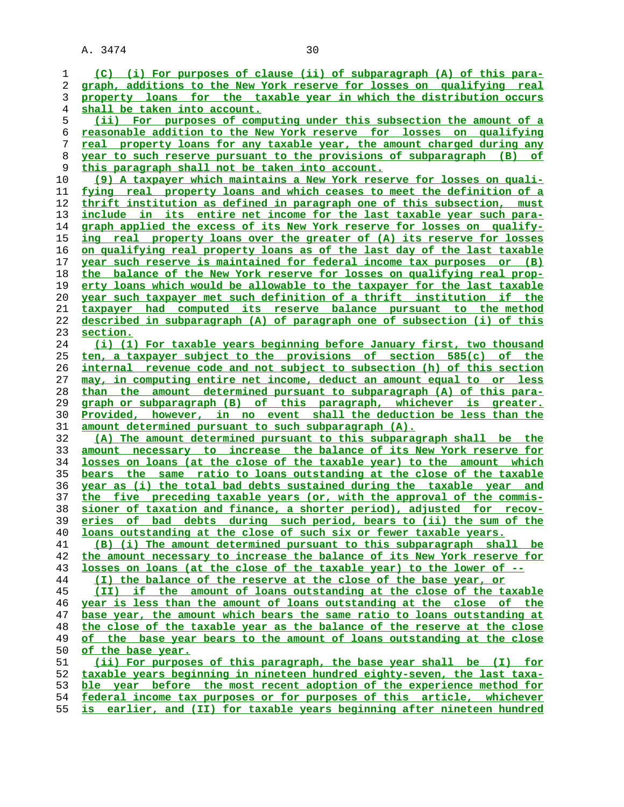**(C) (i) For purposes of clause (ii) of subparagraph (A) of this para- graph, additions to the New York reserve for losses on qualifying real property loans for the taxable year in which the distribution occurs shall be taken into account. (ii) For purposes of computing under this subsection the amount of a reasonable addition to the New York reserve for losses on qualifying real property loans for any taxable year, the amount charged during any year to such reserve pursuant to the provisions of subparagraph (B) of this paragraph shall not be taken into account. (9) A taxpayer which maintains a New York reserve for losses on quali- fying real property loans and which ceases to meet the definition of a thrift institution as defined in paragraph one of this subsection, must include in its entire net income for the last taxable year such para** graph applied the excess of its New York reserve for losses on qualify-**ing real property loans over the greater of (A) its reserve for losses on qualifying real property loans as of the last day of the last taxable year such reserve is maintained for federal income tax purposes or (B) the balance of the New York reserve for losses on qualifying real prop- erty loans which would be allowable to the taxpayer for the last taxable year such taxpayer met such definition of a thrift institution if the taxpayer had computed its reserve balance pursuant to the method described in subparagraph (A) of paragraph one of subsection (i) of this section. (i) (1) For taxable years beginning before January first, two thousand ten, a taxpayer subject to the provisions of section 585(c) of the internal revenue code and not subject to subsection (h) of this section may, in computing entire net income, deduct an amount equal to or less than the amount determined pursuant to subparagraph (A) of this para- graph or subparagraph (B) of this paragraph, whichever is greater. Provided, however, in no event shall the deduction be less than the amount determined pursuant to such subparagraph (A). (A) The amount determined pursuant to this subparagraph shall be the amount necessary to increase the balance of its New York reserve for losses on loans (at the close of the taxable year) to the amount which bears the same ratio to loans outstanding at the close of the taxable year as (i) the total bad debts sustained during the taxable year and the five preceding taxable years (or, with the approval of the commis- sioner of taxation and finance, a shorter period), adjusted for recov- eries of bad debts during such period, bears to (ii) the sum of the loans outstanding at the close of such six or fewer taxable years. (B) (i) The amount determined pursuant to this subparagraph shall be the amount necessary to increase the balance of its New York reserve for losses on loans (at the close of the taxable year) to the lower of -- (I) the balance of the reserve at the close of the base year, or (II) if the amount of loans outstanding at the close of the taxable year is less than the amount of loans outstanding at the close of the**

**base year, the amount which bears the same ratio to loans outstanding at the close of the taxable year as the balance of the reserve at the close of the base year bears to the amount of loans outstanding at the close of the base year.**

**(ii) For purposes of this paragraph, the base year shall be (I) for taxable years beginning in nineteen hundred eighty-seven, the last taxa- ble year before the most recent adoption of the experience method for federal income tax purposes or for purposes of this article, whichever is earlier, and (II) for taxable years beginning after nineteen hundred**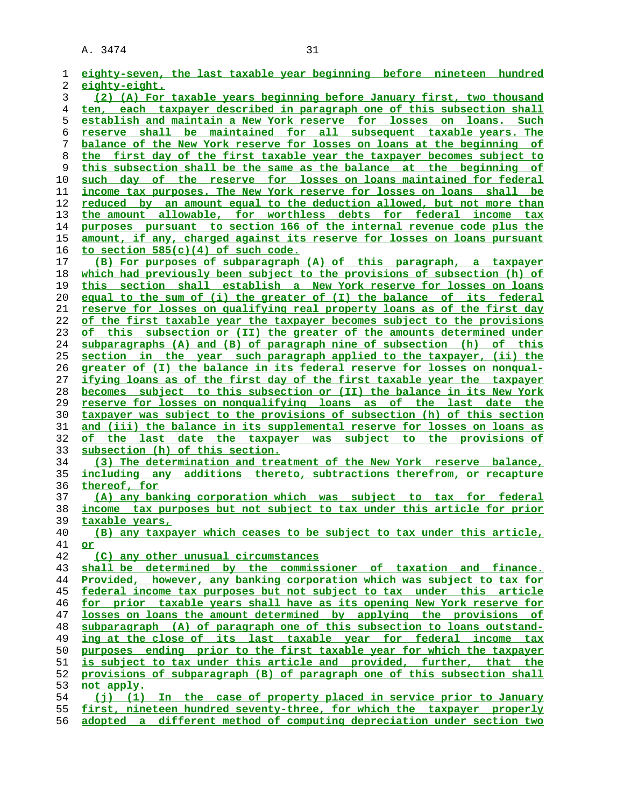| ı  | eighty-seven, the last taxable year beginning before nineteen hundred     |
|----|---------------------------------------------------------------------------|
| 2  | eighty-eight.                                                             |
| 3  | (2) (A) For taxable years beginning before January first, two thousand    |
| 4  | ten, each taxpayer described in paragraph one of this subsection shall    |
| 5  | establish and maintain a New York reserve for losses on loans. Such       |
| 6  | reserve shall be maintained for all subsequent taxable years. The         |
| 7  | balance of the New York reserve for losses on loans at the beginning of   |
| 8  | the first day of the first taxable year the taxpayer becomes subject to   |
| 9  | this subsection shall be the same as the balance at the beginning<br>оf   |
| 10 | such day of the reserve for losses on loans maintained for federal        |
| 11 | income tax purposes. The New York reserve for losses on loans shall be    |
| 12 | reduced by an amount equal to the deduction allowed, but not more than    |
| 13 | the amount allowable, for worthless debts for federal income tax          |
| 14 | purposes pursuant to section 166 of the internal revenue code plus the    |
| 15 | amount, if any, charged against its reserve for losses on loans pursuant  |
| 16 | to section $585(c)(4)$ of such code.                                      |
| 17 | (B) For purposes of subparagraph (A) of this paragraph, a taxpayer        |
| 18 | which had previously been subject to the provisions of subsection (h) of  |
| 19 | this section shall establish a New York reserve for losses on loans       |
| 20 | equal to the sum of (i) the greater of (I) the balance of its federal     |
| 21 | reserve for losses on qualifying real property loans as of the first day  |
| 22 | of the first taxable year the taxpayer becomes subject to the provisions  |
| 23 | this subsection or (II) the greater of the amounts determined under<br>of |
| 24 | subparagraphs (A) and (B) of paragraph nine of subsection (h) of this     |
| 25 | section in the year such paragraph applied to the taxpayer, (ii) the      |
| 26 | greater of (I) the balance in its federal reserve for losses on nonqual-  |
| 27 | ifying loans as of the first day of the first taxable year the taxpayer   |
| 28 | becomes subject to this subsection or (II) the balance in its New York    |
| 29 | reserve for losses on nonqualifying loans as of the last date the         |
| 30 | taxpayer was subject to the provisions of subsection (h) of this section  |
| 31 | and (iii) the balance in its supplemental reserve for losses on loans as  |
| 32 | of the last date the taxpayer was subject to the provisions of            |
| 33 | subsection (h) of this section.                                           |
| 34 | (3) The determination and treatment of the New York reserve balance,      |
| 35 | including any additions thereto, subtractions therefrom, or recapture     |
| 36 | thereof, for                                                              |
| 37 | (A) any banking corporation which was subject to tax for federal          |
| 38 | income tax purposes but not subject to tax under this article for prior   |
| 39 | taxable years,                                                            |
| 40 | (B) any taxpayer which ceases to be subject to tax under this article,    |
| 41 | or                                                                        |
| 42 | (C) any other unusual circumstances                                       |
| 43 | shall be determined by the commissioner of taxation and finance.          |
| 44 | Provided, however, any banking corporation which was subject to tax for   |
| 45 | federal income tax purposes but not subject to tax under this article     |
| 46 | for prior taxable years shall have as its opening New York reserve for    |
| 47 | losses on loans the amount determined by applying the provisions of       |
| 48 | subparagraph (A) of paragraph one of this subsection to loans outstand-   |
| 49 | ing at the close of its last taxable year for federal income tax          |
| 50 | purposes ending prior to the first taxable year for which the taxpayer    |
| 51 | is subject to tax under this article and provided, further, that the      |
| 52 | provisions of subparagraph (B) of paragraph one of this subsection shall  |
| 53 | not apply.                                                                |
| 54 | (j) (1) In the case of property placed in service prior to January        |
| 55 | first, nineteen hundred seventy-three, for which the taxpayer properly    |
| 56 | adopted a different method of computing depreciation under section two    |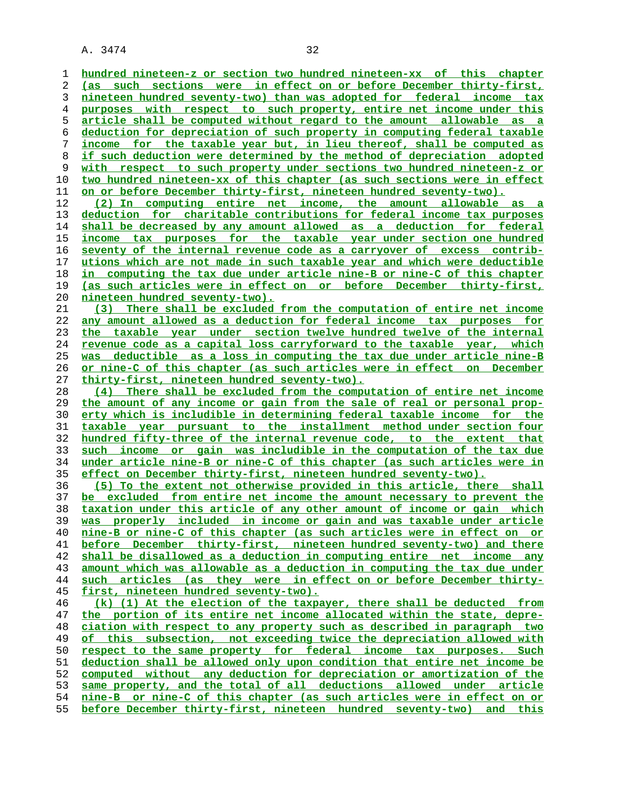**hundred nineteen-z or section two hundred nineteen-xx of this chapter (as such sections were in effect on or before December thirty-first, nineteen hundred seventy-two) than was adopted for federal income tax purposes with respect to such property, entire net income under this article shall be computed without regard to the amount allowable as a deduction for depreciation of such property in computing federal taxable income for the taxable year but, in lieu thereof, shall be computed as if such deduction were determined by the method of depreciation adopted with respect to such property under sections two hundred nineteen-z or two hundred nineteen-xx of this chapter (as such sections were in effect on or before December thirty-first, nineteen hundred seventy-two). (2) In computing entire net income, the amount allowable as a deduction for charitable contributions for federal income tax purposes shall be decreased by any amount allowed as a deduction for federal income tax purposes for the taxable year under section one hundred seventy of the internal revenue code as a carryover of excess contrib- utions which are not made in such taxable year and which were deductible in computing the tax due under article nine-B or nine-C of this chapter (as such articles were in effect on or before December thirty-first, nineteen hundred seventy-two). (3) There shall be excluded from the computation of entire net income any amount allowed as a deduction for federal income tax purposes for the taxable year under section twelve hundred twelve of the internal revenue code as a capital loss carryforward to the taxable year, which was deductible as a loss in computing the tax due under article nine-B or nine-C of this chapter (as such articles were in effect on December thirty-first, nineteen hundred seventy-two). (4) There shall be excluded from the computation of entire net income the amount of any income or gain from the sale of real or personal prop- erty which is includible in determining federal taxable income for the taxable year pursuant to the installment method under section four hundred fifty-three of the internal revenue code, to the extent that such income or gain was includible in the computation of the tax due under article nine-B or nine-C of this chapter (as such articles were in effect on December thirty-first, nineteen hundred seventy-two). (5) To the extent not otherwise provided in this article, there shall be excluded from entire net income the amount necessary to prevent the taxation under this article of any other amount of income or gain which was properly included in income or gain and was taxable under article nine-B or nine-C of this chapter (as such articles were in effect on or before December thirty-first, nineteen hundred seventy-two) and there shall be disallowed as a deduction in computing entire net income any amount which was allowable as a deduction in computing the tax due under such articles (as they were in effect on or before December thirty- first, nineteen hundred seventy-two). (k) (1) At the election of the taxpayer, there shall be deducted from the portion of its entire net income allocated within the state, depre- ciation with respect to any property such as described in paragraph two of this subsection, not exceeding twice the depreciation allowed with respect to the same property for federal income tax purposes. Such deduction shall be allowed only upon condition that entire net income be computed without any deduction for depreciation or amortization of the same property, and the total of all deductions allowed under article nine-B or nine-C of this chapter (as such articles were in effect on or before December thirty-first, nineteen hundred seventy-two) and this**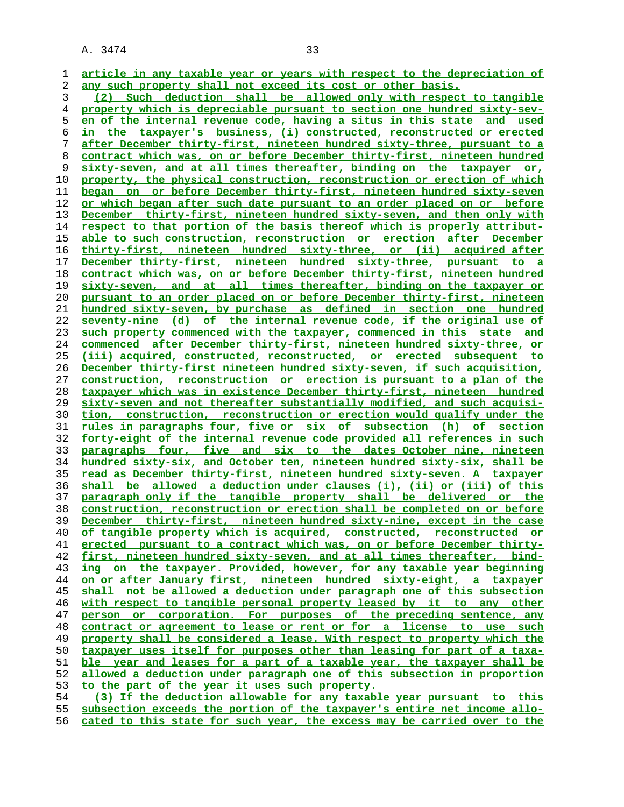**article in any taxable year or years with respect to the depreciation of any such property shall not exceed its cost or other basis.**

**(2) Such deduction shall be allowed only with respect to tangible property which is depreciable pursuant to section one hundred sixty-sev- en of the internal revenue code, having a situs in this state and used in the taxpayer's business, (i) constructed, reconstructed or erected after December thirty-first, nineteen hundred sixty-three, pursuant to a contract which was, on or before December thirty-first, nineteen hundred sixty-seven, and at all times thereafter, binding on the taxpayer or, property, the physical construction, reconstruction or erection of which began on or before December thirty-first, nineteen hundred sixty-seven or which began after such date pursuant to an order placed on or before December thirty-first, nineteen hundred sixty-seven, and then only with respect to that portion of the basis thereof which is properly attribut- able to such construction, reconstruction or erection after December thirty-first, nineteen hundred sixty-three, or (ii) acquired after December thirty-first, nineteen hundred sixty-three, pursuant to a contract which was, on or before December thirty-first, nineteen hundred sixty-seven, and at all times thereafter, binding on the taxpayer or pursuant to an order placed on or before December thirty-first, nineteen hundred sixty-seven, by purchase as defined in section one hundred seventy-nine (d) of the internal revenue code, if the original use of such property commenced with the taxpayer, commenced in this state and commenced after December thirty-first, nineteen hundred sixty-three, or (iii) acquired, constructed, reconstructed, or erected subsequent to December thirty-first nineteen hundred sixty-seven, if such acquisition, construction, reconstruction or erection is pursuant to a plan of the taxpayer which was in existence December thirty-first, nineteen hundred sixty-seven and not thereafter substantially modified, and such acquisi- tion, construction, reconstruction or erection would qualify under the rules in paragraphs four, five or six of subsection (h) of section forty-eight of the internal revenue code provided all references in such paragraphs four, five and six to the dates October nine, nineteen hundred sixty-six, and October ten, nineteen hundred sixty-six, shall be read as December thirty-first, nineteen hundred sixty-seven. A taxpayer shall be allowed a deduction under clauses (i), (ii) or (iii) of this paragraph only if the tangible property shall be delivered or the construction, reconstruction or erection shall be completed on or before December thirty-first, nineteen hundred sixty-nine, except in the case of tangible property which is acquired, constructed, reconstructed or erected pursuant to a contract which was, on or before December thirty- first, nineteen hundred sixty-seven, and at all times thereafter, bind- ing on the taxpayer. Provided, however, for any taxable year beginning on or after January first, nineteen hundred sixty-eight, a taxpayer shall not be allowed a deduction under paragraph one of this subsection with respect to tangible personal property leased by it to any other person or corporation. For purposes of the preceding sentence, any contract or agreement to lease or rent or for a license to use such property shall be considered a lease. With respect to property which the taxpayer uses itself for purposes other than leasing for part of a taxa- ble year and leases for a part of a taxable year, the taxpayer shall be allowed a deduction under paragraph one of this subsection in proportion to the part of the year it uses such property. (3) If the deduction allowable for any taxable year pursuant to this subsection exceeds the portion of the taxpayer's entire net income allo-**

**cated to this state for such year, the excess may be carried over to the**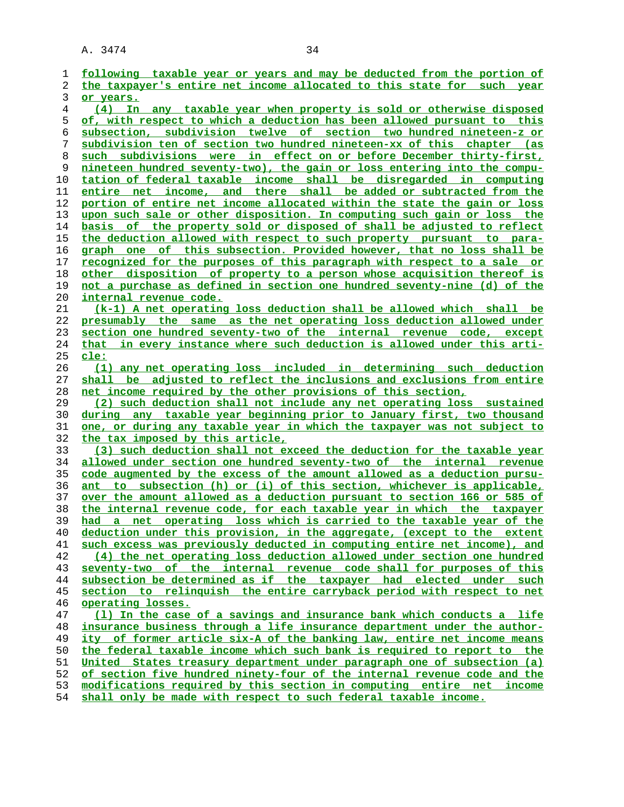| 1        | following taxable year or years and may be deducted from the portion of                                                                            |
|----------|----------------------------------------------------------------------------------------------------------------------------------------------------|
| 2        | the taxpayer's entire net income allocated to this state for such year                                                                             |
| 3        | or years.                                                                                                                                          |
| 4        | (4) In any taxable year when property is sold or otherwise disposed                                                                                |
| 5        | of, with respect to which a deduction has been allowed pursuant to this                                                                            |
| 6        | subsection, subdivision twelve of section two hundred nineteen-z or                                                                                |
| 7        | subdivision ten of section two hundred nineteen-xx of this chapter (as                                                                             |
| 8        | such subdivisions were in effect on or before December thirty-first,                                                                               |
| 9        | nineteen hundred seventy-two), the gain or loss entering into the compu-                                                                           |
| 10       | tation of federal taxable income shall be disregarded in computing                                                                                 |
| 11       | entire net income, and there shall be added or subtracted from the                                                                                 |
| 12       | portion of entire net income allocated within the state the gain or loss                                                                           |
| 13       | upon such sale or other disposition. In computing such gain or loss the                                                                            |
| 14       | basis of the property sold or disposed of shall be adjusted to reflect                                                                             |
| 15       | the deduction allowed with respect to such property pursuant to para-                                                                              |
| 16       | graph one of this subsection. Provided however, that no loss shall be                                                                              |
| 17       | <u>recognized for the purposes of this paragraph with respect to a sale or</u>                                                                     |
| 18       | <u>other disposition of property to a person whose acquisition thereof is</u>                                                                      |
| 19       | not a purchase as defined in section one hundred seventy-nine (d) of the                                                                           |
| 20       | internal revenue code.                                                                                                                             |
| 21       | (k-1) A net operating loss deduction shall be allowed which shall be                                                                               |
| 22       | presumably the same as the net operating loss deduction allowed under                                                                              |
| 23       | section one hundred seventy-two of the internal revenue code, except                                                                               |
| 24       | that in every instance where such deduction is allowed under this arti-                                                                            |
| 25       | cle:                                                                                                                                               |
| 26       | (1) any net operating loss included in determining such deduction                                                                                  |
| 27       | shall be adjusted to reflect the inclusions and exclusions from entire                                                                             |
| 28       | net income required by the other provisions of this section,                                                                                       |
| 29       | (2) such deduction shall not include any net operating loss sustained                                                                              |
| 30       | during any taxable year beginning prior to January first, two thousand                                                                             |
| 31       | one, or during any taxable year in which the taxpayer was not subject to                                                                           |
| 32       | the tax imposed by this article,                                                                                                                   |
| 33       | (3) such deduction shall not exceed the deduction for the taxable year                                                                             |
| 34       | allowed under section one hundred seventy-two of the internal revenue                                                                              |
| 35       | code augmented by the excess of the amount allowed as a deduction pursu-                                                                           |
| 36       | ant to subsection (h) or (i) of this section, whichever is applicable,                                                                             |
| 37       | over the amount allowed as a deduction pursuant to section 166 or 585 of                                                                           |
| 38       | the internal revenue code, for each taxable year in which the taxpayer                                                                             |
| 39       | had a net operating loss which is carried to the taxable year of the                                                                               |
| 40       | deduction under this provision, in the aggregate, (except to the extent                                                                            |
| 41       | such excess was previously deducted in computing entire net income), and                                                                           |
| 42       | (4) the net operating loss deduction allowed under section one hundred                                                                             |
| 43       | seventy-two of the internal revenue code shall for purposes of this                                                                                |
| 44       | subsection be determined as if the taxpayer had elected under such                                                                                 |
| 45       | section to relinquish the entire carryback period with respect to net                                                                              |
| 46       | operating losses.                                                                                                                                  |
| 47<br>48 | (1) In the case of a savings and insurance bank which conducts a life<br>insurance business through a life insurance department under the author-  |
|          |                                                                                                                                                    |
| 49       | ity of former article six-A of the banking law, entire net income means                                                                            |
| 50<br>51 | the federal taxable income which such bank is required to report to the<br>United States treasury department under paragraph one of subsection (a) |
| 52       | of section five hundred ninety-four of the internal revenue code and the                                                                           |
| 53       | modifications required by this section in computing entire net income                                                                              |
|          |                                                                                                                                                    |
| 54       | shall only be made with respect to such federal taxable income.                                                                                    |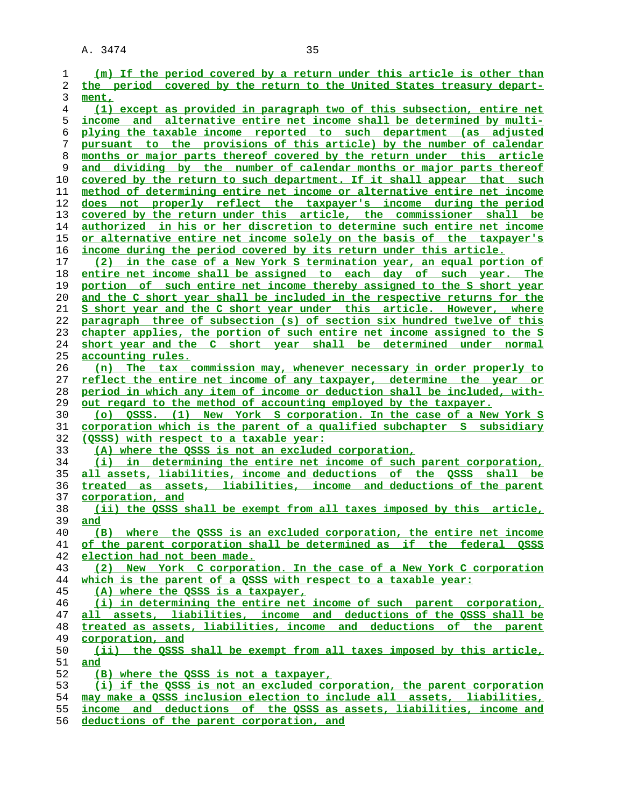| 1        | (m) If the period covered by a return under this article is other than                                           |
|----------|------------------------------------------------------------------------------------------------------------------|
| 2        | the period covered by the return to the United States treasury depart-                                           |
| 3        | ment,                                                                                                            |
| 4        | (1) except as provided in paragraph two of this subsection, entire net                                           |
| 5        | and alternative entire net income shall be determined by multi-<br>income                                        |
| 6        | plying the taxable income reported to such department (as adjusted                                               |
| 7        | pursuant to the provisions of this article) by the number of calendar                                            |
| 8        | months or major parts thereof covered by the return under this article                                           |
| 9        | and dividing by the number of calendar months or major parts thereof                                             |
| 10       | covered by the return to such department. If it shall appear that such                                           |
| 11       | method of determining entire net income or alternative entire net income                                         |
| 12       | does not properly reflect the taxpayer's income during the period                                                |
| 13       | covered by the return under this article, the commissioner shall be                                              |
| 14       | <u>authorized in his or her discretion to determine such entire net income</u>                                   |
| 15       | <u>or alternative entire net income solely on the basis of the taxpayer's</u>                                    |
| 16       | income during the period covered by its return under this article.                                               |
| 17       | (2) in the case of a New York S termination year, an equal portion of                                            |
| 18       | entire net income shall be assigned to each day of such year. The                                                |
| 19       | portion of such entire net income thereby assigned to the S short year                                           |
| 20       | <u>and the C short year shall be included in the respective returns for the</u>                                  |
| 21       | S short year and the C short year under this article. However, where                                             |
| 22       | paragraph three of subsection (s) of section six hundred twelve of this                                          |
| 23       | chapter applies, the portion of such entire net income assigned to the S                                         |
| 24       | short year and the C short year shall be determined under normal                                                 |
| 25       | accounting rules.                                                                                                |
| 26       | (n) The tax commission may, whenever necessary in order properly to                                              |
| 27       | reflect the entire net income of any taxpayer, determine the year or                                             |
| 28       | period in which any item of income or deduction shall be included, with-                                         |
| 29       | <u>out regard to the method of accounting employed by the taxpayer.</u>                                          |
| 30       | OSSS. (1) New York S corporation. In the case of a New York S<br>(0)                                             |
| 31<br>32 | corporation which is the parent of a qualified subchapter S subsidiary<br>(OSSS) with respect to a taxable year: |
| 33       | (A) where the QSSS is not an excluded corporation,                                                               |
| 34       | (i) in determining the entire net income of such parent corporation,                                             |
| 35       | all assets, liabilities, income and deductions of the OSSS shall be                                              |
| 36       | treated as assets, liabilities, income and deductions of the parent                                              |
| 37       | corporation, and                                                                                                 |
| 38       | (ii) the QSSS shall be exempt from all taxes imposed by this article,                                            |
| 39       | and                                                                                                              |
| 40       | (B) where the OSSS is an excluded corporation, the entire net income                                             |
| 41       | of the parent corporation shall be determined as if the federal OSSS                                             |
| 42       | election had not been made.                                                                                      |
| 43       | (2) New York C corporation. In the case of a New York C corporation                                              |
| 44       | which is the parent of a OSSS with respect to a taxable year:                                                    |
| 45       | (A) where the OSSS is a taxpayer,                                                                                |
| 46       | (i) in determining the entire net income of such parent corporation,                                             |
| 47       | all assets, liabilities, income and deductions of the OSSS shall be                                              |
| 48       | treated as assets, liabilities, income and deductions of the parent                                              |
| 49       | corporation, and                                                                                                 |
| 50       | (ii) the OSSS shall be exempt from all taxes imposed by this article,                                            |
| 51       | and                                                                                                              |
| 52       | (B) where the OSSS is not a taxpayer,                                                                            |
| 53       | (i) if the QSSS is not an excluded corporation, the parent corporation                                           |
| 54       | may make a OSSS inclusion election to include all assets, liabilities,                                           |
| 55       | income and deductions of the OSSS as assets, liabilities, income and                                             |
| 56       | deductions of the parent corporation, and                                                                        |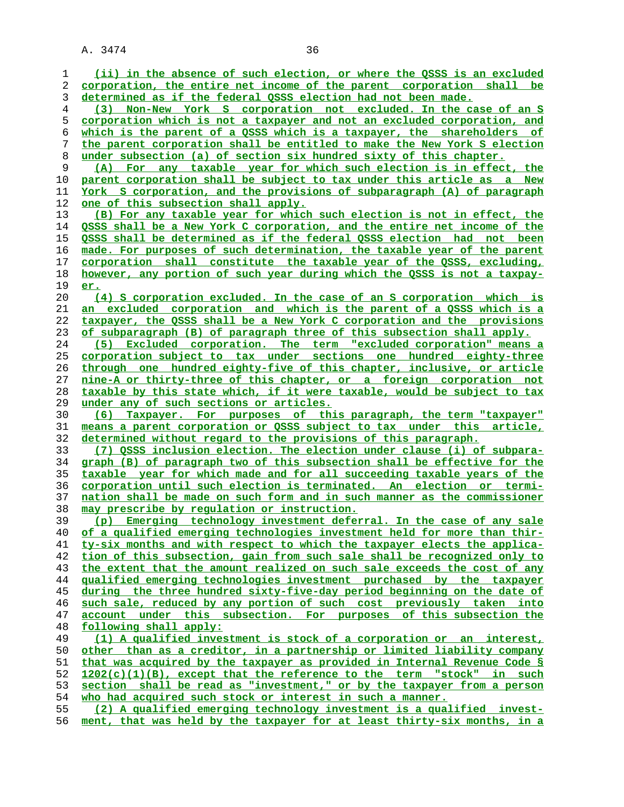**(ii) in the absence of such election, or where the QSSS is an excluded corporation, the entire net income of the parent corporation shall be determined as if the federal QSSS election had not been made. (3) Non-New York S corporation not excluded. In the case of an S corporation which is not a taxpayer and not an excluded corporation, and which is the parent of a QSSS which is a taxpayer, the shareholders of the parent corporation shall be entitled to make the New York S election under subsection (a) of section six hundred sixty of this chapter. (A) For any taxable year for which such election is in effect, the parent corporation shall be subject to tax under this article as a New York S corporation, and the provisions of subparagraph (A) of paragraph** one of this subsection shall apply. **(B) For any taxable year for which such election is not in effect, the QSSS shall be a New York C corporation, and the entire net income of the QSSS shall be determined as if the federal QSSS election had not been made. For purposes of such determination, the taxable year of the parent corporation shall constitute the taxable year of the QSSS, excluding, however, any portion of such year during which the QSSS is not a taxpay- er. (4) S corporation excluded. In the case of an S corporation which is an excluded corporation and which is the parent of a QSSS which is a taxpayer, the QSSS shall be a New York C corporation and the provisions of subparagraph (B) of paragraph three of this subsection shall apply. (5) Excluded corporation. The term "excluded corporation" means a corporation subject to tax under sections one hundred eighty-three through one hundred eighty-five of this chapter, inclusive, or article nine-A or thirty-three of this chapter, or a foreign corporation not taxable by this state which, if it were taxable, would be subject to tax under any of such sections or articles. (6) Taxpayer. For purposes of this paragraph, the term "taxpayer" means a parent corporation or QSSS subject to tax under this article, determined without regard to the provisions of this paragraph. (7) QSSS inclusion election. The election under clause (i) of subpara- graph (B) of paragraph two of this subsection shall be effective for the taxable year for which made and for all succeeding taxable years of the corporation until such election is terminated. An election or termi- nation shall be made on such form and in such manner as the commissioner may prescribe by regulation or instruction. (p) Emerging technology investment deferral. In the case of any sale of a qualified emerging technologies investment held for more than thir- ty-six months and with respect to which the taxpayer elects the applica- tion of this subsection, gain from such sale shall be recognized only to the extent that the amount realized on such sale exceeds the cost of any qualified emerging technologies investment purchased by the taxpayer during the three hundred sixty-five-day period beginning on the date of such sale, reduced by any portion of such cost previously taken into account under this subsection. For purposes of this subsection the following shall apply: (1) A qualified investment is stock of a corporation or an interest, other than as a creditor, in a partnership or limited liability company that was acquired by the taxpayer as provided in Internal Revenue Code § 1202(c)(1)(B), except that the reference to the term "stock" in such section shall be read as "investment," or by the taxpayer from a person who had acquired such stock or interest in such a manner. (2) A qualified emerging technology investment is a qualified invest- ment, that was held by the taxpayer for at least thirty-six months, in a**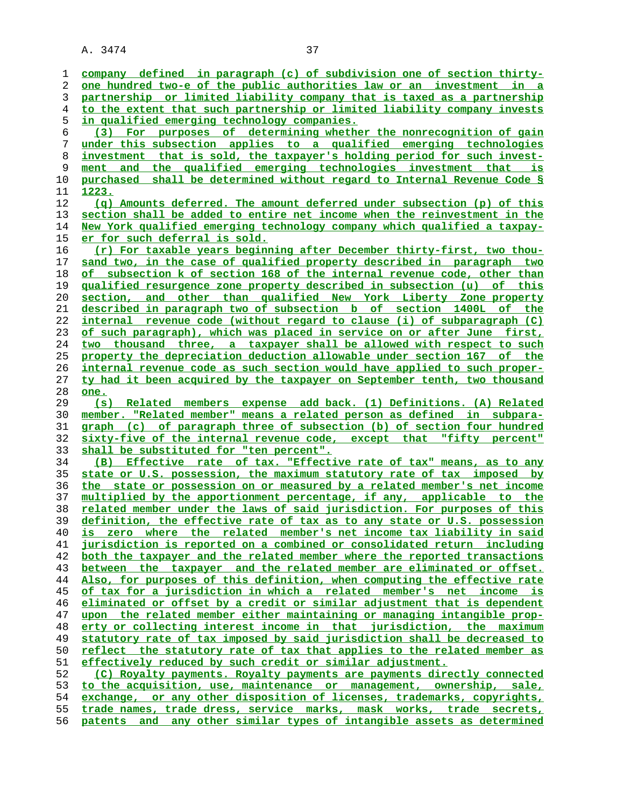**company defined in paragraph (c) of subdivision one of section thirty- one hundred two-e of the public authorities law or an investment in a partnership or limited liability company that is taxed as a partnership to the extent that such partnership or limited liability company invests in qualified emerging technology companies. (3) For purposes of determining whether the nonrecognition of gain under this subsection applies to a qualified emerging technologies investment that is sold, the taxpayer's holding period for such invest- ment and the qualified emerging technologies investment that is purchased shall be determined without regard to Internal Revenue Code § 1223. (q) Amounts deferred. The amount deferred under subsection (p) of this section shall be added to entire net income when the reinvestment in the New York qualified emerging technology company which qualified a taxpay- er for such deferral is sold. (r) For taxable years beginning after December thirty-first, two thou- sand two, in the case of qualified property described in paragraph two of subsection k of section 168 of the internal revenue code, other than qualified resurgence zone property described in subsection (u) of this section, and other than qualified New York Liberty Zone property described in paragraph two of subsection b of section 1400L of the internal revenue code (without regard to clause (i) of subparagraph (C) of such paragraph), which was placed in service on or after June first, two thousand three, a taxpayer shall be allowed with respect to such property the depreciation deduction allowable under section 167 of the internal revenue code as such section would have applied to such proper- ty had it been acquired by the taxpayer on September tenth, two thousand one. (s) Related members expense add back. (1) Definitions. (A) Related member. "Related member" means a related person as defined in subpara- graph (c) of paragraph three of subsection (b) of section four hundred sixty-five of the internal revenue code, except that "fifty percent" shall be substituted for "ten percent". (B) Effective rate of tax. "Effective rate of tax" means, as to any state or U.S. possession, the maximum statutory rate of tax imposed by the state or possession on or measured by a related member's net income multiplied by the apportionment percentage, if any, applicable to the related member under the laws of said jurisdiction. For purposes of this definition, the effective rate of tax as to any state or U.S. possession is zero where the related member's net income tax liability in said jurisdiction is reported on a combined or consolidated return including both the taxpayer and the related member where the reported transactions between the taxpayer and the related member are eliminated or offset. Also, for purposes of this definition, when computing the effective rate of tax for a jurisdiction in which a related member's net income is eliminated or offset by a credit or similar adjustment that is dependent upon the related member either maintaining or managing intangible prop- erty or collecting interest income in that jurisdiction, the maximum statutory rate of tax imposed by said jurisdiction shall be decreased to reflect the statutory rate of tax that applies to the related member as effectively reduced by such credit or similar adjustment. (C) Royalty payments. Royalty payments are payments directly connected to the acquisition, use, maintenance or management, ownership, sale, exchange, or any other disposition of licenses, trademarks, copyrights, trade names, trade dress, service marks, mask works, trade secrets, patents and any other similar types of intangible assets as determined**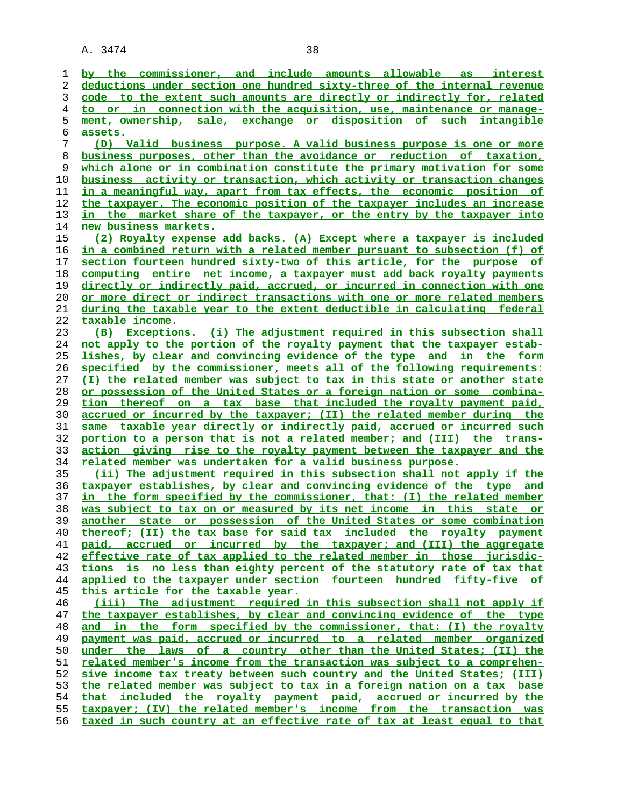**by the commissioner, and include amounts allowable as interest deductions under section one hundred sixty-three of the internal revenue code to the extent such amounts are directly or indirectly for, related to or in connection with the acquisition, use, maintenance or manage- ment, ownership, sale, exchange or disposition of such intangible assets. (D) Valid business purpose. A valid business purpose is one or more business purposes, other than the avoidance or reduction of taxation, which alone or in combination constitute the primary motivation for some business activity or transaction, which activity or transaction changes in a meaningful way, apart from tax effects, the economic position of the taxpayer. The economic position of the taxpayer includes an increase in the market share of the taxpayer, or the entry by the taxpayer into new business markets. (2) Royalty expense add backs. (A) Except where a taxpayer is included in a combined return with a related member pursuant to subsection (f) of section fourteen hundred sixty-two of this article, for the purpose of computing entire net income, a taxpayer must add back royalty payments directly or indirectly paid, accrued, or incurred in connection with one or more direct or indirect transactions with one or more related members during the taxable year to the extent deductible in calculating federal taxable income. (B) Exceptions. (i) The adjustment required in this subsection shall not apply to the portion of the royalty payment that the taxpayer estab- lishes, by clear and convincing evidence of the type and in the form specified by the commissioner, meets all of the following requirements: (I) the related member was subject to tax in this state or another state or possession of the United States or a foreign nation or some combina- tion thereof on a tax base that included the royalty payment paid, accrued or incurred by the taxpayer; (II) the related member during the same taxable year directly or indirectly paid, accrued or incurred such portion to a person that is not a related member; and (III) the trans- action giving rise to the royalty payment between the taxpayer and the related member was undertaken for a valid business purpose. (ii) The adjustment required in this subsection shall not apply if the taxpayer establishes, by clear and convincing evidence of the type and in the form specified by the commissioner, that: (I) the related member was subject to tax on or measured by its net income in this state or another state or possession of the United States or some combination thereof; (II) the tax base for said tax included the royalty payment paid, accrued or incurred by the taxpayer; and (III) the aggregate effective rate of tax applied to the related member in those jurisdic- tions is no less than eighty percent of the statutory rate of tax that applied to the taxpayer under section fourteen hundred fifty-five of this article for the taxable year. (iii) The adjustment required in this subsection shall not apply if the taxpayer establishes, by clear and convincing evidence of the type and in the form specified by the commissioner, that: (I) the royalty payment was paid, accrued or incurred to a related member organized under the laws of a country other than the United States; (II) the related member's income from the transaction was subject to a comprehen- sive income tax treaty between such country and the United States; (III) the related member was subject to tax in a foreign nation on a tax base that included the royalty payment paid, accrued or incurred by the taxpayer; (IV) the related member's income from the transaction was taxed in such country at an effective rate of tax at least equal to that**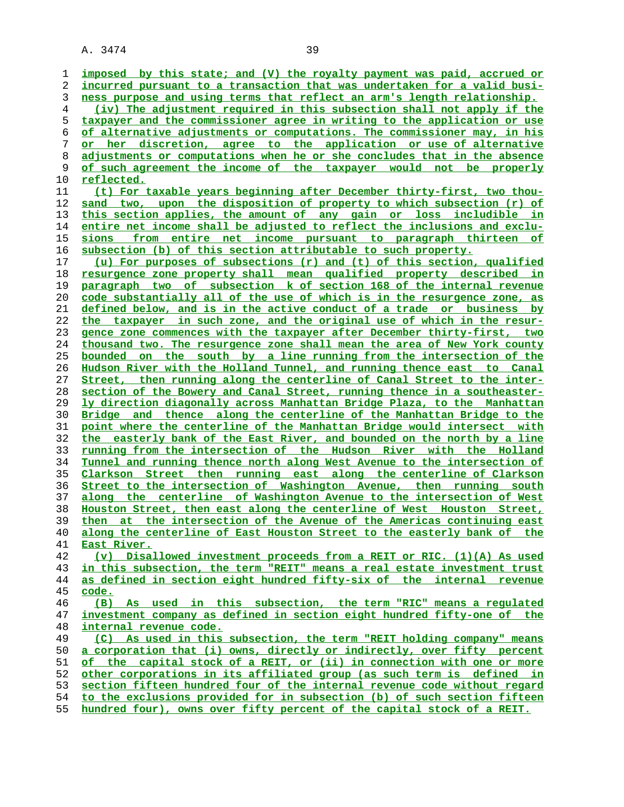**imposed by this state; and (V) the royalty payment was paid, accrued or**

**incurred pursuant to a transaction that was undertaken for a valid busi- ness purpose and using terms that reflect an arm's length relationship. (iv) The adjustment required in this subsection shall not apply if the taxpayer and the commissioner agree in writing to the application or use of alternative adjustments or computations. The commissioner may, in his or her discretion, agree to the application or use of alternative adjustments or computations when he or she concludes that in the absence of such agreement the income of the taxpayer would not be properly reflected.**

**(t) For taxable years beginning after December thirty-first, two thou- sand two, upon the disposition of property to which subsection (r) of this section applies, the amount of any gain or loss includible in entire net income shall be adjusted to reflect the inclusions and exclu- sions from entire net income pursuant to paragraph thirteen of subsection (b) of this section attributable to such property.**

**(u) For purposes of subsections (r) and (t) of this section, qualified resurgence zone property shall mean qualified property described in paragraph two of subsection k of section 168 of the internal revenue code substantially all of the use of which is in the resurgence zone, as defined below, and is in the active conduct of a trade or business by the taxpayer in such zone, and the original use of which in the resur- gence zone commences with the taxpayer after December thirty-first, two thousand two. The resurgence zone shall mean the area of New York county bounded on the south by a line running from the intersection of the Hudson River with the Holland Tunnel, and running thence east to Canal Street, then running along the centerline of Canal Street to the inter- section of the Bowery and Canal Street, running thence in a southeaster- ly direction diagonally across Manhattan Bridge Plaza, to the Manhattan Bridge and thence along the centerline of the Manhattan Bridge to the point where the centerline of the Manhattan Bridge would intersect with the easterly bank of the East River, and bounded on the north by a line running from the intersection of the Hudson River with the Holland Tunnel and running thence north along West Avenue to the intersection of Clarkson Street then running east along the centerline of Clarkson Street to the intersection of Washington Avenue, then running south along the centerline of Washington Avenue to the intersection of West Houston Street, then east along the centerline of West Houston Street, then at the intersection of the Avenue of the Americas continuing east along the centerline of East Houston Street to the easterly bank of the East River.**

**(v) Disallowed investment proceeds from a REIT or RIC. (1)(A) As used in this subsection, the term "REIT" means a real estate investment trust as defined in section eight hundred fifty-six of the internal revenue code.**

**(B) As used in this subsection, the term "RIC" means a regulated investment company as defined in section eight hundred fifty-one of the** 48 **internal revenue code.**<br>49 (C) As used in this

**(C) As used in this subsection, the term "REIT holding company" means a corporation that (i) owns, directly or indirectly, over fifty percent of the capital stock of a REIT, or (ii) in connection with one or more other corporations in its affiliated group (as such term is defined in section fifteen hundred four of the internal revenue code without regard to the exclusions provided for in subsection (b) of such section fifteen**

**hundred four), owns over fifty percent of the capital stock of a REIT.**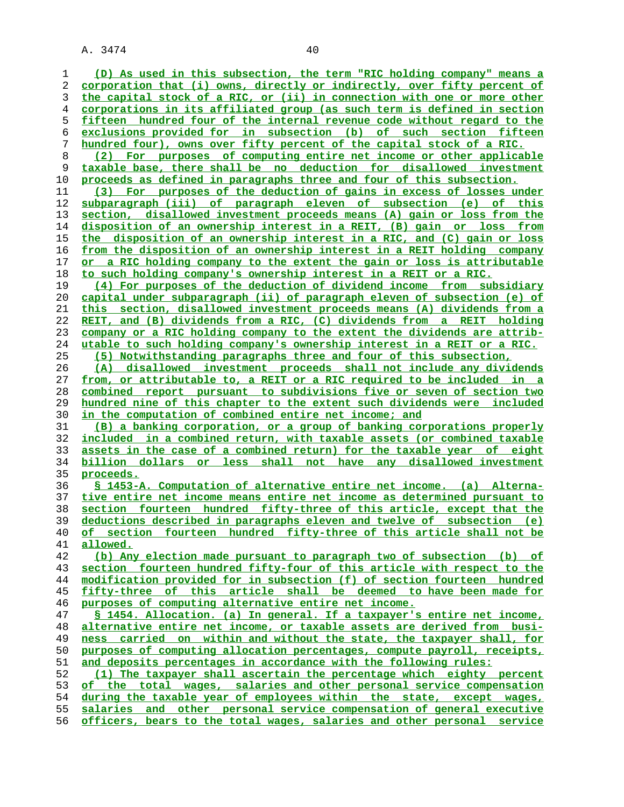**(D) As used in this subsection, the term "RIC holding company" means a corporation that (i) owns, directly or indirectly, over fifty percent of the capital stock of a RIC, or (ii) in connection with one or more other corporations in its affiliated group (as such term is defined in section fifteen hundred four of the internal revenue code without regard to the exclusions provided for in subsection (b) of such section fifteen hundred four), owns over fifty percent of the capital stock of a RIC. (2) For purposes of computing entire net income or other applicable taxable base, there shall be no deduction for disallowed investment proceeds as defined in paragraphs three and four of this subsection. (3) For purposes of the deduction of gains in excess of losses under subparagraph (iii) of paragraph eleven of subsection (e) of this section, disallowed investment proceeds means (A) gain or loss from the disposition of an ownership interest in a REIT, (B) gain or loss from the disposition of an ownership interest in a RIC, and (C) gain or loss from the disposition of an ownership interest in a REIT holding company or a RIC holding company to the extent the gain or loss is attributable to such holding company's ownership interest in a REIT or a RIC. (4) For purposes of the deduction of dividend income from subsidiary capital under subparagraph (ii) of paragraph eleven of subsection (e) of this section, disallowed investment proceeds means (A) dividends from a REIT, and (B) dividends from a RIC, (C) dividends from a REIT holding company or a RIC holding company to the extent the dividends are attrib- utable to such holding company's ownership interest in a REIT or a RIC. (5) Notwithstanding paragraphs three and four of this subsection, (A) disallowed investment proceeds shall not include any dividends from, or attributable to, a REIT or a RIC required to be included in a combined report pursuant to subdivisions five or seven of section two hundred nine of this chapter to the extent such dividends were included in the computation of combined entire net income; and (B) a banking corporation, or a group of banking corporations properly included in a combined return, with taxable assets (or combined taxable assets in the case of a combined return) for the taxable year of eight billion dollars or less shall not have any disallowed investment proceeds. § 1453-A. Computation of alternative entire net income. (a) Alterna- tive entire net income means entire net income as determined pursuant to section fourteen hundred fifty-three of this article, except that the deductions described in paragraphs eleven and twelve of subsection (e) of section fourteen hundred fifty-three of this article shall not be allowed. (b) Any election made pursuant to paragraph two of subsection (b) of section fourteen hundred fifty-four of this article with respect to the modification provided for in subsection (f) of section fourteen hundred fifty-three of this article shall be deemed to have been made for purposes of computing alternative entire net income. § 1454. Allocation. (a) In general. If a taxpayer's entire net income, alternative entire net income, or taxable assets are derived from busi- ness carried on within and without the state, the taxpayer shall, for purposes of computing allocation percentages, compute payroll, receipts, and deposits percentages in accordance with the following rules: (1) The taxpayer shall ascertain the percentage which eighty percent of the total wages, salaries and other personal service compensation during the taxable year of employees within the state, except wages, salaries and other personal service compensation of general executive officers, bears to the total wages, salaries and other personal service**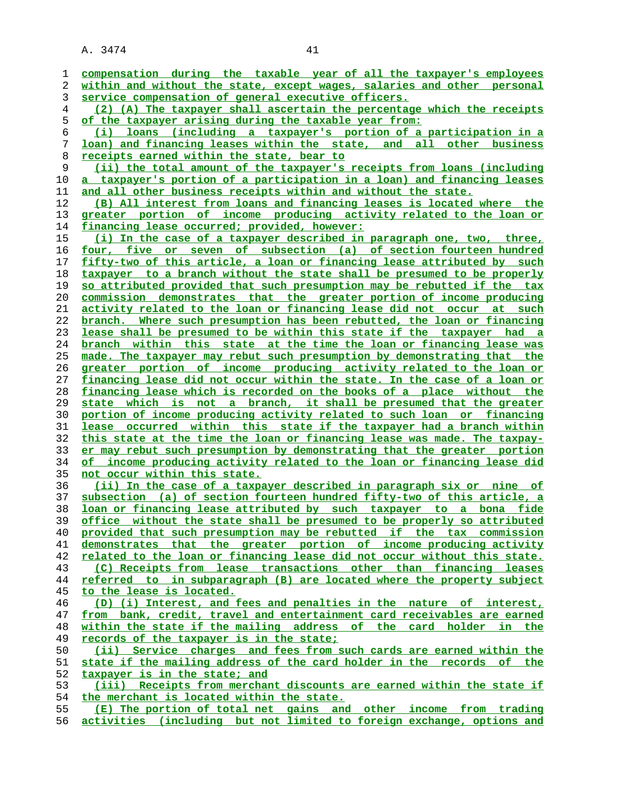**compensation during the taxable year of all the taxpayer's employees within and without the state, except wages, salaries and other personal service compensation of general executive officers. (2) (A) The taxpayer shall ascertain the percentage which the receipts of the taxpayer arising during the taxable year from: (i) loans (including a taxpayer's portion of a participation in a loan) and financing leases within the state, and all other business receipts earned within the state, bear to (ii) the total amount of the taxpayer's receipts from loans (including a taxpayer's portion of a participation in a loan) and financing leases and all other business receipts within and without the state. (B) All interest from loans and financing leases is located where the greater portion of income producing activity related to the loan or financing lease occurred; provided, however: (i) In the case of a taxpayer described in paragraph one, two, three, four, five or seven of subsection (a) of section fourteen hundred fifty-two of this article, a loan or financing lease attributed by such taxpayer to a branch without the state shall be presumed to be properly so attributed provided that such presumption may be rebutted if the tax commission demonstrates that the greater portion of income producing activity related to the loan or financing lease did not occur at such branch. Where such presumption has been rebutted, the loan or financing lease shall be presumed to be within this state if the taxpayer had a branch within this state at the time the loan or financing lease was made. The taxpayer may rebut such presumption by demonstrating that the greater portion of income producing activity related to the loan or financing lease did not occur within the state. In the case of a loan or financing lease which is recorded on the books of a place without the state which is not a branch, it shall be presumed that the greater portion of income producing activity related to such loan or financing lease occurred within this state if the taxpayer had a branch within this state at the time the loan or financing lease was made. The taxpay- er may rebut such presumption by demonstrating that the greater portion of income producing activity related to the loan or financing lease did not occur within this state. (ii) In the case of a taxpayer described in paragraph six or nine of subsection (a) of section fourteen hundred fifty-two of this article, a loan or financing lease attributed by such taxpayer to a bona fide office without the state shall be presumed to be properly so attributed provided that such presumption may be rebutted if the tax commission demonstrates that the greater portion of income producing activity related to the loan or financing lease did not occur without this state. (C) Receipts from lease transactions other than financing leases referred to in subparagraph (B) are located where the property subject to the lease is located. (D) (i) Interest, and fees and penalties in the nature of interest, from bank, credit, travel and entertainment card receivables are earned within the state if the mailing address of the card holder in the records of the taxpayer is in the state; (ii) Service charges and fees from such cards are earned within the state if the mailing address of the card holder in the records of the taxpayer is in the state; and (iii) Receipts from merchant discounts are earned within the state if the merchant is located within the state. (E) The portion of total net gains and other income from trading activities (including but not limited to foreign exchange, options and**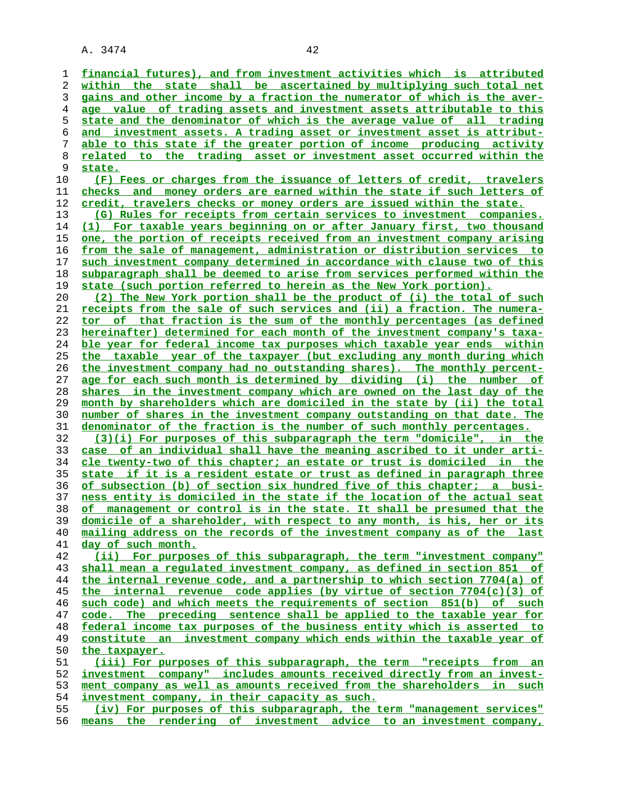**financial futures), and from investment activities which is attributed within the state shall be ascertained by multiplying such total net gains and other income by a fraction the numerator of which is the aver- age value of trading assets and investment assets attributable to this state and the denominator of which is the average value of all trading and investment assets. A trading asset or investment asset is attribut- able to this state if the greater portion of income producing activity related to the trading asset or investment asset occurred within the state. (F) Fees or charges from the issuance of letters of credit, travelers checks and money orders are earned within the state if such letters of credit, travelers checks or money orders are issued within the state. (G) Rules for receipts from certain services to investment companies. (1) For taxable years beginning on or after January first, two thousand one, the portion of receipts received from an investment company arising from the sale of management, administration or distribution services to such investment company determined in accordance with clause two of this subparagraph shall be deemed to arise from services performed within the state (such portion referred to herein as the New York portion). (2) The New York portion shall be the product of (i) the total of such receipts from the sale of such services and (ii) a fraction. The numera- tor of that fraction is the sum of the monthly percentages (as defined hereinafter) determined for each month of the investment company's taxa- ble year for federal income tax purposes which taxable year ends within the taxable year of the taxpayer (but excluding any month during which the investment company had no outstanding shares). The monthly percent-**

**age for each such month is determined by dividing (i) the number of shares in the investment company which are owned on the last day of the month by shareholders which are domiciled in the state by (ii) the total number of shares in the investment company outstanding on that date. The denominator of the fraction is the number of such monthly percentages.**

**(3)(i) For purposes of this subparagraph the term "domicile", in the case of an individual shall have the meaning ascribed to it under arti- cle twenty-two of this chapter; an estate or trust is domiciled in the state if it is a resident estate or trust as defined in paragraph three of subsection (b) of section six hundred five of this chapter; a busi- ness entity is domiciled in the state if the location of the actual seat of management or control is in the state. It shall be presumed that the domicile of a shareholder, with respect to any month, is his, her or its mailing address on the records of the investment company as of the last day of such month.**

**(ii) For purposes of this subparagraph, the term "investment company" shall mean a regulated investment company, as defined in section 851 of the internal revenue code, and a partnership to which section 7704(a) of the internal revenue code applies (by virtue of section 7704(c)(3) of such code) and which meets the requirements of section 851(b) of such code. The preceding sentence shall be applied to the taxable year for federal income tax purposes of the business entity which is asserted to constitute an investment company which ends within the taxable year of the taxpayer. (iii) For purposes of this subparagraph, the term "receipts from an investment company" includes amounts received directly from an invest-**

**ment company as well as amounts received from the shareholders in such investment company, in their capacity as such.**

**(iv) For purposes of this subparagraph, the term "management services" means the rendering of investment advice to an investment company,**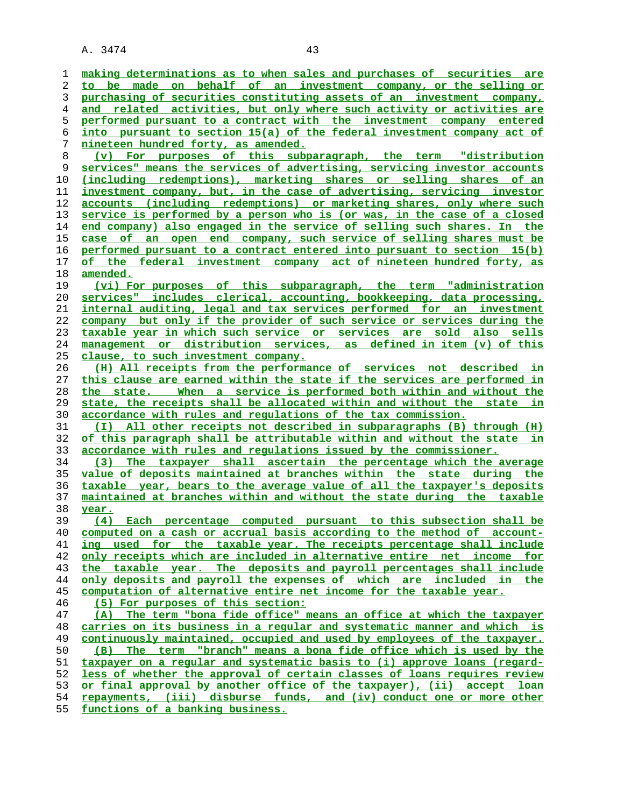**making determinations as to when sales and purchases of securities are to be made on behalf of an investment company, or the selling or purchasing of securities constituting assets of an investment company, and related activities, but only where such activity or activities are performed pursuant to a contract with the investment company entered into pursuant to section 15(a) of the federal investment company act of nineteen hundred forty, as amended. (v) For purposes of this subparagraph, the term "distribution services" means the services of advertising, servicing investor accounts (including redemptions), marketing shares or selling shares of an investment company, but, in the case of advertising, servicing investor accounts (including redemptions) or marketing shares, only where such service is performed by a person who is (or was, in the case of a closed end company) also engaged in the service of selling such shares. In the case of an open end company, such service of selling shares must be performed pursuant to a contract entered into pursuant to section 15(b) of the federal investment company act of nineteen hundred forty, as amended. (vi) For purposes of this subparagraph, the term "administration services" includes clerical, accounting, bookkeeping, data processing, internal auditing, legal and tax services performed for an investment company but only if the provider of such service or services during the taxable year in which such service or services are sold also sells management or distribution services, as defined in item (v) of this clause, to such investment company. (H) All receipts from the performance of services not described in this clause are earned within the state if the services are performed in the state. When a service is performed both within and without the state, the receipts shall be allocated within and without the state in accordance with rules and regulations of the tax commission. (I) All other receipts not described in subparagraphs (B) through (H) of this paragraph shall be attributable within and without the state in accordance with rules and regulations issued by the commissioner. (3) The taxpayer shall ascertain the percentage which the average value of deposits maintained at branches within the state during the taxable year, bears to the average value of all the taxpayer's deposits maintained at branches within and without the state during the taxable year. (4) Each percentage computed pursuant to this subsection shall be computed on a cash or accrual basis according to the method of account- ing used for the taxable year. The receipts percentage shall include only receipts which are included in alternative entire net income for the taxable year. The deposits and payroll percentages shall include only deposits and payroll the expenses of which are included in the computation of alternative entire net income for the taxable year. (5) For purposes of this section: (A) The term "bona fide office" means an office at which the taxpayer carries on its business in a regular and systematic manner and which is continuously maintained, occupied and used by employees of the taxpayer. (B) The term "branch" means a bona fide office which is used by the taxpayer on a regular and systematic basis to (i) approve loans (regard- less of whether the approval of certain classes of loans requires review or final approval by another office of the taxpayer), (ii) accept loan repayments, (iii) disburse funds, and (iv) conduct one or more other**

**functions of a banking business.**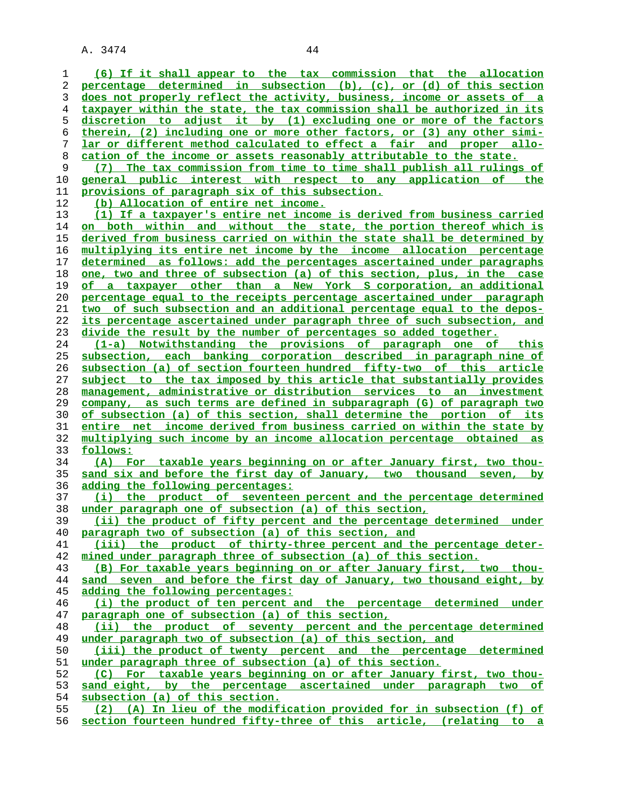**(6) If it shall appear to the tax commission that the allocation percentage determined in subsection (b), (c), or (d) of this section does not properly reflect the activity, business, income or assets of a taxpayer within the state, the tax commission shall be authorized in its discretion to adjust it by (1) excluding one or more of the factors therein, (2) including one or more other factors, or (3) any other simi- lar or different method calculated to effect a fair and proper allo- cation of the income or assets reasonably attributable to the state. (7) The tax commission from time to time shall publish all rulings of general public interest with respect to any application of the provisions of paragraph six of this subsection. (b) Allocation of entire net income. (1) If a taxpayer's entire net income is derived from business carried on both within and without the state, the portion thereof which is derived from business carried on within the state shall be determined by multiplying its entire net income by the income allocation percentage determined as follows: add the percentages ascertained under paragraphs one, two and three of subsection (a) of this section, plus, in the case of a taxpayer other than a New York S corporation, an additional percentage equal to the receipts percentage ascertained under paragraph two of such subsection and an additional percentage equal to the depos- its percentage ascertained under paragraph three of such subsection, and divide the result by the number of percentages so added together. (1-a) Notwithstanding the provisions of paragraph one of this subsection, each banking corporation described in paragraph nine of subsection (a) of section fourteen hundred fifty-two of this article subject to the tax imposed by this article that substantially provides management, administrative or distribution services to an investment company, as such terms are defined in subparagraph (G) of paragraph two of subsection (a) of this section, shall determine the portion of its entire net income derived from business carried on within the state by multiplying such income by an income allocation percentage obtained as follows: (A) For taxable years beginning on or after January first, two thou- sand six and before the first day of January, two thousand seven, by adding the following percentages: (i) the product of seventeen percent and the percentage determined under paragraph one of subsection (a) of this section, (ii) the product of fifty percent and the percentage determined under paragraph two of subsection (a) of this section, and (iii) the product of thirty-three percent and the percentage deter- mined under paragraph three of subsection (a) of this section. (B) For taxable years beginning on or after January first, two thou- sand seven and before the first day of January, two thousand eight, by adding the following percentages: (i) the product of ten percent and the percentage determined under paragraph one of subsection (a) of this section, (ii) the product of seventy percent and the percentage determined** under paragraph two of subsection (a) of this section, and **(iii) the product of twenty percent and the percentage determined under paragraph three of subsection (a) of this section. (C) For taxable years beginning on or after January first, two thou- sand eight, by the percentage ascertained under paragraph two of subsection (a) of this section. (2) (A) In lieu of the modification provided for in subsection (f) of section fourteen hundred fifty-three of this article, (relating to a**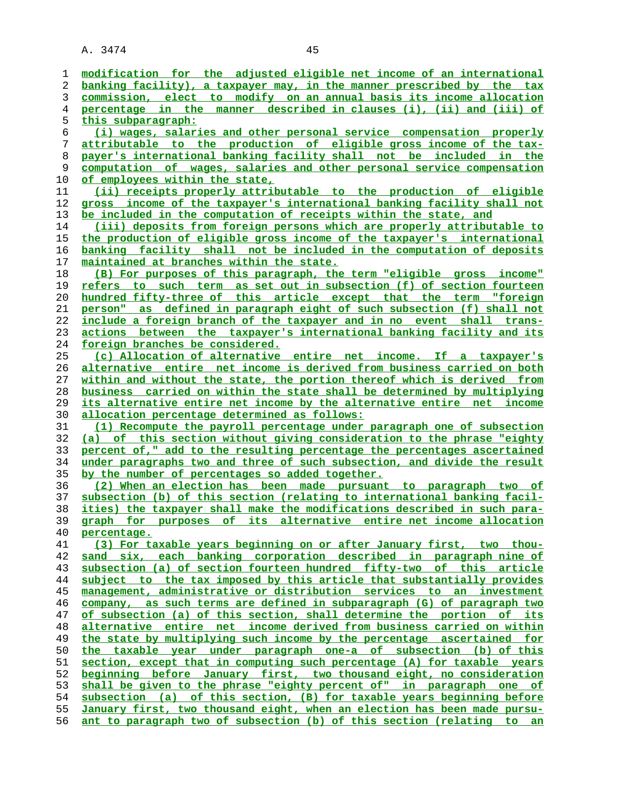| 1              | modification for the adjusted eligible net income of an international                                                                              |
|----------------|----------------------------------------------------------------------------------------------------------------------------------------------------|
| 2              | banking facility), a taxpayer may, in the manner prescribed by the tax                                                                             |
| 3              | commission, elect to modify on an annual basis its income allocation                                                                               |
| $\overline{4}$ | percentage in the manner described in clauses (i), (ii) and (iii) of                                                                               |
| 5              | this subparagraph:                                                                                                                                 |
| 6              | (i) wages, salaries and other personal service compensation properly                                                                               |
| 7              | attributable to the production of eligible gross income of the tax-                                                                                |
| 8              | payer's international banking facility shall not be included in the                                                                                |
| 9              | computation of wages, salaries and other personal service compensation                                                                             |
| 10             | of employees within the state,                                                                                                                     |
| 11             | (ii) receipts properly attributable to the production of eligible                                                                                  |
| 12             | gross income of the taxpayer's international banking facility shall not                                                                            |
| 13             | be included in the computation of receipts within the state, and                                                                                   |
| 14             | (iii) deposits from foreign persons which are properly attributable to                                                                             |
| 15             | the production of eligible gross income of the taxpayer's international                                                                            |
| 16             | banking facility shall not be included in the computation of deposits                                                                              |
| 17             | maintained at branches within the state.                                                                                                           |
| 18             | (B) For purposes of this paragraph, the term "eligible gross income"                                                                               |
| 19             | refers to such term as set out in subsection (f) of section fourteen                                                                               |
| 20             | hundred fifty-three of this article except that the term "foreign                                                                                  |
| 21             | person" as defined in paragraph eight of such subsection (f) shall not                                                                             |
| 22             | include a foreign branch of the taxpayer and in no event shall trans-                                                                              |
| 23             | actions between the taxpayer's international banking facility and its                                                                              |
| 24             | foreign branches be considered.                                                                                                                    |
| 25             | (c) Allocation of alternative entire net income. If a taxpayer's                                                                                   |
| 26             | alternative entire net income is derived from business carried on both                                                                             |
| 27             | within and without the state, the portion thereof which is derived from                                                                            |
| 28             | business carried on within the state shall be determined by multiplying                                                                            |
| 29             | its alternative entire net income by the alternative entire net income                                                                             |
| 30             | <u>allocation percentage determined as follows:</u>                                                                                                |
|                |                                                                                                                                                    |
|                |                                                                                                                                                    |
| 31             | (1) Recompute the payroll percentage under paragraph one of subsection                                                                             |
| 32             | (a) of this section without giving consideration to the phrase "eighty                                                                             |
| 33             | percent of," add to the resulting percentage the percentages ascertained                                                                           |
| 34             | under paragraphs two and three of such subsection, and divide the result                                                                           |
| 35             | by the number of percentages so added together.                                                                                                    |
| 36             | (2) When an election has been made pursuant to paragraph two of                                                                                    |
| 37             | subsection (b) of this section (relating to international banking facil-                                                                           |
| 38             | ities) the taxpayer shall make the modifications described in such para-                                                                           |
| 39             | graph for purposes of its alternative entire net income allocation                                                                                 |
| 40             | percentage.                                                                                                                                        |
| 41             | (3) For taxable years beginning on or after January first, two thou-                                                                               |
| 42             | sand six, each banking corporation described in paragraph nine of                                                                                  |
| 43             | subsection (a) of section fourteen hundred fifty-two of this article                                                                               |
| 44             | subject to the tax imposed by this article that substantially provides                                                                             |
| 45             | management, administrative or distribution services to an investment                                                                               |
| 46             | company, as such terms are defined in subparagraph (G) of paragraph two                                                                            |
| 47             | of subsection (a) of this section, shall determine the portion of its                                                                              |
| 48             | alternative entire net income derived from business carried on within                                                                              |
| 49             | the state by multiplying such income by the percentage ascertained for                                                                             |
| 50             | the taxable year under paragraph one-a of subsection (b) of this                                                                                   |
| 51             | section, except that in computing such percentage (A) for taxable years                                                                            |
| 52             | beginning before January first, two thousand eight, no consideration                                                                               |
| 53             | shall be given to the phrase "eighty percent of" in paragraph one of                                                                               |
| 54             | subsection (a) of this section, (B) for taxable years beginning before                                                                             |
| 55<br>56       | January first, two thousand eight, when an election has been made pursu-<br>ant to paragraph two of subsection (b) of this section (relating to an |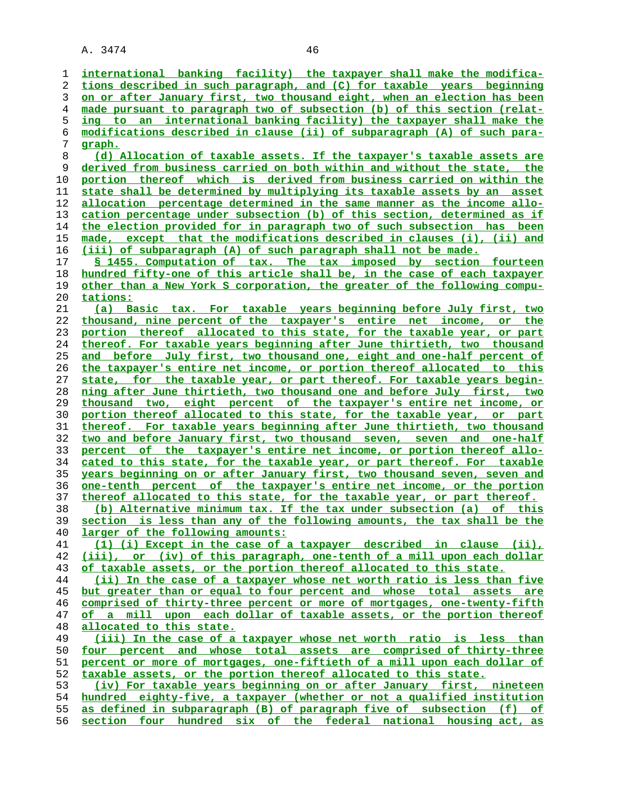**international banking facility) the taxpayer shall make the modifica- tions described in such paragraph, and (C) for taxable years beginning on or after January first, two thousand eight, when an election has been made pursuant to paragraph two of subsection (b) of this section (relat- ing to an international banking facility) the taxpayer shall make the modifications described in clause (ii) of subparagraph (A) of such para- graph. (d) Allocation of taxable assets. If the taxpayer's taxable assets are derived from business carried on both within and without the state, the portion thereof which is derived from business carried on within the state shall be determined by multiplying its taxable assets by an asset allocation percentage determined in the same manner as the income allo- cation percentage under subsection (b) of this section, determined as if the election provided for in paragraph two of such subsection has been made, except that the modifications described in clauses (i), (ii) and (iii) of subparagraph (A) of such paragraph shall not be made. § 1455. Computation of tax. The tax imposed by section fourteen hundred fifty-one of this article shall be, in the case of each taxpayer other than a New York S corporation, the greater of the following compu- tations: (a) Basic tax. For taxable years beginning before July first, two thousand, nine percent of the taxpayer's entire net income, or the portion thereof allocated to this state, for the taxable year, or part thereof. For taxable years beginning after June thirtieth, two thousand and before July first, two thousand one, eight and one-half percent of the taxpayer's entire net income, or portion thereof allocated to this state, for the taxable year, or part thereof. For taxable years begin- ning after June thirtieth, two thousand one and before July first, two thousand two, eight percent of the taxpayer's entire net income, or portion thereof allocated to this state, for the taxable year, or part thereof. For taxable years beginning after June thirtieth, two thousand two and before January first, two thousand seven, seven and one-half percent of the taxpayer's entire net income, or portion thereof allo- cated to this state, for the taxable year, or part thereof. For taxable years beginning on or after January first, two thousand seven, seven and one-tenth percent of the taxpayer's entire net income, or the portion thereof allocated to this state, for the taxable year, or part thereof. (b) Alternative minimum tax. If the tax under subsection (a) of this section is less than any of the following amounts, the tax shall be the larger of the following amounts: (1) (i) Except in the case of a taxpayer described in clause (ii), (iii), or (iv) of this paragraph, one-tenth of a mill upon each dollar of taxable assets, or the portion thereof allocated to this state. (ii) In the case of a taxpayer whose net worth ratio is less than five but greater than or equal to four percent and whose total assets are comprised of thirty-three percent or more of mortgages, one-twenty-fifth of a mill upon each dollar of taxable assets, or the portion thereof allocated to this state. (iii) In the case of a taxpayer whose net worth ratio is less than four percent and whose total assets are comprised of thirty-three percent or more of mortgages, one-fiftieth of a mill upon each dollar of taxable assets, or the portion thereof allocated to this state. (iv) For taxable years beginning on or after January first, nineteen hundred eighty-five, a taxpayer (whether or not a qualified institution as defined in subparagraph (B) of paragraph five of subsection (f) of section four hundred six of the federal national housing act, as**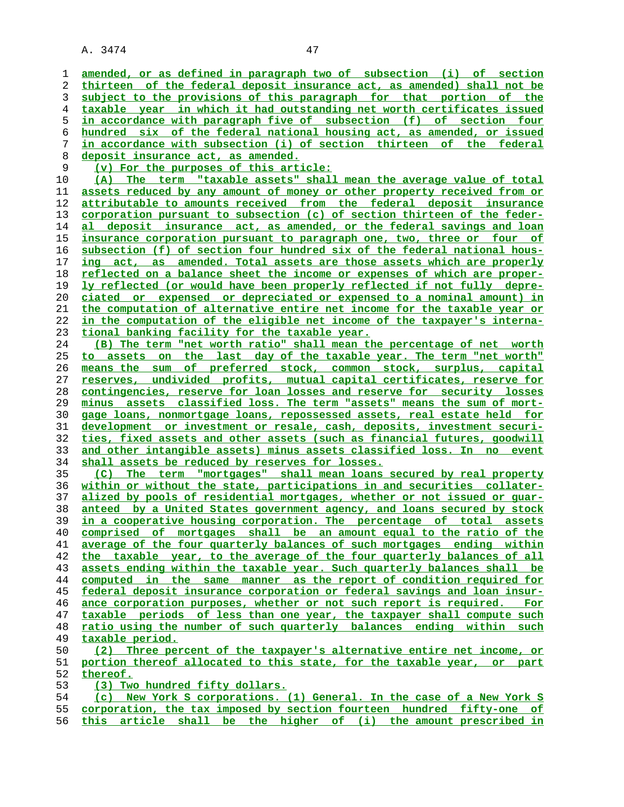| 1  | amended, or as defined in paragraph two of subsection (i) of section            |
|----|---------------------------------------------------------------------------------|
| 2  | thirteen of the federal deposit insurance act, as amended) shall not be         |
| 3  | subject to the provisions of this paragraph for that portion of the             |
| 4  | taxable year in which it had outstanding net worth certificates issued          |
| 5  | in accordance with paragraph five of subsection (f) of section four             |
| 6  | hundred six of the federal national housing act, as amended, or issued          |
| 7  | in accordance with subsection (i) of section thirteen of the federal            |
| 8  | <u>deposit insurance act, as amended.</u>                                       |
| 9  | (v) For the purposes of this article:                                           |
| 10 | The term "taxable assets" shall mean the average value of total<br>(A)          |
| 11 | assets reduced by any amount of money or other property received from or        |
| 12 | attributable to amounts received from the federal deposit insurance             |
| 13 | <u>corporation pursuant to subsection (c) of section thirteen of the feder-</u> |
| 14 | deposit insurance act, as amended, or the federal savings and loan<br>al        |
| 15 | insurance corporation pursuant to paragraph one, two, three or four of          |
| 16 | subsection (f) of section four hundred six of the federal national hous-        |
| 17 | act, as amended. Total assets are those assets which are properly<br>ing        |
| 18 | reflected on a balance sheet the income or expenses of which are proper-        |
| 19 | ly reflected (or would have been properly reflected if not fully depre-         |
| 20 | <u>ciated or expensed or depreciated or expensed to a nominal amount) in</u>    |
| 21 | the computation of alternative entire net income for the taxable year or        |
| 22 | in the computation of the eligible net income of the taxpayer's interna-        |
| 23 | tional banking facility for the taxable year.                                   |
| 24 | (B) The term "net worth ratio" shall mean the percentage of net worth           |
| 25 | the last day of the taxable year. The term "net worth"<br>on<br>to assets       |
| 26 | means the sum of preferred stock, common stock, surplus, capital                |
| 27 | reserves, undivided profits, mutual capital certificates, reserve for           |
| 28 | <u>contingencies, reserve for loan losses and reserve for security losses</u>   |
| 29 | minus assets classified loss. The term "assets" means the sum of mort-          |
| 30 | gage loans, nonmortgage loans, repossessed assets, real estate held for         |
| 31 | development or investment or resale, cash, deposits, investment securi-         |
| 32 | ties, fixed assets and other assets (such as financial futures, goodwill        |
| 33 | and other intangible assets) minus assets classified loss. In no event          |
| 34 | <u>shall assets be reduced by reserves for losses.</u>                          |
| 35 | The term "mortgages" shall mean loans secured by real property<br>(C)           |
| 36 | within or without the state, participations in and securities collater-         |
| 37 | alized by pools of residential mortgages, whether or not issued or quar-        |
| 38 | anteed by a United States government agency, and loans secured by stock         |
| 39 | in a cooperative housing corporation. The percentage of total assets            |
| 40 | comprised of mortgages shall be an amount equal to the ratio of the             |
| 41 | average of the four quarterly balances of such mortgages ending within          |
| 42 | the taxable year, to the average of the four quarterly balances of all          |
| 43 | assets ending within the taxable year. Such quarterly balances shall be         |
| 44 | computed in the same manner as the report of condition required for             |
| 45 | federal deposit insurance corporation or federal savings and loan insur-        |
| 46 | ance corporation purposes, whether or not such report is required. For          |
| 47 | taxable periods of less than one year, the taxpayer shall compute such          |
| 48 | ratio using the number of such quarterly balances ending within such            |
| 49 | taxable period.                                                                 |
| 50 | (2) Three percent of the taxpayer's alternative entire net income, or           |
| 51 | portion thereof allocated to this state, for the taxable year, or part          |
| 52 | thereof.                                                                        |
| 53 | (3) Two hundred fifty dollars.                                                  |
| 54 | (c) New York S corporations. (1) General. In the case of a New York S           |
| 55 | corporation, the tax imposed by section fourteen hundred fifty-one of           |

**this article shall be the higher of (i) the amount prescribed in**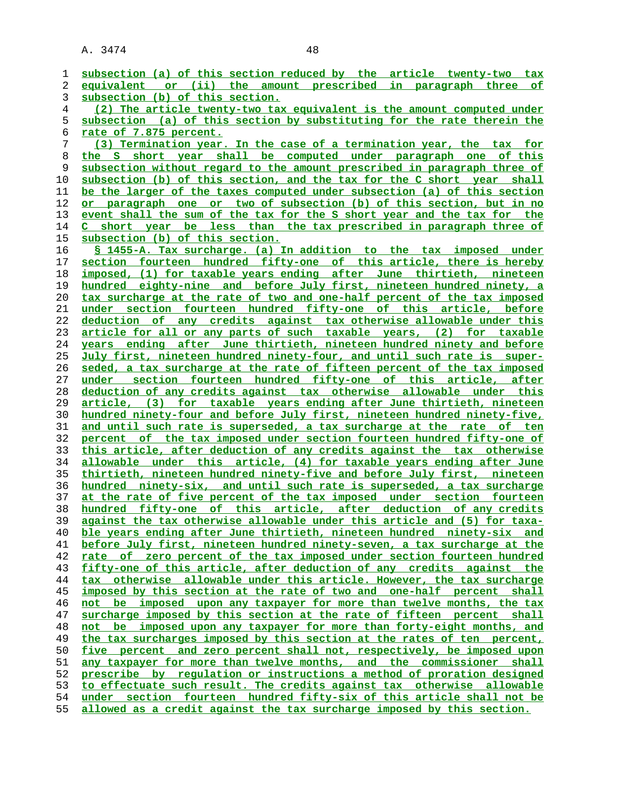| 1              | subsection (a) of this section reduced by the article twenty-two tax         |
|----------------|------------------------------------------------------------------------------|
| 2              | equivalent or (ii) the amount prescribed in paragraph three of               |
| 3              | subsection (b) of this section.                                              |
| $\overline{4}$ | (2) The article twenty-two tax equivalent is the amount computed under       |
| 5              | subsection (a) of this section by substituting for the rate therein the      |
| 6              | rate of 7.875 percent.                                                       |
| 7              | (3) Termination year. In the case of a termination year, the tax for         |
| 8              | short year shall be computed under paragraph one of this<br>the S            |
| 9              | subsection without regard to the amount prescribed in paragraph three of     |
| 10             | subsection (b) of this section, and the tax for the C short year shall       |
| 11             | be the larger of the taxes computed under subsection (a) of this section     |
| 12             | or paragraph one or two of subsection (b) of this section, but in no         |
| 13             | event shall the sum of the tax for the S short year and the tax for the      |
| 14             | C short year be less than the tax prescribed in paragraph three of           |
| 15             | subsection (b) of this section.                                              |
| 16             | § 1455-A. Tax surcharge. (a) In addition to the tax imposed under            |
| 17             | section fourteen hundred fifty-one of this article, there is hereby          |
| 18             | imposed, (1) for taxable years ending after June thirtieth, nineteen         |
| 19             | hundred eighty-nine and before July first, nineteen hundred ninety, a        |
| 20             | tax surcharge at the rate of two and one-half percent of the tax imposed     |
| 21             | under section fourteen hundred fifty-one of this article, before             |
| 22             | deduction of any credits against tax otherwise allowable under this          |
| 23             | article for all or any parts of such taxable years, (2) for taxable          |
| 24             | years ending after June thirtieth, nineteen hundred ninety and before        |
| 25             | July first, nineteen hundred ninety-four, and until such rate is super-      |
| 26             | seded, a tax surcharge at the rate of fifteen percent of the tax imposed     |
| 27             | under section fourteen hundred fifty-one of this article, after              |
| 28             | deduction of any credits against tax otherwise allowable under this          |
| 29             | article, (3) for taxable years ending after June thirtieth, nineteen         |
| 30             | hundred ninety-four and before July first, nineteen hundred ninety-five,     |
| 31             | and until such rate is superseded, a tax surcharge at the rate of ten        |
| 32             | percent of the tax imposed under section fourteen hundred fifty-one of       |
| 33             | this article, after deduction of any credits against the tax otherwise       |
| 34             | allowable under this article, (4) for taxable years ending after June        |
| 35             | thirtieth, nineteen hundred ninety-five and before July first, nineteen      |
| 36             | hundred ninety-six, and until such rate is superseded, a tax surcharge       |
| 37             | at the rate of five percent of the tax imposed under section fourteen        |
| 38             | hundred fifty-one of this article, after deduction of any credits            |
| 39             | against the tax otherwise allowable under this article and (5) for taxa-     |
| 40             | ble years ending after June thirtieth, nineteen hundred ninety-six and       |
| 41             | before July first, nineteen hundred ninety-seven, a tax surcharge at the     |
| 42             | zero percent of the tax imposed under section fourteen hundred<br>rate of    |
| 43             | fifty-one of this article, after deduction of any credits against the        |
| 44             | tax otherwise allowable under this article. However, the tax surcharge       |
| 45             | imposed by this section at the rate of two and one-half percent shall        |
| 46             | not be imposed upon any taxpayer for more than twelve months, the tax        |
| 47             | surcharge imposed by this section at the rate of fifteen percent shall       |
| 48             | imposed upon any taxpayer for more than forty-eight months, and<br>not<br>be |
| 49             | the tax surcharges imposed by this section at the rates of ten percent,      |
| 50             | percent and zero percent shall not, respectively, be imposed upon<br>five    |
| 51             | any taxpayer for more than twelve months, and the commissioner shall         |
| 52             | prescribe by requlation or instructions a method of proration designed       |
| 53             | to effectuate such result. The credits against tax otherwise allowable       |
| 54             | under section fourteen hundred fifty-six of this article shall not be        |
| 55             | allowed as a credit against the tax surcharge imposed by this section.       |
|                |                                                                              |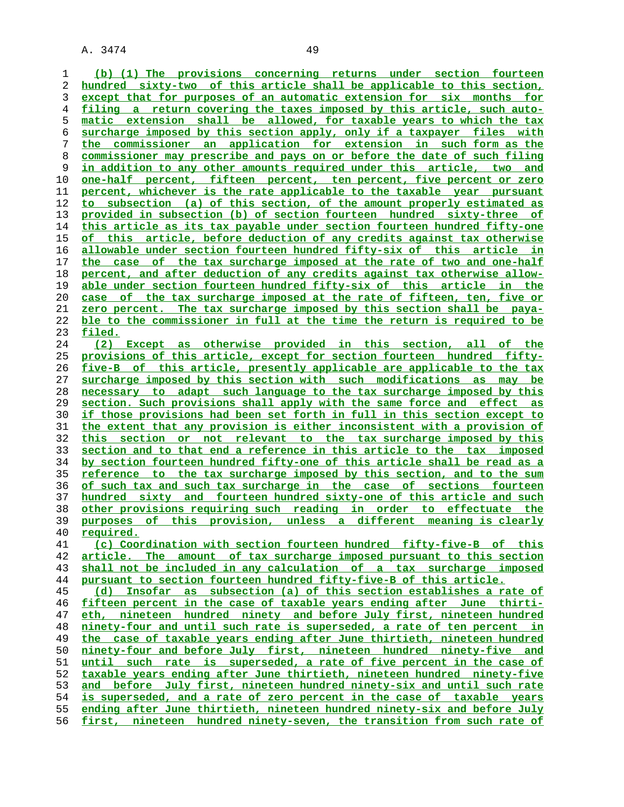**(b) (1) The provisions concerning returns under section fourteen hundred sixty-two of this article shall be applicable to this section, except that for purposes of an automatic extension for six months for filing a return covering the taxes imposed by this article, such auto- matic extension shall be allowed, for taxable years to which the tax surcharge imposed by this section apply, only if a taxpayer files with the commissioner an application for extension in such form as the commissioner may prescribe and pays on or before the date of such filing in addition to any other amounts required under this article, two and one-half percent, fifteen percent, ten percent, five percent or zero percent, whichever is the rate applicable to the taxable year pursuant to subsection (a) of this section, of the amount properly estimated as provided in subsection (b) of section fourteen hundred sixty-three of this article as its tax payable under section fourteen hundred fifty-one of this article, before deduction of any credits against tax otherwise allowable under section fourteen hundred fifty-six of this article in the case of the tax surcharge imposed at the rate of two and one-half percent, and after deduction of any credits against tax otherwise allow- able under section fourteen hundred fifty-six of this article in the case of the tax surcharge imposed at the rate of fifteen, ten, five or zero percent. The tax surcharge imposed by this section shall be paya- ble to the commissioner in full at the time the return is required to be filed. (2) Except as otherwise provided in this section, all of the provisions of this article, except for section fourteen hundred fifty- five-B of this article, presently applicable are applicable to the tax surcharge imposed by this section with such modifications as may be necessary to adapt such language to the tax surcharge imposed by this section. Such provisions shall apply with the same force and effect as if those provisions had been set forth in full in this section except to the extent that any provision is either inconsistent with a provision of this section or not relevant to the tax surcharge imposed by this section and to that end a reference in this article to the tax imposed by section fourteen hundred fifty-one of this article shall be read as a reference to the tax surcharge imposed by this section, and to the sum of such tax and such tax surcharge in the case of sections fourteen hundred sixty and fourteen hundred sixty-one of this article and such other provisions requiring such reading in order to effectuate the purposes of this provision, unless a different meaning is clearly required.**

**(c) Coordination with section fourteen hundred fifty-five-B of this article. The amount of tax surcharge imposed pursuant to this section shall not be included in any calculation of a tax surcharge imposed pursuant to section fourteen hundred fifty-five-B of this article.**

**(d) Insofar as subsection (a) of this section establishes a rate of fifteen percent in the case of taxable years ending after June thirti- eth, nineteen hundred ninety and before July first, nineteen hundred ninety-four and until such rate is superseded, a rate of ten percent in the case of taxable years ending after June thirtieth, nineteen hundred ninety-four and before July first, nineteen hundred ninety-five and until such rate is superseded, a rate of five percent in the case of taxable years ending after June thirtieth, nineteen hundred ninety-five and before July first, nineteen hundred ninety-six and until such rate is superseded, and a rate of zero percent in the case of taxable years ending after June thirtieth, nineteen hundred ninety-six and before July first, nineteen hundred ninety-seven, the transition from such rate of**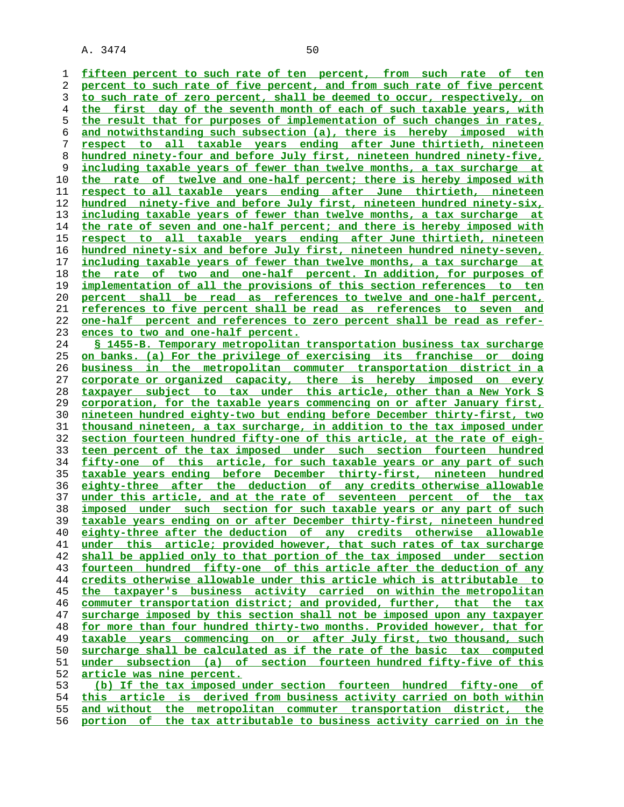**fifteen percent to such rate of ten percent, from such rate of ten percent to such rate of five percent, and from such rate of five percent to such rate of zero percent, shall be deemed to occur, respectively, on the first day of the seventh month of each of such taxable years, with the result that for purposes of implementation of such changes in rates, and notwithstanding such subsection (a), there is hereby imposed with respect to all taxable years ending after June thirtieth, nineteen hundred ninety-four and before July first, nineteen hundred ninety-five, including taxable years of fewer than twelve months, a tax surcharge at the rate of twelve and one-half percent; there is hereby imposed with respect to all taxable years ending after June thirtieth, nineteen hundred ninety-five and before July first, nineteen hundred ninety-six, including taxable years of fewer than twelve months, a tax surcharge at the rate of seven and one-half percent; and there is hereby imposed with respect to all taxable years ending after June thirtieth, nineteen hundred ninety-six and before July first, nineteen hundred ninety-seven, including taxable years of fewer than twelve months, a tax surcharge at the rate of two and one-half percent. In addition, for purposes of implementation of all the provisions of this section references to ten percent shall be read as references to twelve and one-half percent, references to five percent shall be read as references to seven and one-half percent and references to zero percent shall be read as refer- ences to two and one-half percent. § 1455-B. Temporary metropolitan transportation business tax surcharge on banks. (a) For the privilege of exercising its franchise or doing business in the metropolitan commuter transportation district in a corporate or organized capacity, there is hereby imposed on every taxpayer subject to tax under this article, other than a New York S corporation, for the taxable years commencing on or after January first, nineteen hundred eighty-two but ending before December thirty-first, two thousand nineteen, a tax surcharge, in addition to the tax imposed under section fourteen hundred fifty-one of this article, at the rate of eigh- teen percent of the tax imposed under such section fourteen hundred fifty-one of this article, for such taxable years or any part of such taxable years ending before December thirty-first, nineteen hundred eighty-three after the deduction of any credits otherwise allowable under this article, and at the rate of seventeen percent of the tax imposed under such section for such taxable years or any part of such taxable years ending on or after December thirty-first, nineteen hundred eighty-three after the deduction of any credits otherwise allowable under this article; provided however, that such rates of tax surcharge shall be applied only to that portion of the tax imposed under section fourteen hundred fifty-one of this article after the deduction of any credits otherwise allowable under this article which is attributable to the taxpayer's business activity carried on within the metropolitan commuter transportation district; and provided, further, that the tax surcharge imposed by this section shall not be imposed upon any taxpayer for more than four hundred thirty-two months. Provided however, that for taxable years commencing on or after July first, two thousand, such surcharge shall be calculated as if the rate of the basic tax computed under subsection (a) of section fourteen hundred fifty-five of this**

**article was nine percent.**

**(b) If the tax imposed under section fourteen hundred fifty-one of this article is derived from business activity carried on both within and without the metropolitan commuter transportation district, the portion of the tax attributable to business activity carried on in the**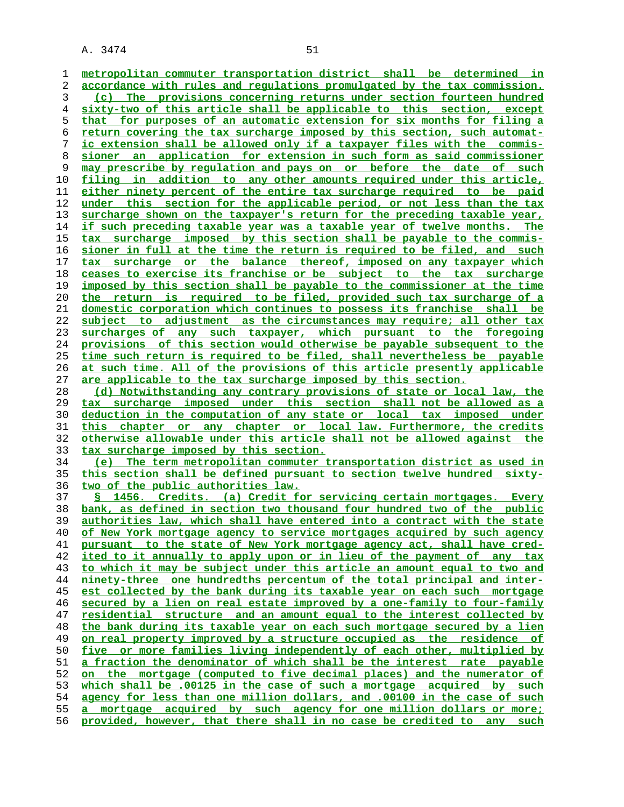**metropolitan commuter transportation district shall be determined in accordance with rules and regulations promulgated by the tax commission. (c) The provisions concerning returns under section fourteen hundred sixty-two of this article shall be applicable to this section, except that for purposes of an automatic extension for six months for filing a return covering the tax surcharge imposed by this section, such automat- ic extension shall be allowed only if a taxpayer files with the commis- sioner an application for extension in such form as said commissioner may prescribe by regulation and pays on or before the date of such filing in addition to any other amounts required under this article, either ninety percent of the entire tax surcharge required to be paid under this section for the applicable period, or not less than the tax surcharge shown on the taxpayer's return for the preceding taxable year, if such preceding taxable year was a taxable year of twelve months. The tax surcharge imposed by this section shall be payable to the commis- sioner in full at the time the return is required to be filed, and such tax surcharge or the balance thereof, imposed on any taxpayer which ceases to exercise its franchise or be subject to the tax surcharge imposed by this section shall be payable to the commissioner at the time the return is required to be filed, provided such tax surcharge of a domestic corporation which continues to possess its franchise shall be subject to adjustment as the circumstances may require; all other tax surcharges of any such taxpayer, which pursuant to the foregoing provisions of this section would otherwise be payable subsequent to the time such return is required to be filed, shall nevertheless be payable at such time. All of the provisions of this article presently applicable are applicable to the tax surcharge imposed by this section. (d) Notwithstanding any contrary provisions of state or local law, the tax surcharge imposed under this section shall not be allowed as a deduction in the computation of any state or local tax imposed under this chapter or any chapter or local law. Furthermore, the credits otherwise allowable under this article shall not be allowed against the tax surcharge imposed by this section. (e) The term metropolitan commuter transportation district as used in this section shall be defined pursuant to section twelve hundred sixty- two of the public authorities law. § 1456. Credits. (a) Credit for servicing certain mortgages. Every bank, as defined in section two thousand four hundred two of the public authorities law, which shall have entered into a contract with the state of New York mortgage agency to service mortgages acquired by such agency pursuant to the state of New York mortgage agency act, shall have cred- ited to it annually to apply upon or in lieu of the payment of any tax to which it may be subject under this article an amount equal to two and ninety-three one hundredths percentum of the total principal and inter- est collected by the bank during its taxable year on each such mortgage secured by a lien on real estate improved by a one-family to four-family residential structure and an amount equal to the interest collected by the bank during its taxable year on each such mortgage secured by a lien on real property improved by a structure occupied as the residence of five or more families living independently of each other, multiplied by a fraction the denominator of which shall be the interest rate payable on the mortgage (computed to five decimal places) and the numerator of which shall be .00125 in the case of such a mortgage acquired by such agency for less than one million dollars, and .00100 in the case of such a mortgage acquired by such agency for one million dollars or more; provided, however, that there shall in no case be credited to any such**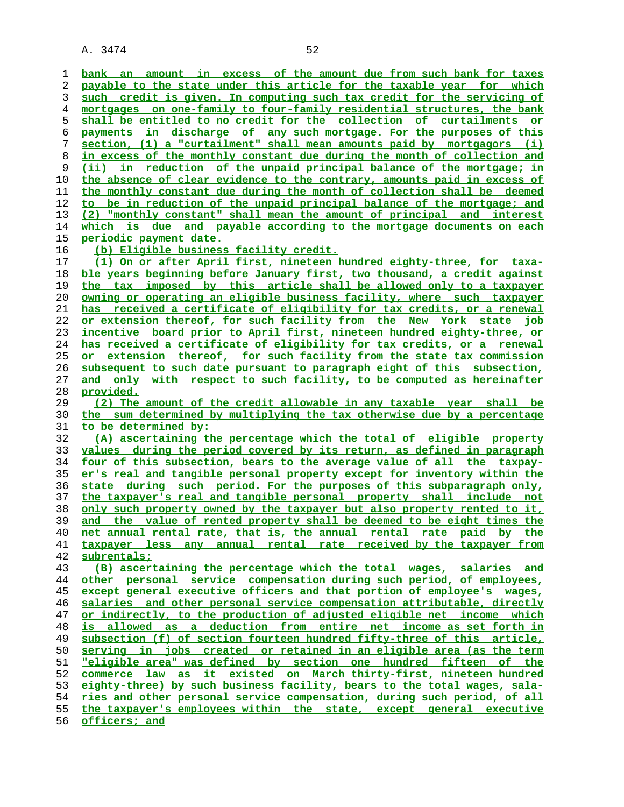**bank an amount in excess of the amount due from such bank for taxes payable to the state under this article for the taxable year for which such credit is given. In computing such tax credit for the servicing of mortgages on one-family to four-family residential structures, the bank shall be entitled to no credit for the collection of curtailments or payments in discharge of any such mortgage. For the purposes of this section, (1) a "curtailment" shall mean amounts paid by mortgagors (i) in excess of the monthly constant due during the month of collection and (ii) in reduction of the unpaid principal balance of the mortgage; in the absence of clear evidence to the contrary, amounts paid in excess of the monthly constant due during the month of collection shall be deemed to be in reduction of the unpaid principal balance of the mortgage; and (2) "monthly constant" shall mean the amount of principal and interest which is due and payable according to the mortgage documents on each periodic payment date. (b) Eligible business facility credit. (1) On or after April first, nineteen hundred eighty-three, for taxa- ble years beginning before January first, two thousand, a credit against the tax imposed by this article shall be allowed only to a taxpayer owning or operating an eligible business facility, where such taxpayer has received a certificate of eligibility for tax credits, or a renewal or extension thereof, for such facility from the New York state job incentive board prior to April first, nineteen hundred eighty-three, or has received a certificate of eligibility for tax credits, or a renewal or extension thereof, for such facility from the state tax commission subsequent to such date pursuant to paragraph eight of this subsection, and only with respect to such facility, to be computed as hereinafter provided. (2) The amount of the credit allowable in any taxable year shall be the sum determined by multiplying the tax otherwise due by a percentage to be determined by: (A) ascertaining the percentage which the total of eligible property values during the period covered by its return, as defined in paragraph four of this subsection, bears to the average value of all the taxpay- er's real and tangible personal property except for inventory within the state during such period. For the purposes of this subparagraph only, the taxpayer's real and tangible personal property shall include not only such property owned by the taxpayer but also property rented to it, and the value of rented property shall be deemed to be eight times the net annual rental rate, that is, the annual rental rate paid by the taxpayer less any annual rental rate received by the taxpayer from subrentals; (B) ascertaining the percentage which the total wages, salaries and other personal service compensation during such period, of employees, except general executive officers and that portion of employee's wages, salaries and other personal service compensation attributable, directly or indirectly, to the production of adjusted eligible net income which is allowed as a deduction from entire net income as set forth in subsection (f) of section fourteen hundred fifty-three of this article, serving in jobs created or retained in an eligible area (as the term "eligible area" was defined by section one hundred fifteen of the commerce law as it existed on March thirty-first, nineteen hundred eighty-three) by such business facility, bears to the total wages, sala- ries and other personal service compensation, during such period, of all the taxpayer's employees within the state, except general executive officers; and**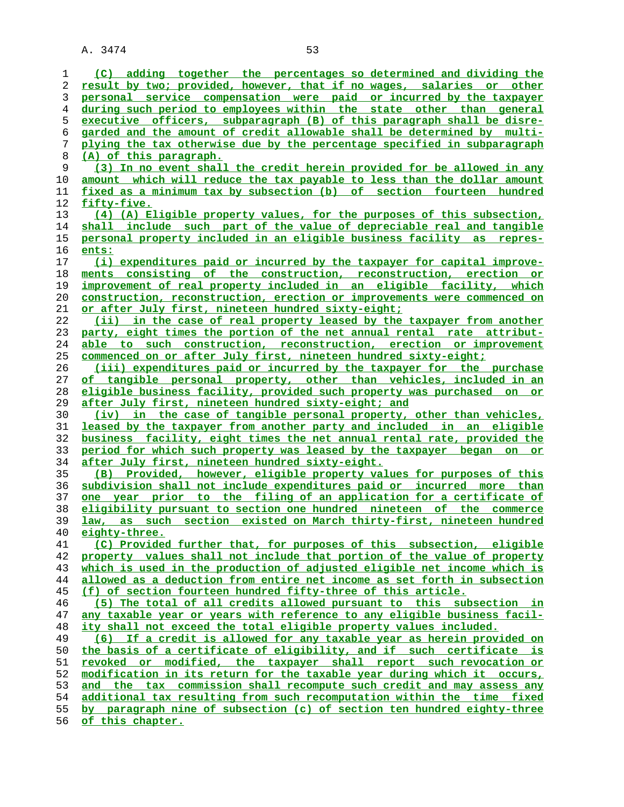**(C) adding together the percentages so determined and dividing the result by two; provided, however, that if no wages, salaries or other personal service compensation were paid or incurred by the taxpayer during such period to employees within the state other than general executive officers, subparagraph (B) of this paragraph shall be disre- garded and the amount of credit allowable shall be determined by multi- plying the tax otherwise due by the percentage specified in subparagraph (A) of this paragraph. (3) In no event shall the credit herein provided for be allowed in any amount which will reduce the tax payable to less than the dollar amount fixed as a minimum tax by subsection (b) of section fourteen hundred fifty-five. (4) (A) Eligible property values, for the purposes of this subsection, shall include such part of the value of depreciable real and tangible personal property included in an eligible business facility as repres- ents: (i) expenditures paid or incurred by the taxpayer for capital improve- ments consisting of the construction, reconstruction, erection or improvement of real property included in an eligible facility, which construction, reconstruction, erection or improvements were commenced on or after July first, nineteen hundred sixty-eight; (ii) in the case of real property leased by the taxpayer from another party, eight times the portion of the net annual rental rate attribut- able to such construction, reconstruction, erection or improvement commenced on or after July first, nineteen hundred sixty-eight; (iii) expenditures paid or incurred by the taxpayer for the purchase of tangible personal property, other than vehicles, included in an eligible business facility, provided such property was purchased on or after July first, nineteen hundred sixty-eight; and (iv) in the case of tangible personal property, other than vehicles, leased by the taxpayer from another party and included in an eligible business facility, eight times the net annual rental rate, provided the period for which such property was leased by the taxpayer began on or after July first, nineteen hundred sixty-eight. (B) Provided, however, eligible property values for purposes of this subdivision shall not include expenditures paid or incurred more than one year prior to the filing of an application for a certificate of eligibility pursuant to section one hundred nineteen of the commerce law, as such section existed on March thirty-first, nineteen hundred eighty-three. (C) Provided further that, for purposes of this subsection, eligible property values shall not include that portion of the value of property which is used in the production of adjusted eligible net income which is allowed as a deduction from entire net income as set forth in subsection (f) of section fourteen hundred fifty-three of this article. (5) The total of all credits allowed pursuant to this subsection in any taxable year or years with reference to any eligible business facil- ity shall not exceed the total eligible property values included. (6) If a credit is allowed for any taxable year as herein provided on the basis of a certificate of eligibility, and if such certificate is revoked or modified, the taxpayer shall report such revocation or modification in its return for the taxable year during which it occurs, and the tax commission shall recompute such credit and may assess any additional tax resulting from such recomputation within the time fixed by paragraph nine of subsection (c) of section ten hundred eighty-three of this chapter.**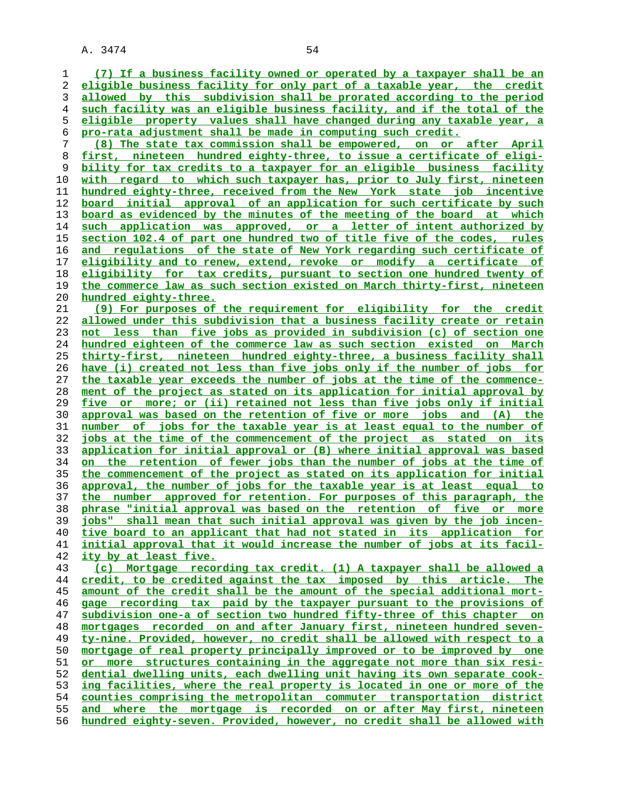**(7) If a business facility owned or operated by a taxpayer shall be an eligible business facility for only part of a taxable year, the credit allowed by this subdivision shall be prorated according to the period such facility was an eligible business facility, and if the total of the eligible property values shall have changed during any taxable year, a pro-rata adjustment shall be made in computing such credit. (8) The state tax commission shall be empowered, on or after April first, nineteen hundred eighty-three, to issue a certificate of eligi- bility for tax credits to a taxpayer for an eligible business facility with regard to which such taxpayer has, prior to July first, nineteen hundred eighty-three, received from the New York state job incentive board initial approval of an application for such certificate by such board as evidenced by the minutes of the meeting of the board at which such application was approved, or a letter of intent authorized by section 102.4 of part one hundred two of title five of the codes, rules and regulations of the state of New York regarding such certificate of eligibility and to renew, extend, revoke or modify a certificate of eligibility for tax credits, pursuant to section one hundred twenty of the commerce law as such section existed on March thirty-first, nineteen hundred eighty-three. (9) For purposes of the requirement for eligibility for the credit allowed under this subdivision that a business facility create or retain not less than five jobs as provided in subdivision (c) of section one hundred eighteen of the commerce law as such section existed on March thirty-first, nineteen hundred eighty-three, a business facility shall have (i) created not less than five jobs only if the number of jobs for the taxable year exceeds the number of jobs at the time of the commence- ment of the project as stated on its application for initial approval by five or more; or (ii) retained not less than five jobs only if initial approval was based on the retention of five or more jobs and (A) the number of jobs for the taxable year is at least equal to the number of jobs at the time of the commencement of the project as stated on its application for initial approval or (B) where initial approval was based on the retention of fewer jobs than the number of jobs at the time of the commencement of the project as stated on its application for initial approval, the number of jobs for the taxable year is at least equal to the number approved for retention. For purposes of this paragraph, the phrase "initial approval was based on the retention of five or more jobs" shall mean that such initial approval was given by the job incen- tive board to an applicant that had not stated in its application for initial approval that it would increase the number of jobs at its facil- ity by at least five. (c) Mortgage recording tax credit. (1) A taxpayer shall be allowed a credit, to be credited against the tax imposed by this article. The amount of the credit shall be the amount of the special additional mort- gage recording tax paid by the taxpayer pursuant to the provisions of subdivision one-a of section two hundred fifty-three of this chapter on mortgages recorded on and after January first, nineteen hundred seven- ty-nine. Provided, however, no credit shall be allowed with respect to a mortgage of real property principally improved or to be improved by one or more structures containing in the aggregate not more than six resi- dential dwelling units, each dwelling unit having its own separate cook- ing facilities, where the real property is located in one or more of the counties comprising the metropolitan commuter transportation district and where the mortgage is recorded on or after May first, nineteen hundred eighty-seven. Provided, however, no credit shall be allowed with**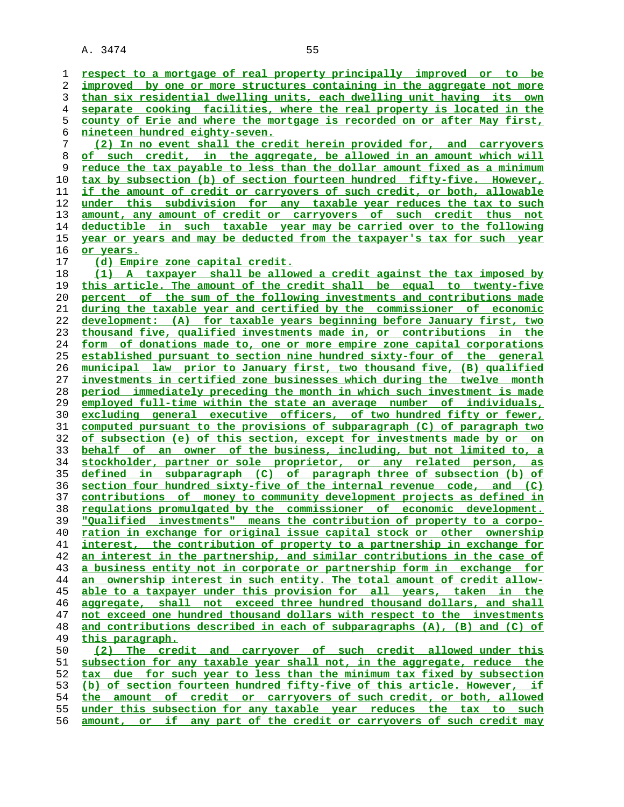**respect to a mortgage of real property principally improved or to be improved by one or more structures containing in the aggregate not more than six residential dwelling units, each dwelling unit having its own separate cooking facilities, where the real property is located in the county of Erie and where the mortgage is recorded on or after May first, nineteen hundred eighty-seven. (2) In no event shall the credit herein provided for, and carryovers**

**of such credit, in the aggregate, be allowed in an amount which will reduce the tax payable to less than the dollar amount fixed as a minimum tax by subsection (b) of section fourteen hundred fifty-five. However, if the amount of credit or carryovers of such credit, or both, allowable under this subdivision for any taxable year reduces the tax to such amount, any amount of credit or carryovers of such credit thus not deductible in such taxable year may be carried over to the following year or years and may be deducted from the taxpayer's tax for such year or years.**

**(d) Empire zone capital credit.**

**(1) A taxpayer shall be allowed a credit against the tax imposed by this article. The amount of the credit shall be equal to twenty-five percent of the sum of the following investments and contributions made during the taxable year and certified by the commissioner of economic development: (A) for taxable years beginning before January first, two thousand five, qualified investments made in, or contributions in the form of donations made to, one or more empire zone capital corporations established pursuant to section nine hundred sixty-four of the general municipal law prior to January first, two thousand five, (B) qualified investments in certified zone businesses which during the twelve month period immediately preceding the month in which such investment is made employed full-time within the state an average number of individuals, excluding general executive officers, of two hundred fifty or fewer, computed pursuant to the provisions of subparagraph (C) of paragraph two of subsection (e) of this section, except for investments made by or on behalf of an owner of the business, including, but not limited to, a stockholder, partner or sole proprietor, or any related person, as defined in subparagraph (C) of paragraph three of subsection (b) of section four hundred sixty-five of the internal revenue code, and (C) contributions of money to community development projects as defined in regulations promulgated by the commissioner of economic development. "Qualified investments" means the contribution of property to a corpo- ration in exchange for original issue capital stock or other ownership interest, the contribution of property to a partnership in exchange for an interest in the partnership, and similar contributions in the case of a business entity not in corporate or partnership form in exchange for an ownership interest in such entity. The total amount of credit allow- able to a taxpayer under this provision for all years, taken in the aggregate, shall not exceed three hundred thousand dollars, and shall not exceed one hundred thousand dollars with respect to the investments and contributions described in each of subparagraphs (A), (B) and (C) of this paragraph. (2) The credit and carryover of such credit allowed under this**

**subsection for any taxable year shall not, in the aggregate, reduce the tax due for such year to less than the minimum tax fixed by subsection (b) of section fourteen hundred fifty-five of this article. However, if the amount of credit or carryovers of such credit, or both, allowed under this subsection for any taxable year reduces the tax to such amount, or if any part of the credit or carryovers of such credit may**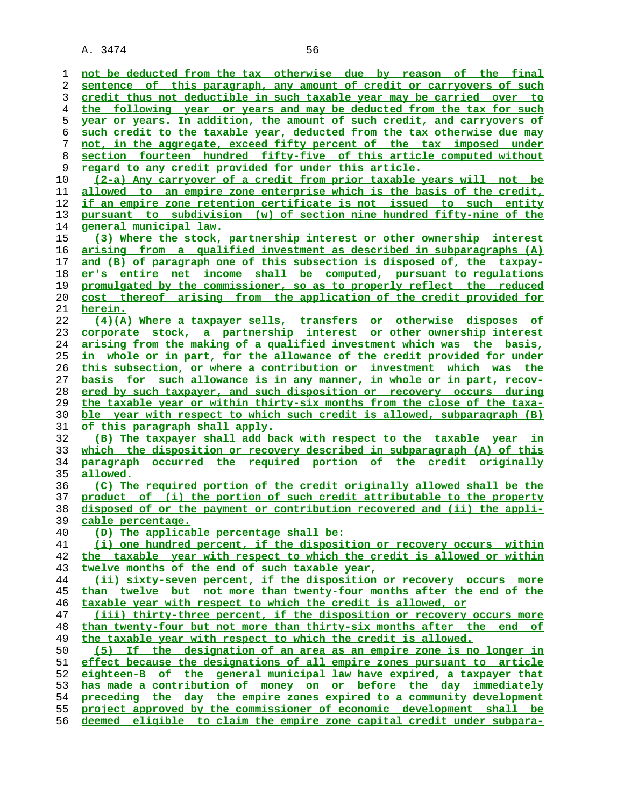**not be deducted from the tax otherwise due by reason of the final sentence of this paragraph, any amount of credit or carryovers of such credit thus not deductible in such taxable year may be carried over to the following year or years and may be deducted from the tax for such year or years. In addition, the amount of such credit, and carryovers of such credit to the taxable year, deducted from the tax otherwise due may not, in the aggregate, exceed fifty percent of the tax imposed under section fourteen hundred fifty-five of this article computed without regard to any credit provided for under this article. (2-a) Any carryover of a credit from prior taxable years will not be allowed to an empire zone enterprise which is the basis of the credit, if an empire zone retention certificate is not issued to such entity pursuant to subdivision (w) of section nine hundred fifty-nine of the general municipal law. (3) Where the stock, partnership interest or other ownership interest arising from a qualified investment as described in subparagraphs (A) and (B) of paragraph one of this subsection is disposed of, the taxpay- er's entire net income shall be computed, pursuant to regulations promulgated by the commissioner, so as to properly reflect the reduced cost thereof arising from the application of the credit provided for herein. (4)(A) Where a taxpayer sells, transfers or otherwise disposes of corporate stock, a partnership interest or other ownership interest arising from the making of a qualified investment which was the basis, in whole or in part, for the allowance of the credit provided for under this subsection, or where a contribution or investment which was the basis for such allowance is in any manner, in whole or in part, recov- ered by such taxpayer, and such disposition or recovery occurs during the taxable year or within thirty-six months from the close of the taxa- ble year with respect to which such credit is allowed, subparagraph (B) of this paragraph shall apply. (B) The taxpayer shall add back with respect to the taxable year in which the disposition or recovery described in subparagraph (A) of this paragraph occurred the required portion of the credit originally allowed. (C) The required portion of the credit originally allowed shall be the product of (i) the portion of such credit attributable to the property disposed of or the payment or contribution recovered and (ii) the appli- cable percentage. (D) The applicable percentage shall be: (i) one hundred percent, if the disposition or recovery occurs within the taxable year with respect to which the credit is allowed or within twelve months of the end of such taxable year, (ii) sixty-seven percent, if the disposition or recovery occurs more than twelve but not more than twenty-four months after the end of the taxable year with respect to which the credit is allowed, or (iii) thirty-three percent, if the disposition or recovery occurs more than twenty-four but not more than thirty-six months after the end of the taxable year with respect to which the credit is allowed. (5) If the designation of an area as an empire zone is no longer in effect because the designations of all empire zones pursuant to article eighteen-B of the general municipal law have expired, a taxpayer that has made a contribution of money on or before the day immediately preceding the day the empire zones expired to a community development project approved by the commissioner of economic development shall be deemed eligible to claim the empire zone capital credit under subpara-**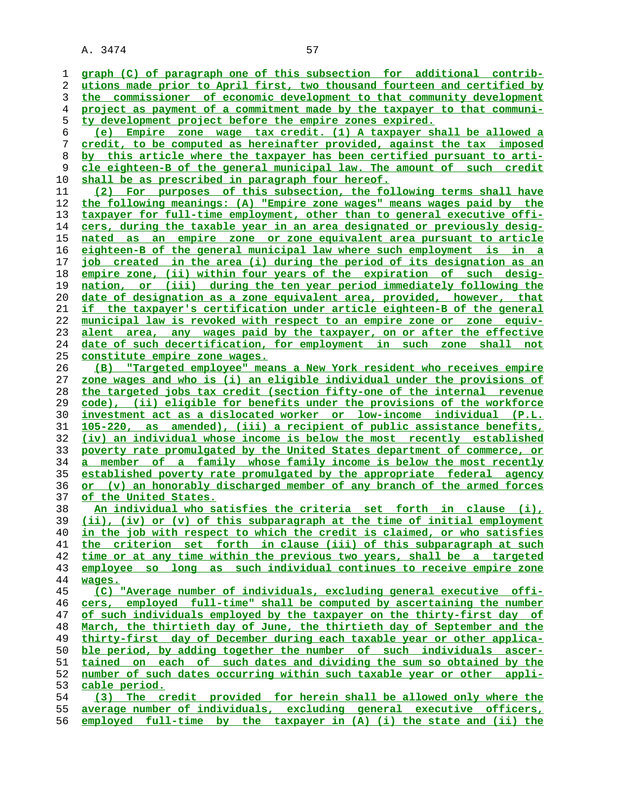| 1        | graph (C) of paragraph one of this subsection for additional contrib-                                                                           |
|----------|-------------------------------------------------------------------------------------------------------------------------------------------------|
| 2        | utions made prior to April first, two thousand fourteen and certified by                                                                        |
| 3        | the commissioner of economic development to that community development                                                                          |
| 4        | project as payment of a commitment made by the taxpayer to that communi-                                                                        |
| 5        | ty development project before the empire zones expired.                                                                                         |
| 6        | (e) Empire zone wage tax credit. (1) A taxpayer shall be allowed a                                                                              |
| 7        | credit, to be computed as hereinafter provided, against the tax imposed                                                                         |
| 8        | by this article where the taxpayer has been certified pursuant to arti-                                                                         |
| 9        | cle eighteen-B of the general municipal law. The amount of such credit                                                                          |
| 10       | <u>shall be as prescribed in paragraph four hereof.</u>                                                                                         |
| 11       | (2) For purposes of this subsection, the following terms shall have                                                                             |
| 12       | the following meanings: (A) "Empire zone wages" means wages paid by the                                                                         |
| 13       | taxpayer for full-time employment, other than to general executive offi-                                                                        |
| 14       | cers, during the taxable year in an area designated or previously desig-                                                                        |
| 15       | nated as an empire zone or zone equivalent area pursuant to article                                                                             |
| 16       | <u>eighteen-B of the general municipal law where such employment is in a</u>                                                                    |
| 17       | job created in the area (i) during the period of its designation as an                                                                          |
| 18       | empire zone, (ii) within four years of the expiration of such desig-                                                                            |
| 19       | nation, or (iii) during the ten year period immediately following the                                                                           |
| 20       | date of designation as a zone equivalent area, provided, however, that                                                                          |
| 21       | if the taxpayer's certification under article eighteen-B of the general                                                                         |
| 22       | <u>municipal law is revoked with respect to an empire zone or zone equiv-</u>                                                                   |
| 23       | alent area, any wages paid by the taxpayer, on or after the effective                                                                           |
| 24       | <u>date of such decertification, for employment in such zone shall not</u>                                                                      |
| 25       | <u>constitute empire zone wages.</u>                                                                                                            |
| 26       | "Targeted employee" means a New York resident who receives empire<br>(B)                                                                        |
| 27       | zone wages and who is (i) an eligible individual under the provisions of                                                                        |
| 28       | the targeted jobs tax credit (section fifty-one of the internal revenue                                                                         |
| 29       | code), (ii) eligible for benefits under the provisions of the workforce                                                                         |
| 30       | investment act as a dislocated worker or low-income individual (P.L.                                                                            |
| 31       | <u>105-220, as amended), (iii) a recipient of public assistance benefits,</u>                                                                   |
| 32       | (iv) an individual whose income is below the most recently established                                                                          |
| 33       | poverty rate promulgated by the United States department of commerce, or<br>a member of a family whose family income is below the most recently |
| 34<br>35 | established poverty rate promulgated by the appropriate federal agency                                                                          |
| 36       | or (v) an honorably discharged member of any branch of the armed forces                                                                         |
| 37       | of the United States.                                                                                                                           |
| 38       | An individual who satisfies the criteria set forth in clause (i),                                                                               |
| 39       | (ii), (iv) or (v) of this subparagraph at the time of initial employment                                                                        |
| 40       | in the job with respect to which the credit is claimed, or who satisfies                                                                        |
| 41       | the criterion set forth in clause (iii) of this subparagraph at such                                                                            |
| 42       | time or at any time within the previous two years, shall be a targeted                                                                          |
| 43       | employee so long as such individual continues to receive empire zone                                                                            |
| 44       | wages.                                                                                                                                          |
| 45       | (C) "Average number of individuals, excluding general executive offi-                                                                           |
| 46       | cers, employed full-time" shall be computed by ascertaining the number                                                                          |
| 47       | of such individuals employed by the taxpayer on the thirty-first day of                                                                         |
| 48       | March, the thirtieth day of June, the thirtieth day of September and the                                                                        |
| 49       | thirty-first day of December during each taxable year or other applica-                                                                         |
| 50       | ble period, by adding together the number of such individuals ascer-                                                                            |
| 51       | tained on each of such dates and dividing the sum so obtained by the                                                                            |
| 52       | number of such dates occurring within such taxable year or other appli-                                                                         |
| 53       | cable period.                                                                                                                                   |
| 54       | (3) The credit provided for herein shall be allowed only where the                                                                              |
| 55       | average number of individuals, excluding general executive officers,                                                                            |
| 56       | employed full-time by the taxpayer in (A) (i) the state and (ii) the                                                                            |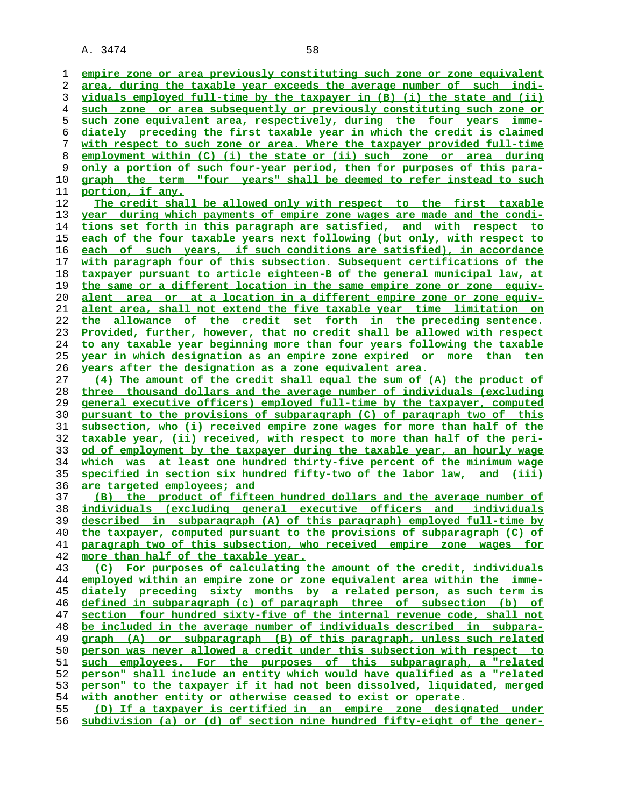**empire zone or area previously constituting such zone or zone equivalent area, during the taxable year exceeds the average number of such indi- viduals employed full-time by the taxpayer in (B) (i) the state and (ii) such zone or area subsequently or previously constituting such zone or such zone equivalent area, respectively, during the four years imme- diately preceding the first taxable year in which the credit is claimed with respect to such zone or area. Where the taxpayer provided full-time employment within (C) (i) the state or (ii) such zone or area during only a portion of such four-year period, then for purposes of this para- graph the term "four years" shall be deemed to refer instead to such portion, if any. The credit shall be allowed only with respect to the first taxable year during which payments of empire zone wages are made and the condi- tions set forth in this paragraph are satisfied, and with respect to each of the four taxable years next following (but only, with respect to each of such years, if such conditions are satisfied), in accordance with paragraph four of this subsection. Subsequent certifications of the taxpayer pursuant to article eighteen-B of the general municipal law, at the same or a different location in the same empire zone or zone equiv- alent area or at a location in a different empire zone or zone equiv- alent area, shall not extend the five taxable year time limitation on the allowance of the credit set forth in the preceding sentence. Provided, further, however, that no credit shall be allowed with respect to any taxable year beginning more than four years following the taxable year in which designation as an empire zone expired or more than ten years after the designation as a zone equivalent area. (4) The amount of the credit shall equal the sum of (A) the product of three thousand dollars and the average number of individuals (excluding general executive officers) employed full-time by the taxpayer, computed pursuant to the provisions of subparagraph (C) of paragraph two of this subsection, who (i) received empire zone wages for more than half of the taxable year, (ii) received, with respect to more than half of the peri- od of employment by the taxpayer during the taxable year, an hourly wage which was at least one hundred thirty-five percent of the minimum wage specified in section six hundred fifty-two of the labor law, and (iii) are targeted employees; and (B) the product of fifteen hundred dollars and the average number of individuals (excluding general executive officers and individuals described in subparagraph (A) of this paragraph) employed full-time by the taxpayer, computed pursuant to the provisions of subparagraph (C) of paragraph two of this subsection, who received empire zone wages for more than half of the taxable year. (C) For purposes of calculating the amount of the credit, individuals employed within an empire zone or zone equivalent area within the imme- diately preceding sixty months by a related person, as such term is defined in subparagraph (c) of paragraph three of subsection (b) of section four hundred sixty-five of the internal revenue code, shall not be included in the average number of individuals described in subpara-**

**graph (A) or subparagraph (B) of this paragraph, unless such related person was never allowed a credit under this subsection with respect to such employees. For the purposes of this subparagraph, a "related person" shall include an entity which would have qualified as a "related person" to the taxpayer if it had not been dissolved, liquidated, merged**

**(D) If a taxpayer is certified in an empire zone designated under subdivision (a) or (d) of section nine hundred fifty-eight of the gener-**

**with another entity or otherwise ceased to exist or operate.**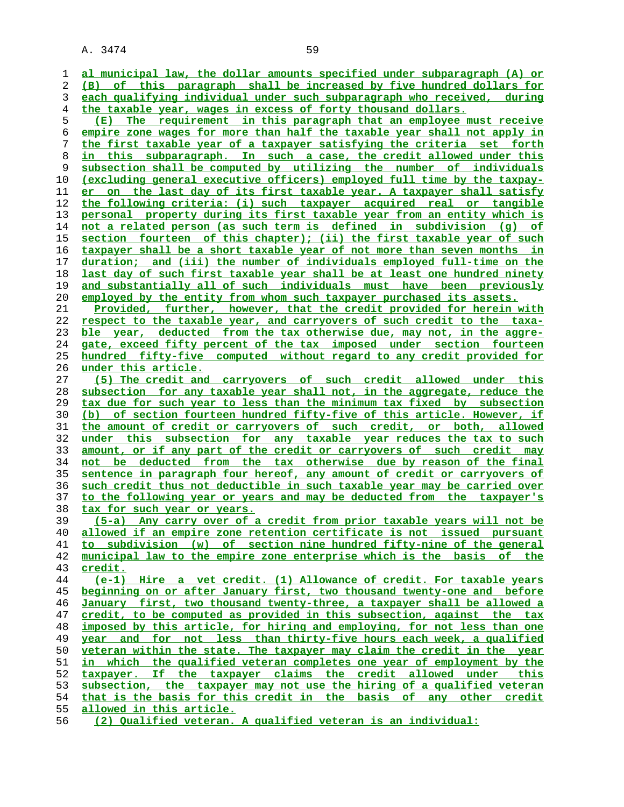**al municipal law, the dollar amounts specified under subparagraph (A) or (B) of this paragraph shall be increased by five hundred dollars for each qualifying individual under such subparagraph who received, during the taxable year, wages in excess of forty thousand dollars. (E) The requirement in this paragraph that an employee must receive empire zone wages for more than half the taxable year shall not apply in the first taxable year of a taxpayer satisfying the criteria set forth in this subparagraph. In such a case, the credit allowed under this subsection shall be computed by utilizing the number of individuals (excluding general executive officers) employed full time by the taxpay- er on the last day of its first taxable year. A taxpayer shall satisfy the following criteria: (i) such taxpayer acquired real or tangible personal property during its first taxable year from an entity which is not a related person (as such term is defined in subdivision (g) of section fourteen of this chapter); (ii) the first taxable year of such taxpayer shall be a short taxable year of not more than seven months in duration; and (iii) the number of individuals employed full-time on the last day of such first taxable year shall be at least one hundred ninety and substantially all of such individuals must have been previously employed by the entity from whom such taxpayer purchased its assets. Provided, further, however, that the credit provided for herein with respect to the taxable year, and carryovers of such credit to the taxa- ble year, deducted from the tax otherwise due, may not, in the aggre- gate, exceed fifty percent of the tax imposed under section fourteen hundred fifty-five computed without regard to any credit provided for under this article. (5) The credit and carryovers of such credit allowed under this subsection for any taxable year shall not, in the aggregate, reduce the tax due for such year to less than the minimum tax fixed by subsection (b) of section fourteen hundred fifty-five of this article. However, if the amount of credit or carryovers of such credit, or both, allowed under this subsection for any taxable year reduces the tax to such amount, or if any part of the credit or carryovers of such credit may not be deducted from the tax otherwise due by reason of the final sentence in paragraph four hereof, any amount of credit or carryovers of such credit thus not deductible in such taxable year may be carried over to the following year or years and may be deducted from the taxpayer's tax for such year or years. (5-a) Any carry over of a credit from prior taxable years will not be allowed if an empire zone retention certificate is not issued pursuant to subdivision (w) of section nine hundred fifty-nine of the general municipal law to the empire zone enterprise which is the basis of the credit. (e-1) Hire a vet credit. (1) Allowance of credit. For taxable years beginning on or after January first, two thousand twenty-one and before January first, two thousand twenty-three, a taxpayer shall be allowed a credit, to be computed as provided in this subsection, against the tax imposed by this article, for hiring and employing, for not less than one year and for not less than thirty-five hours each week, a qualified veteran within the state. The taxpayer may claim the credit in the year in which the qualified veteran completes one year of employment by the taxpayer. If the taxpayer claims the credit allowed under this subsection, the taxpayer may not use the hiring of a qualified veteran that is the basis for this credit in the basis of any other credit allowed in this article. (2) Qualified veteran. A qualified veteran is an individual:**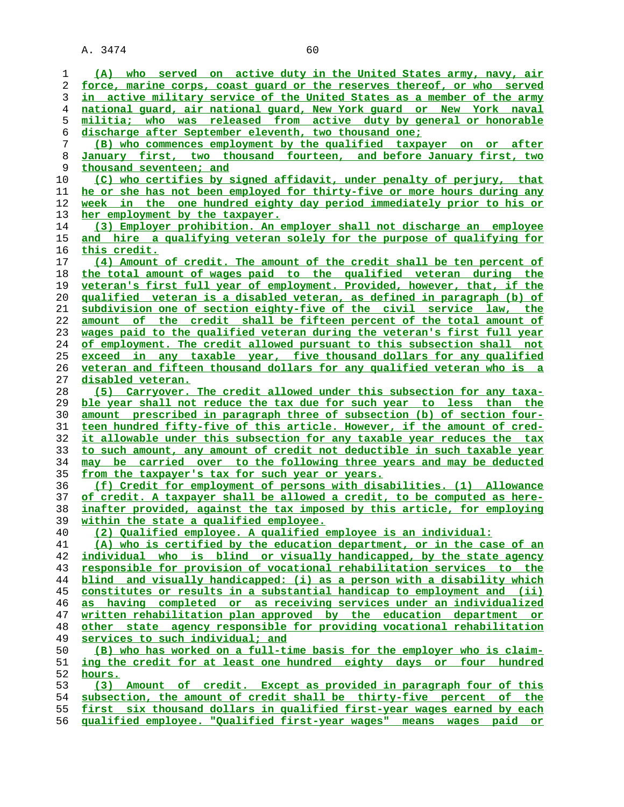| 1  | (A) who served on active duty in the United States army, navy, air             |
|----|--------------------------------------------------------------------------------|
|    |                                                                                |
| 2  | force, marine corps, coast quard or the reserves thereof, or who served        |
| 3  | in active military service of the United States as a member of the army        |
| 4  | national quard, air national guard, New York guard or New York naval           |
| 5  | militia; who was released from active duty by general or honorable             |
| 6  | discharge after September eleventh, two thousand one;                          |
| 7  | (B) who commences employment by the qualified taxpayer on or after             |
| 8  | January first, two thousand fourteen, and before January first, two            |
| 9  | thousand seventeen; and                                                        |
| 10 | (C) who certifies by signed affidavit, under penalty of perjury, that          |
| 11 | he or she has not been employed for thirty-five or more hours during any       |
| 12 | week in the one hundred eighty day period immediately prior to his or          |
| 13 | her employment by the taxpayer.                                                |
| 14 | (3) Employer prohibition. An employer shall not discharge an employee          |
| 15 | and hire a qualifying veteran solely for the purpose of qualifying for         |
| 16 |                                                                                |
|    | <u>this credit.</u>                                                            |
| 17 | (4) Amount of credit. The amount of the credit shall be ten percent of         |
| 18 | the total amount of wages paid to the qualified veteran during the             |
| 19 | veteran's first full year of employment. Provided, however, that, if the       |
| 20 | <u>qualified veteran is a disabled veteran, as defined in paragraph (b) of</u> |
| 21 | subdivision one of section eighty-five of the civil service law, the           |
| 22 | amount of the credit shall be fifteen percent of the total amount of           |
| 23 | wages paid to the qualified veteran during the veteran's first full year       |
| 24 | of employment. The credit allowed pursuant to this subsection shall not        |
| 25 | exceed in any taxable year, five thousand dollars for any qualified            |
| 26 | veteran and fifteen thousand dollars for any qualified veteran who is a        |
| 27 | disabled veteran.                                                              |
| 28 | Carryover. The credit allowed under this subsection for any taxa-<br>(5)       |
| 29 | ble year shall not reduce the tax due for such year to less than the           |
| 30 | amount prescribed in paragraph three of subsection (b) of section four-        |
| 31 | teen hundred fifty-five of this article. However, if the amount of cred-       |
| 32 | it allowable under this subsection for any taxable year reduces the tax        |
| 33 | to such amount, any amount of credit not deductible in such taxable year       |
| 34 | may be carried over to the following three years and may be deducted           |
|    | from the taxpayer's tax for such year or years.                                |
| 35 |                                                                                |
| 36 | (f) Credit for employment of persons with disabilities. (1) Allowance          |
| 37 | of credit. A taxpayer shall be allowed a credit, to be computed as here-       |
| 38 | inafter provided, against the tax imposed by this article, for employing       |
| 39 | within the state a qualified employee.                                         |
| 40 | (2) Qualified employee. A qualified employee is an individual:                 |
| 41 | (A) who is certified by the education department, or in the case of an         |
| 42 | individual who is blind or visually handicapped, by the state agency           |
| 43 | responsible for provision of vocational rehabilitation services to the         |
| 44 | blind and visually handicapped: (i) as a person with a disability which        |
| 45 | constitutes or results in a substantial handicap to employment and (ii)        |
| 46 | as having completed or as receiving services under an individualized           |
| 47 | written rehabilitation plan approved by the education department or            |
| 48 | other state agency responsible for providing vocational rehabilitation         |
| 49 | services to such individual; and                                               |
| 50 | (B) who has worked on a full-time basis for the employer who is claim-         |
| 51 | ing the credit for at least one hundred eighty days or four hundred            |
| 52 | hours.                                                                         |
| 53 | (3) Amount of credit. Except as provided in paragraph four of this             |
| 54 | subsection, the amount of credit shall be thirty-five percent of the           |
| 55 | first six thousand dollars in qualified first-year wages earned by each        |
| 56 | <u>qualified employee. "Qualified first-year wages" means wages paid or</u>    |
|    |                                                                                |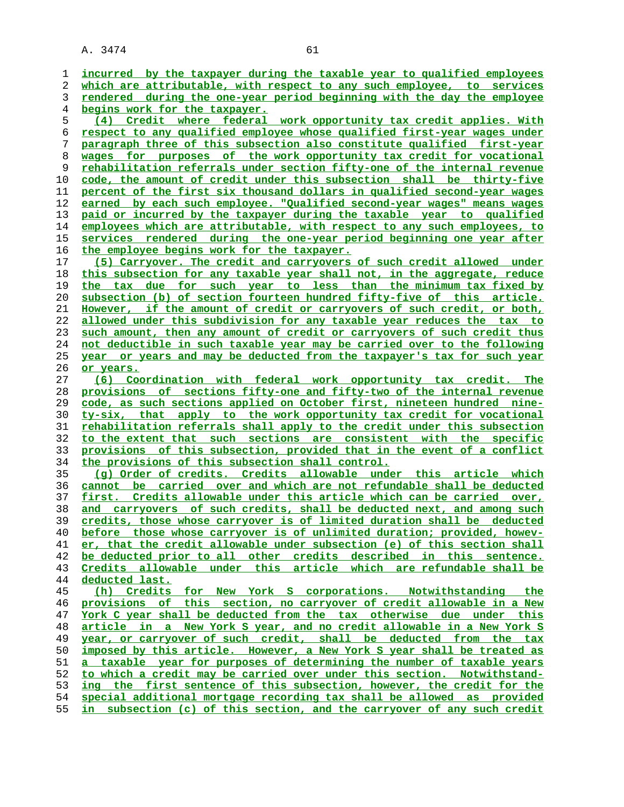**incurred by the taxpayer during the taxable year to qualified employees which are attributable, with respect to any such employee, to services rendered during the one-year period beginning with the day the employee begins work for the taxpayer. (4) Credit where federal work opportunity tax credit applies. With respect to any qualified employee whose qualified first-year wages under paragraph three of this subsection also constitute qualified first-year wages for purposes of the work opportunity tax credit for vocational rehabilitation referrals under section fifty-one of the internal revenue code, the amount of credit under this subsection shall be thirty-five percent of the first six thousand dollars in qualified second-year wages earned by each such employee. "Qualified second-year wages" means wages paid or incurred by the taxpayer during the taxable year to qualified employees which are attributable, with respect to any such employees, to services rendered during the one-year period beginning one year after the employee begins work for the taxpayer. (5) Carryover. The credit and carryovers of such credit allowed under this subsection for any taxable year shall not, in the aggregate, reduce the tax due for such year to less than the minimum tax fixed by subsection (b) of section fourteen hundred fifty-five of this article. However, if the amount of credit or carryovers of such credit, or both, allowed under this subdivision for any taxable year reduces the tax to such amount, then any amount of credit or carryovers of such credit thus not deductible in such taxable year may be carried over to the following year or years and may be deducted from the taxpayer's tax for such year or years. (6) Coordination with federal work opportunity tax credit. The provisions of sections fifty-one and fifty-two of the internal revenue code, as such sections applied on October first, nineteen hundred nine- ty-six, that apply to the work opportunity tax credit for vocational rehabilitation referrals shall apply to the credit under this subsection to the extent that such sections are consistent with the specific provisions of this subsection, provided that in the event of a conflict the provisions of this subsection shall control. (g) Order of credits. Credits allowable under this article which cannot be carried over and which are not refundable shall be deducted first. Credits allowable under this article which can be carried over, and carryovers of such credits, shall be deducted next, and among such credits, those whose carryover is of limited duration shall be deducted before those whose carryover is of unlimited duration; provided, howev- er, that the credit allowable under subsection (e) of this section shall be deducted prior to all other credits described in this sentence. Credits allowable under this article which are refundable shall be deducted last. (h) Credits for New York S corporations. Notwithstanding the provisions of this section, no carryover of credit allowable in a New York C year shall be deducted from the tax otherwise due under this article in a New York S year, and no credit allowable in a New York S year, or carryover of such credit, shall be deducted from the tax imposed by this article. However, a New York S year shall be treated as a taxable year for purposes of determining the number of taxable years to which a credit may be carried over under this section. Notwithstand- ing the first sentence of this subsection, however, the credit for the special additional mortgage recording tax shall be allowed as provided in subsection (c) of this section, and the carryover of any such credit**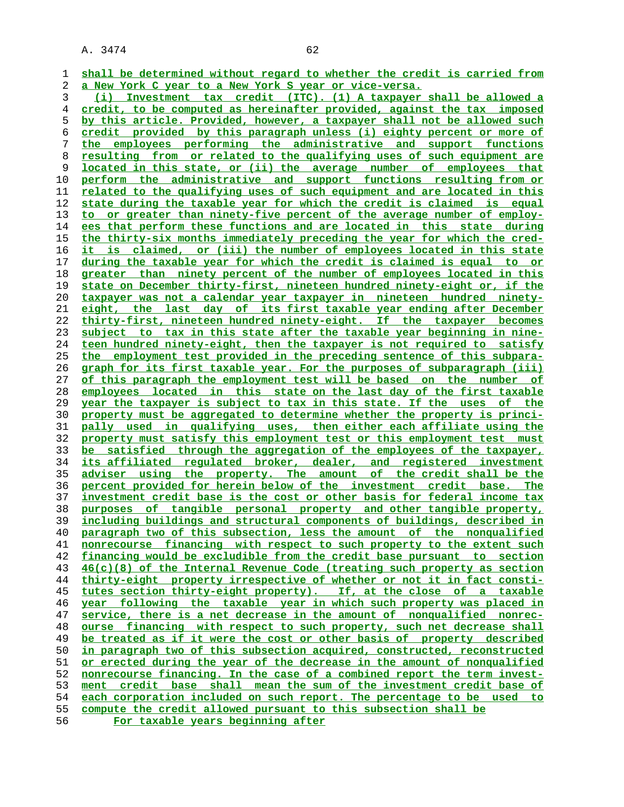**shall be determined without regard to whether the credit is carried from a New York C year to a New York S year or vice-versa. (i) Investment tax credit (ITC). (1) A taxpayer shall be allowed a credit, to be computed as hereinafter provided, against the tax imposed by this article. Provided, however, a taxpayer shall not be allowed such credit provided by this paragraph unless (i) eighty percent or more of the employees performing the administrative and support functions resulting from or related to the qualifying uses of such equipment are located in this state, or (ii) the average number of employees that perform the administrative and support functions resulting from or related to the qualifying uses of such equipment and are located in this state during the taxable year for which the credit is claimed is equal to or greater than ninety-five percent of the average number of employ- ees that perform these functions and are located in this state during the thirty-six months immediately preceding the year for which the cred- it is claimed, or (iii) the number of employees located in this state during the taxable year for which the credit is claimed is equal to or greater than ninety percent of the number of employees located in this state on December thirty-first, nineteen hundred ninety-eight or, if the**

**taxpayer was not a calendar year taxpayer in nineteen hundred ninety- eight, the last day of its first taxable year ending after December thirty-first, nineteen hundred ninety-eight. If the taxpayer becomes subject to tax in this state after the taxable year beginning in nine- teen hundred ninety-eight, then the taxpayer is not required to satisfy the employment test provided in the preceding sentence of this subpara- graph for its first taxable year. For the purposes of subparagraph (iii) of this paragraph the employment test will be based on the number of employees located in this state on the last day of the first taxable year the taxpayer is subject to tax in this state. If the uses of the property must be aggregated to determine whether the property is princi- pally used in qualifying uses, then either each affiliate using the property must satisfy this employment test or this employment test must be satisfied through the aggregation of the employees of the taxpayer, its affiliated regulated broker, dealer, and registered investment adviser using the property. The amount of the credit shall be the percent provided for herein below of the investment credit base. The investment credit base is the cost or other basis for federal income tax purposes of tangible personal property and other tangible property, including buildings and structural components of buildings, described in paragraph two of this subsection, less the amount of the nonqualified nonrecourse financing with respect to such property to the extent such financing would be excludible from the credit base pursuant to section 46(c)(8) of the Internal Revenue Code (treating such property as section thirty-eight property irrespective of whether or not it in fact consti- tutes section thirty-eight property). If, at the close of a taxable year following the taxable year in which such property was placed in service, there is a net decrease in the amount of nonqualified nonrec- ourse financing with respect to such property, such net decrease shall be treated as if it were the cost or other basis of property described in paragraph two of this subsection acquired, constructed, reconstructed or erected during the year of the decrease in the amount of nonqualified nonrecourse financing. In the case of a combined report the term invest- ment credit base shall mean the sum of the investment credit base of each corporation included on such report. The percentage to be used to compute the credit allowed pursuant to this subsection shall be**

**For taxable years beginning after**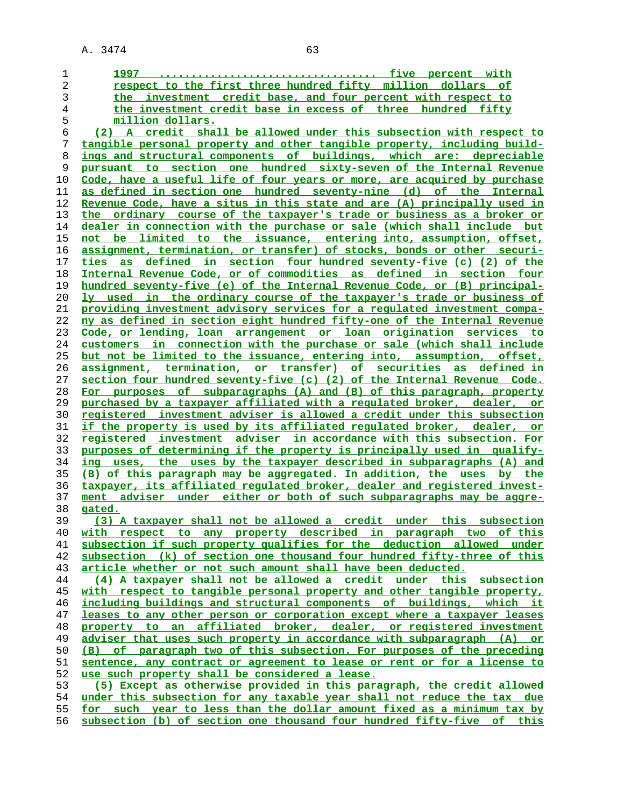**1997 .................................. five percent with respect to the first three hundred fifty million dollars of the investment credit base, and four percent with respect to the investment credit base in excess of three hundred fifty million dollars. (2) A credit shall be allowed under this subsection with respect to tangible personal property and other tangible property, including build- ings and structural components of buildings, which are: depreciable pursuant to section one hundred sixty-seven of the Internal Revenue Code, have a useful life of four years or more, are acquired by purchase as defined in section one hundred seventy-nine (d) of the Internal Revenue Code, have a situs in this state and are (A) principally used in the ordinary course of the taxpayer's trade or business as a broker or dealer in connection with the purchase or sale (which shall include but not be limited to the issuance, entering into, assumption, offset, assignment, termination, or transfer) of stocks, bonds or other securi- ties as defined in section four hundred seventy-five (c) (2) of the Internal Revenue Code, or of commodities as defined in section four hundred seventy-five (e) of the Internal Revenue Code, or (B) principal- ly used in the ordinary course of the taxpayer's trade or business of providing investment advisory services for a regulated investment compa- ny as defined in section eight hundred fifty-one of the Internal Revenue Code, or lending, loan arrangement or loan origination services to customers in connection with the purchase or sale (which shall include but not be limited to the issuance, entering into, assumption, offset, assignment, termination, or transfer) of securities as defined in section four hundred seventy-five (c) (2) of the Internal Revenue Code. For purposes of subparagraphs (A) and (B) of this paragraph, property purchased by a taxpayer affiliated with a regulated broker, dealer, or registered investment adviser is allowed a credit under this subsection if the property is used by its affiliated regulated broker, dealer, or registered investment adviser in accordance with this subsection. For purposes of determining if the property is principally used in qualify- ing uses, the uses by the taxpayer described in subparagraphs (A) and (B) of this paragraph may be aggregated. In addition, the uses by the taxpayer, its affiliated regulated broker, dealer and registered invest- ment adviser under either or both of such subparagraphs may be aggre- gated. (3) A taxpayer shall not be allowed a credit under this subsection with respect to any property described in paragraph two of this subsection if such property qualifies for the deduction allowed under subsection (k) of section one thousand four hundred fifty-three of this article whether or not such amount shall have been deducted. (4) A taxpayer shall not be allowed a credit under this subsection with respect to tangible personal property and other tangible property, including buildings and structural components of buildings, which it leases to any other person or corporation except where a taxpayer leases property to an affiliated broker, dealer, or registered investment adviser that uses such property in accordance with subparagraph (A) or (B) of paragraph two of this subsection. For purposes of the preceding sentence, any contract or agreement to lease or rent or for a license to use such property shall be considered a lease. (5) Except as otherwise provided in this paragraph, the credit allowed under this subsection for any taxable year shall not reduce the tax due for such year to less than the dollar amount fixed as a minimum tax by subsection (b) of section one thousand four hundred fifty-five of this**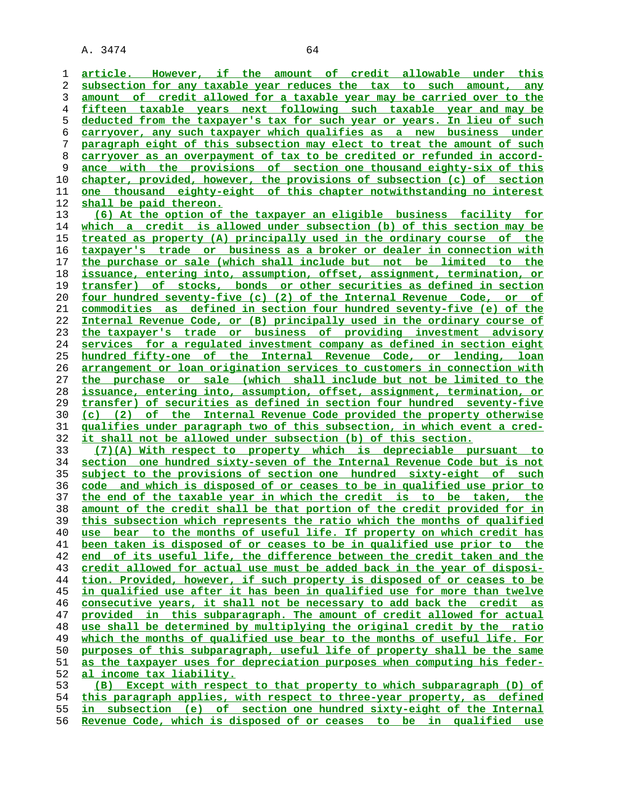A. 3474 64 **article. However, if the amount of credit allowable under this**

**subsection for any taxable year reduces the tax to such amount, any amount of credit allowed for a taxable year may be carried over to the fifteen taxable years next following such taxable year and may be deducted from the taxpayer's tax for such year or years. In lieu of such carryover, any such taxpayer which qualifies as a new business under paragraph eight of this subsection may elect to treat the amount of such carryover as an overpayment of tax to be credited or refunded in accord- ance with the provisions of section one thousand eighty-six of this chapter, provided, however, the provisions of subsection (c) of section one thousand eighty-eight of this chapter notwithstanding no interest shall be paid thereon. (6) At the option of the taxpayer an eligible business facility for** which a credit is allowed under subsection (b) of this section may be **treated as property (A) principally used in the ordinary course of the taxpayer's trade or business as a broker or dealer in connection with the purchase or sale (which shall include but not be limited to the issuance, entering into, assumption, offset, assignment, termination, or transfer) of stocks, bonds or other securities as defined in section four hundred seventy-five (c) (2) of the Internal Revenue Code, or of commodities as defined in section four hundred seventy-five (e) of the Internal Revenue Code, or (B) principally used in the ordinary course of the taxpayer's trade or business of providing investment advisory services for a regulated investment company as defined in section eight hundred fifty-one of the Internal Revenue Code, or lending, loan arrangement or loan origination services to customers in connection with the purchase or sale (which shall include but not be limited to the issuance, entering into, assumption, offset, assignment, termination, or transfer) of securities as defined in section four hundred seventy-five (c) (2) of the Internal Revenue Code provided the property otherwise qualifies under paragraph two of this subsection, in which event a cred- it shall not be allowed under subsection (b) of this section. (7)(A) With respect to property which is depreciable pursuant to section one hundred sixty-seven of the Internal Revenue Code but is not subject to the provisions of section one hundred sixty-eight of such code and which is disposed of or ceases to be in qualified use prior to the end of the taxable year in which the credit is to be taken, the amount of the credit shall be that portion of the credit provided for in this subsection which represents the ratio which the months of qualified use bear to the months of useful life. If property on which credit has been taken is disposed of or ceases to be in qualified use prior to the end of its useful life, the difference between the credit taken and the credit allowed for actual use must be added back in the year of disposi- tion. Provided, however, if such property is disposed of or ceases to be in qualified use after it has been in qualified use for more than twelve consecutive years, it shall not be necessary to add back the credit as provided in this subparagraph. The amount of credit allowed for actual use shall be determined by multiplying the original credit by the ratio which the months of qualified use bear to the months of useful life. For purposes of this subparagraph, useful life of property shall be the same as the taxpayer uses for depreciation purposes when computing his feder- al income tax liability. (B) Except with respect to that property to which subparagraph (D) of this paragraph applies, with respect to three-year property, as defined in subsection (e) of section one hundred sixty-eight of the Internal**

**Revenue Code, which is disposed of or ceases to be in qualified use**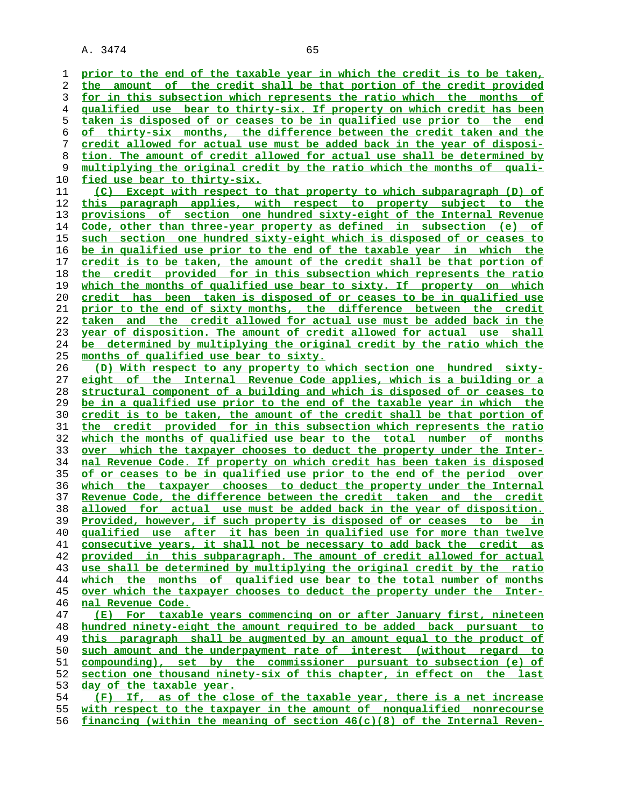**prior to the end of the taxable year in which the credit is to be taken, the amount of the credit shall be that portion of the credit provided for in this subsection which represents the ratio which the months of qualified use bear to thirty-six. If property on which credit has been taken is disposed of or ceases to be in qualified use prior to the end of thirty-six months, the difference between the credit taken and the credit allowed for actual use must be added back in the year of disposi- tion. The amount of credit allowed for actual use shall be determined by multiplying the original credit by the ratio which the months of quali- fied use bear to thirty-six. (C) Except with respect to that property to which subparagraph (D) of this paragraph applies, with respect to property subject to the provisions of section one hundred sixty-eight of the Internal Revenue Code, other than three-year property as defined in subsection (e) of such section one hundred sixty-eight which is disposed of or ceases to be in qualified use prior to the end of the taxable year in which the credit is to be taken, the amount of the credit shall be that portion of the credit provided for in this subsection which represents the ratio which the months of qualified use bear to sixty. If property on which credit has been taken is disposed of or ceases to be in qualified use prior to the end of sixty months, the difference between the credit taken and the credit allowed for actual use must be added back in the year of disposition. The amount of credit allowed for actual use shall be determined by multiplying the original credit by the ratio which the months of qualified use bear to sixty. (D) With respect to any property to which section one hundred sixty- eight of the Internal Revenue Code applies, which is a building or a structural component of a building and which is disposed of or ceases to be in a qualified use prior to the end of the taxable year in which the credit is to be taken, the amount of the credit shall be that portion of the credit provided for in this subsection which represents the ratio which the months of qualified use bear to the total number of months over which the taxpayer chooses to deduct the property under the Inter- nal Revenue Code. If property on which credit has been taken is disposed of or ceases to be in qualified use prior to the end of the period over which the taxpayer chooses to deduct the property under the Internal Revenue Code, the difference between the credit taken and the credit allowed for actual use must be added back in the year of disposition. Provided, however, if such property is disposed of or ceases to be in qualified use after it has been in qualified use for more than twelve consecutive years, it shall not be necessary to add back the credit as provided in this subparagraph. The amount of credit allowed for actual use shall be determined by multiplying the original credit by the ratio which the months of qualified use bear to the total number of months over which the taxpayer chooses to deduct the property under the Inter- nal Revenue Code. (E) For taxable years commencing on or after January first, nineteen hundred ninety-eight the amount required to be added back pursuant to this paragraph shall be augmented by an amount equal to the product of such amount and the underpayment rate of interest (without regard to compounding), set by the commissioner pursuant to subsection (e) of section one thousand ninety-six of this chapter, in effect on the last day of the taxable year. (F) If, as of the close of the taxable year, there is a net increase**

**with respect to the taxpayer in the amount of nonqualified nonrecourse financing (within the meaning of section 46(c)(8) of the Internal Reven-**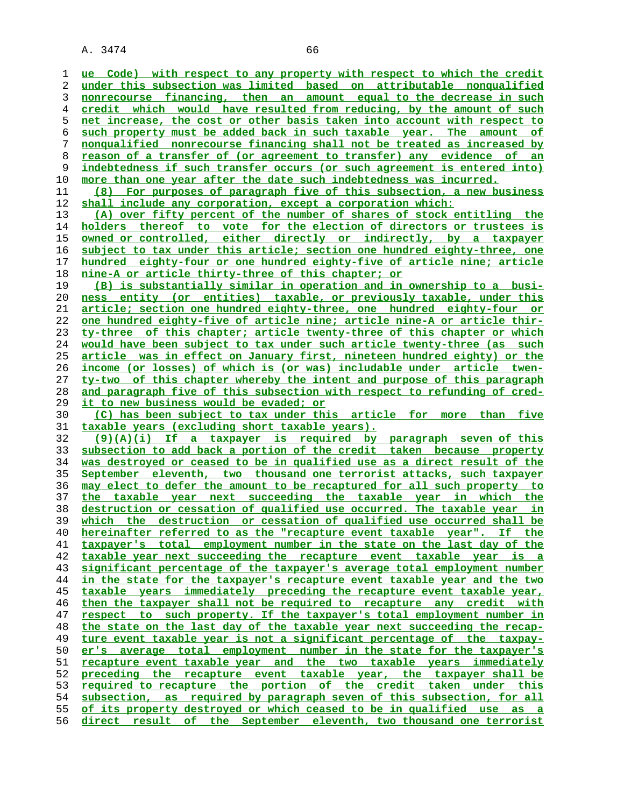**ue Code) with respect to any property with respect to which the credit under this subsection was limited based on attributable nonqualified nonrecourse financing, then an amount equal to the decrease in such credit which would have resulted from reducing, by the amount of such net increase, the cost or other basis taken into account with respect to such property must be added back in such taxable year. The amount of nonqualified nonrecourse financing shall not be treated as increased by reason of a transfer of (or agreement to transfer) any evidence of an indebtedness if such transfer occurs (or such agreement is entered into) more than one year after the date such indebtedness was incurred. (8) For purposes of paragraph five of this subsection, a new business shall include any corporation, except a corporation which: (A) over fifty percent of the number of shares of stock entitling the holders thereof to vote for the election of directors or trustees is owned or controlled, either directly or indirectly, by a taxpayer subject to tax under this article; section one hundred eighty-three, one hundred eighty-four or one hundred eighty-five of article nine; article nine-A or article thirty-three of this chapter; or (B) is substantially similar in operation and in ownership to a busi- ness entity (or entities) taxable, or previously taxable, under this article; section one hundred eighty-three, one hundred eighty-four or one hundred eighty-five of article nine; article nine-A or article thir- ty-three of this chapter; article twenty-three of this chapter or which would have been subject to tax under such article twenty-three (as such article was in effect on January first, nineteen hundred eighty) or the income (or losses) of which is (or was) includable under article twen- ty-two of this chapter whereby the intent and purpose of this paragraph and paragraph five of this subsection with respect to refunding of cred- it to new business would be evaded; or (C) has been subject to tax under this article for more than five taxable years (excluding short taxable years). (9)(A)(i) If a taxpayer is required by paragraph seven of this subsection to add back a portion of the credit taken because property was destroyed or ceased to be in qualified use as a direct result of the September eleventh, two thousand one terrorist attacks, such taxpayer may elect to defer the amount to be recaptured for all such property to the taxable year next succeeding the taxable year in which the destruction or cessation of qualified use occurred. The taxable year in which the destruction or cessation of qualified use occurred shall be hereinafter referred to as the "recapture event taxable year". If the taxpayer's total employment number in the state on the last day of the taxable year next succeeding the recapture event taxable year is a significant percentage of the taxpayer's average total employment number in the state for the taxpayer's recapture event taxable year and the two taxable years immediately preceding the recapture event taxable year, then the taxpayer shall not be required to recapture any credit with respect to such property. If the taxpayer's total employment number in the state on the last day of the taxable year next succeeding the recap- ture event taxable year is not a significant percentage of the taxpay- er's average total employment number in the state for the taxpayer's recapture event taxable year and the two taxable years immediately preceding the recapture event taxable year, the taxpayer shall be required to recapture the portion of the credit taken under this subsection, as required by paragraph seven of this subsection, for all of its property destroyed or which ceased to be in qualified use as a direct result of the September eleventh, two thousand one terrorist**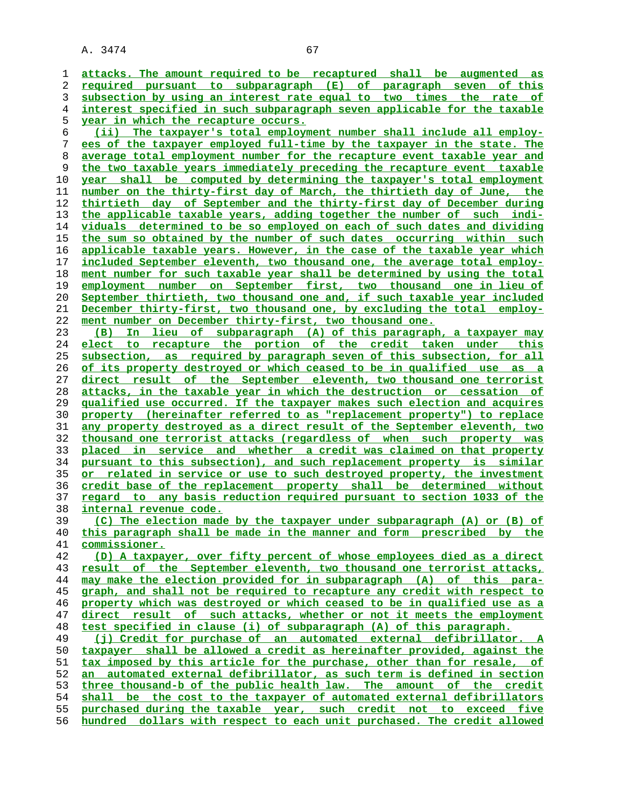**attacks. The amount required to be recaptured shall be augmented as required pursuant to subparagraph (E) of paragraph seven of this subsection by using an interest rate equal to two times the rate of interest specified in such subparagraph seven applicable for the taxable year in which the recapture occurs. (ii) The taxpayer's total employment number shall include all employ- ees of the taxpayer employed full-time by the taxpayer in the state. The average total employment number for the recapture event taxable year and the two taxable years immediately preceding the recapture event taxable year shall be computed by determining the taxpayer's total employment number on the thirty-first day of March, the thirtieth day of June, the thirtieth day of September and the thirty-first day of December during the applicable taxable years, adding together the number of such indi- viduals determined to be so employed on each of such dates and dividing the sum so obtained by the number of such dates occurring within such applicable taxable years. However, in the case of the taxable year which included September eleventh, two thousand one, the average total employ- ment number for such taxable year shall be determined by using the total employment number on September first, two thousand one in lieu of September thirtieth, two thousand one and, if such taxable year included December thirty-first, two thousand one, by excluding the total employ- ment number on December thirty-first, two thousand one. (B) In lieu of subparagraph (A) of this paragraph, a taxpayer may elect to recapture the portion of the credit taken under this subsection, as required by paragraph seven of this subsection, for all of its property destroyed or which ceased to be in qualified use as a direct result of the September eleventh, two thousand one terrorist attacks, in the taxable year in which the destruction or cessation of qualified use occurred. If the taxpayer makes such election and acquires property (hereinafter referred to as "replacement property") to replace any property destroyed as a direct result of the September eleventh, two thousand one terrorist attacks (regardless of when such property was placed in service and whether a credit was claimed on that property pursuant to this subsection), and such replacement property is similar or related in service or use to such destroyed property, the investment credit base of the replacement property shall be determined without regard to any basis reduction required pursuant to section 1033 of the internal revenue code. (C) The election made by the taxpayer under subparagraph (A) or (B) of this paragraph shall be made in the manner and form prescribed by the commissioner. (D) A taxpayer, over fifty percent of whose employees died as a direct result of the September eleventh, two thousand one terrorist attacks, may make the election provided for in subparagraph (A) of this para- graph, and shall not be required to recapture any credit with respect to property which was destroyed or which ceased to be in qualified use as a direct result of such attacks, whether or not it meets the employment test specified in clause (i) of subparagraph (A) of this paragraph. (j) Credit for purchase of an automated external defibrillator. A taxpayer shall be allowed a credit as hereinafter provided, against the tax imposed by this article for the purchase, other than for resale, of an automated external defibrillator, as such term is defined in section three thousand-b of the public health law. The amount of the credit shall be the cost to the taxpayer of automated external defibrillators purchased during the taxable year, such credit not to exceed five hundred dollars with respect to each unit purchased. The credit allowed**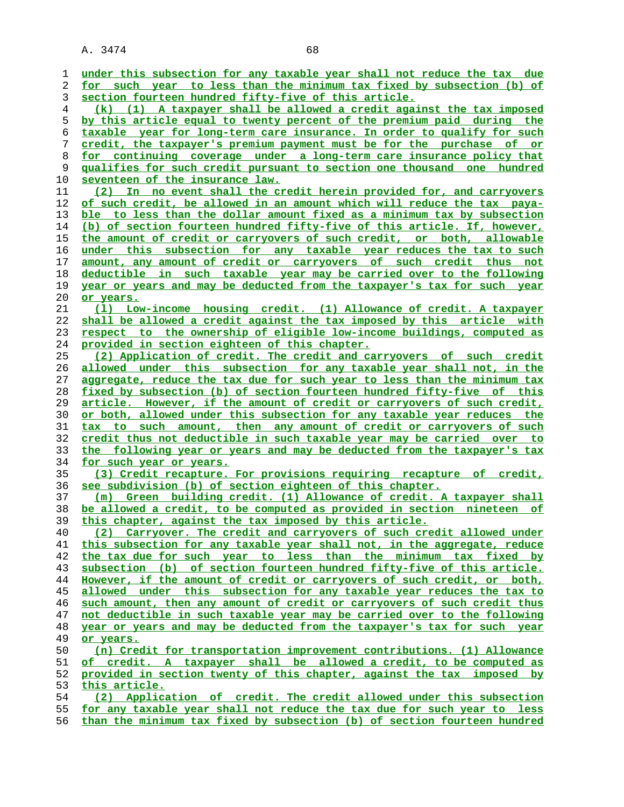| 1  | under this subsection for any taxable year shall not reduce the tax due    |
|----|----------------------------------------------------------------------------|
| 2  | for such year to less than the minimum tax fixed by subsection (b) of      |
| 3  | section fourteen hundred fifty-five of this article.                       |
| 4  | (k) (1) A taxpayer shall be allowed a credit against the tax imposed       |
| 5  | by this article equal to twenty percent of the premium paid during the     |
| 6  | taxable year for long-term care insurance. In order to qualify for such    |
|    | credit, the taxpayer's premium payment must be for the purchase of or      |
| 7  |                                                                            |
| 8  | for continuing coverage under a long-term care insurance policy that       |
| 9  | qualifies for such credit pursuant to section one thousand one hundred     |
| 10 | seventeen of the insurance law.                                            |
| 11 | (2) In no event shall the credit herein provided for, and carryovers       |
| 12 | of such credit, be allowed in an amount which will reduce the tax paya-    |
| 13 | ble to less than the dollar amount fixed as a minimum tax by subsection    |
| 14 | (b) of section fourteen hundred fifty-five of this article. If, however,   |
| 15 | the amount of credit or carryovers of such credit, or both, allowable      |
| 16 | under this subsection for any taxable year reduces the tax to such         |
| 17 | amount, any amount of credit or carryovers of such credit thus not         |
| 18 | deductible in such taxable year may be carried over to the following       |
| 19 | year or years and may be deducted from the taxpayer's tax for such year    |
| 20 | or years.                                                                  |
| 21 | (1) Low-income housing credit. (1) Allowance of credit. A taxpayer         |
| 22 | shall be allowed a credit against the tax imposed by this article with     |
| 23 | respect to the ownership of eligible low-income buildings, computed as     |
| 24 | provided in section eighteen of this chapter.                              |
| 25 | (2) Application of credit. The credit and carryovers of such credit        |
| 26 | allowed under this subsection for any taxable year shall not, in the       |
| 27 | aggregate, reduce the tax due for such year to less than the minimum tax   |
| 28 | fixed by subsection (b) of section fourteen hundred fifty-five of this     |
| 29 | article. However, if the amount of credit or carryovers of such credit,    |
| 30 | or both, allowed under this subsection for any taxable year reduces the    |
| 31 | tax to such amount, then any amount of credit or carryovers of such        |
| 32 | credit thus not deductible in such taxable year may be carried over to     |
| 33 | following year or years and may be deducted from the taxpayer's tax<br>the |
| 34 | for such year or years.                                                    |
| 35 | (3) Credit recapture. For provisions requiring recapture of credit,        |
| 36 | see subdivision (b) of section eighteen of this chapter.                   |
| 37 | (m) Green building credit. (1) Allowance of credit. A taxpayer shall       |
| 38 | be allowed a credit, to be computed as provided in section nineteen<br>оf  |
| 39 | this chapter, against the tax imposed by this article.                     |
| 40 | (2) Carryover. The credit and carryovers of such credit allowed under      |
| 41 | this subsection for any taxable year shall not, in the aggregate, reduce   |
| 42 | the tax due for such year to less than the minimum tax fixed by            |
| 43 | subsection (b) of section fourteen hundred fifty-five of this article.     |
| 44 | However, if the amount of credit or carryovers of such credit, or both,    |
| 45 | allowed under this subsection for any taxable year reduces the tax to      |
| 46 | such amount, then any amount of credit or carryovers of such credit thus   |
| 47 | not deductible in such taxable year may be carried over to the following   |
| 48 | year or years and may be deducted from the taxpayer's tax for such year    |
| 49 | or years.                                                                  |
| 50 | (n) Credit for transportation improvement contributions. (1) Allowance     |
| 51 | of credit. A taxpayer shall be allowed a credit, to be computed as         |
| 52 | provided in section twenty of this chapter, against the tax imposed by     |
| 53 | this article.                                                              |
| 54 | (2) Application of credit. The credit allowed under this subsection        |
| 55 | for any taxable year shall not reduce the tax due for such year to less    |
|    |                                                                            |

**than the minimum tax fixed by subsection (b) of section fourteen hundred**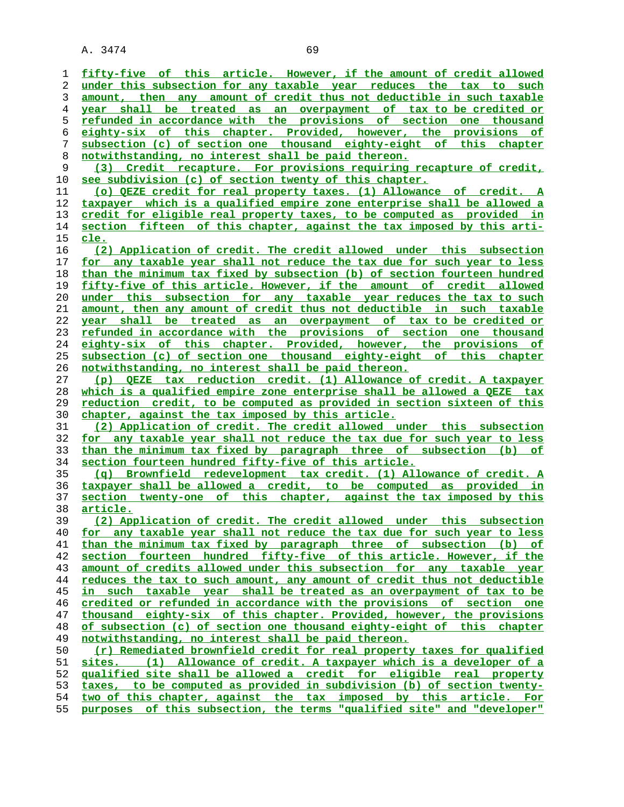**fifty-five of this article. However, if the amount of credit allowed under this subsection for any taxable year reduces the tax to such amount, then any amount of credit thus not deductible in such taxable year shall be treated as an overpayment of tax to be credited or refunded in accordance with the provisions of section one thousand eighty-six of this chapter. Provided, however, the provisions of subsection (c) of section one thousand eighty-eight of this chapter notwithstanding, no interest shall be paid thereon. (3) Credit recapture. For provisions requiring recapture of credit, see subdivision (c) of section twenty of this chapter. (o) QEZE credit for real property taxes. (1) Allowance of credit. A taxpayer which is a qualified empire zone enterprise shall be allowed a credit for eligible real property taxes, to be computed as provided in section fifteen of this chapter, against the tax imposed by this arti- cle. (2) Application of credit. The credit allowed under this subsection for any taxable year shall not reduce the tax due for such year to less than the minimum tax fixed by subsection (b) of section fourteen hundred fifty-five of this article. However, if the amount of credit allowed under this subsection for any taxable year reduces the tax to such amount, then any amount of credit thus not deductible in such taxable year shall be treated as an overpayment of tax to be credited or refunded in accordance with the provisions of section one thousand eighty-six of this chapter. Provided, however, the provisions of subsection (c) of section one thousand eighty-eight of this chapter notwithstanding, no interest shall be paid thereon. (p) QEZE tax reduction credit. (1) Allowance of credit. A taxpayer which is a qualified empire zone enterprise shall be allowed a QEZE tax reduction credit, to be computed as provided in section sixteen of this chapter, against the tax imposed by this article. (2) Application of credit. The credit allowed under this subsection for any taxable year shall not reduce the tax due for such year to less than the minimum tax fixed by paragraph three of subsection (b) of section fourteen hundred fifty-five of this article.**

**(q) Brownfield redevelopment tax credit. (1) Allowance of credit. A taxpayer shall be allowed a credit, to be computed as provided in section twenty-one of this chapter, against the tax imposed by this article.**

**(2) Application of credit. The credit allowed under this subsection for any taxable year shall not reduce the tax due for such year to less than the minimum tax fixed by paragraph three of subsection (b) of section fourteen hundred fifty-five of this article. However, if the amount of credits allowed under this subsection for any taxable year reduces the tax to such amount, any amount of credit thus not deductible in such taxable year shall be treated as an overpayment of tax to be credited or refunded in accordance with the provisions of section one thousand eighty-six of this chapter. Provided, however, the provisions of subsection (c) of section one thousand eighty-eight of this chapter notwithstanding, no interest shall be paid thereon. (r) Remediated brownfield credit for real property taxes for qualified sites. (1) Allowance of credit. A taxpayer which is a developer of a qualified site shall be allowed a credit for eligible real property**

**taxes, to be computed as provided in subdivision (b) of section twenty- two of this chapter, against the tax imposed by this article. For**

**purposes of this subsection, the terms "qualified site" and "developer"**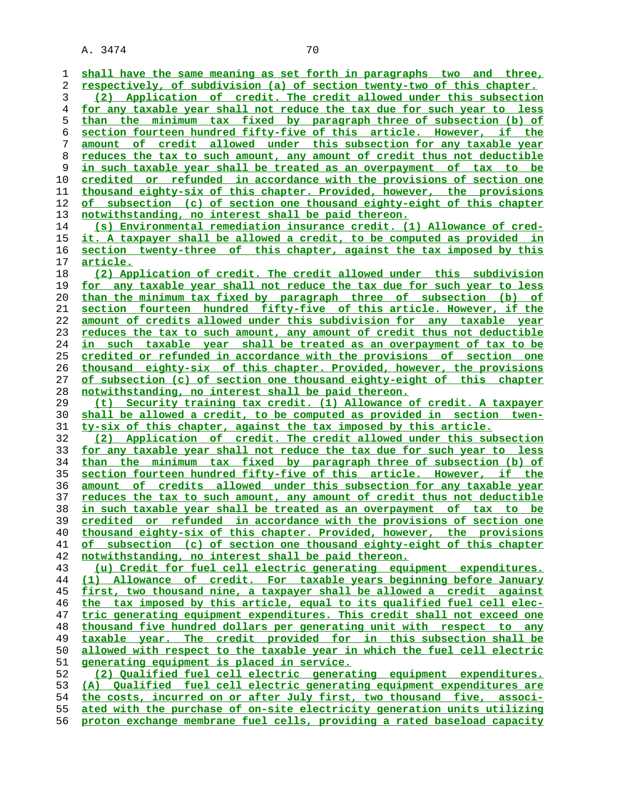**shall have the same meaning as set forth in paragraphs two and three, respectively, of subdivision (a) of section twenty-two of this chapter. (2) Application of credit. The credit allowed under this subsection for any taxable year shall not reduce the tax due for such year to less than the minimum tax fixed by paragraph three of subsection (b) of section fourteen hundred fifty-five of this article. However, if the amount of credit allowed under this subsection for any taxable year reduces the tax to such amount, any amount of credit thus not deductible in such taxable year shall be treated as an overpayment of tax to be credited or refunded in accordance with the provisions of section one thousand eighty-six of this chapter. Provided, however, the provisions of subsection (c) of section one thousand eighty-eight of this chapter notwithstanding, no interest shall be paid thereon. (s) Environmental remediation insurance credit. (1) Allowance of cred- it. A taxpayer shall be allowed a credit, to be computed as provided in section twenty-three of this chapter, against the tax imposed by this article. (2) Application of credit. The credit allowed under this subdivision for any taxable year shall not reduce the tax due for such year to less than the minimum tax fixed by paragraph three of subsection (b) of section fourteen hundred fifty-five of this article. However, if the amount of credits allowed under this subdivision for any taxable year reduces the tax to such amount, any amount of credit thus not deductible in such taxable year shall be treated as an overpayment of tax to be credited or refunded in accordance with the provisions of section one thousand eighty-six of this chapter. Provided, however, the provisions of subsection (c) of section one thousand eighty-eight of this chapter notwithstanding, no interest shall be paid thereon. (t) Security training tax credit. (1) Allowance of credit. A taxpayer shall be allowed a credit, to be computed as provided in section twen- ty-six of this chapter, against the tax imposed by this article. (2) Application of credit. The credit allowed under this subsection for any taxable year shall not reduce the tax due for such year to less than the minimum tax fixed by paragraph three of subsection (b) of section fourteen hundred fifty-five of this article. However, if the amount of credits allowed under this subsection for any taxable year reduces the tax to such amount, any amount of credit thus not deductible in such taxable year shall be treated as an overpayment of tax to be credited or refunded in accordance with the provisions of section one thousand eighty-six of this chapter. Provided, however, the provisions of subsection (c) of section one thousand eighty-eight of this chapter notwithstanding, no interest shall be paid thereon. (u) Credit for fuel cell electric generating equipment expenditures. (1) Allowance of credit. For taxable years beginning before January first, two thousand nine, a taxpayer shall be allowed a credit against the tax imposed by this article, equal to its qualified fuel cell elec- tric generating equipment expenditures. This credit shall not exceed one thousand five hundred dollars per generating unit with respect to any taxable year. The credit provided for in this subsection shall be allowed with respect to the taxable year in which the fuel cell electric generating equipment is placed in service. (2) Qualified fuel cell electric generating equipment expenditures. (A) Qualified fuel cell electric generating equipment expenditures are the costs, incurred on or after July first, two thousand five, associ- ated with the purchase of on-site electricity generation units utilizing proton exchange membrane fuel cells, providing a rated baseload capacity**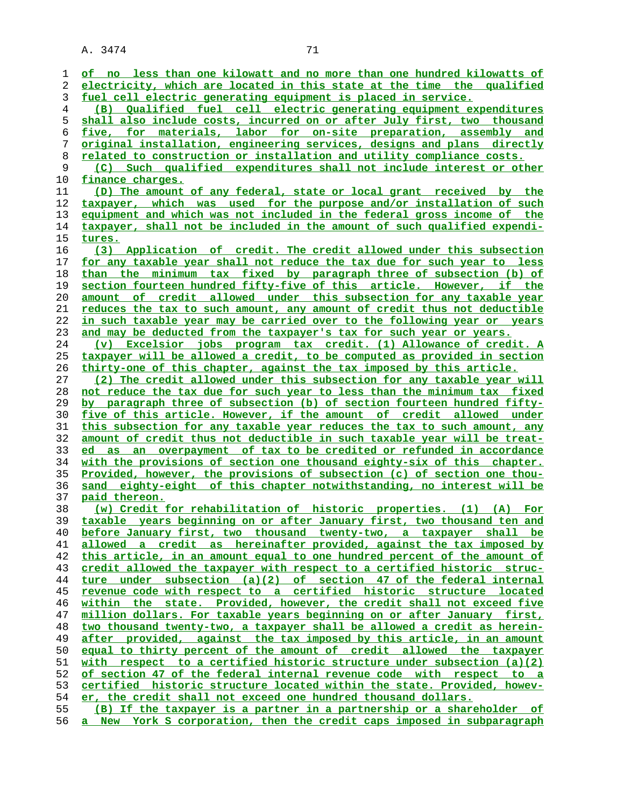| 1        | of no less than one kilowatt and no more than one hundred kilowatts of                  |
|----------|-----------------------------------------------------------------------------------------|
| 2        | electricity, which are located in this state at the time the qualified                  |
| 3        | fuel cell electric generating equipment is placed in service.                           |
| 4        | (B) Qualified fuel cell electric generating equipment expenditures                      |
| 5        | shall also include costs, incurred on or after July first, two thousand                 |
| 6        | five, for materials, labor for on-site preparation, assembly and                        |
| 7        | <u>original installation, engineering services, designs and plans directly</u>          |
| 8        | <u>related to construction or installation and utility compliance costs.</u>            |
|          |                                                                                         |
| 9        | (C) Such qualified expenditures shall not include interest or other<br>finance charges. |
| 10<br>11 | (D) The amount of any federal, state or local grant received by the                     |
| 12       | taxpayer, which was used for the purpose and/or installation of such                    |
| 13       | equipment and which was not included in the federal gross income of the                 |
| 14       | taxpayer, shall not be included in the amount of such qualified expendi-                |
| 15       | <u>tures.</u>                                                                           |
| 16       | (3) Application of credit. The credit allowed under this subsection                     |
| 17       | for any taxable year shall not reduce the tax due for such year to less                 |
| 18       | than the minimum tax fixed by paragraph three of subsection (b) of                      |
| 19       | section fourteen hundred fifty-five of this article. However, if the                    |
| 20       | <u>amount of credit allowed under this subsection for any taxable year</u>              |
| 21       | reduces the tax to such amount, any amount of credit thus not deductible                |
| 22       | in such taxable year may be carried over to the following year or years                 |
| 23       | and may be deducted from the taxpayer's tax for such year or years.                     |
| 24       | (v) Excelsior jobs program tax credit. (1) Allowance of credit. A                       |
| 25       | taxpayer will be allowed a credit, to be computed as provided in section                |
| 26       | thirty-one of this chapter, against the tax imposed by this article.                    |
| 27       | (2) The credit allowed under this subsection for any taxable year will                  |
| 28       | not reduce the tax due for such year to less than the minimum tax fixed                 |
| 29       | by paragraph three of subsection (b) of section fourteen hundred fifty-                 |
| 30       | five of this article. However, if the amount of credit allowed under                    |
| 31       | this subsection for any taxable year reduces the tax to such amount, any                |
| 32       | amount of credit thus not deductible in such taxable year will be treat-                |
| 33       | an overpayment of tax to be credited or refunded in accordance<br>ed<br>as              |
| 34       | with the provisions of section one thousand eighty-six of this chapter.                 |
| 35       | <u>Provided, however, the provisions of subsection (c) of section one thou-</u>         |
| 36       | sand eighty-eight of this chapter notwithstanding, no interest will be                  |
| 37       | paid thereon.                                                                           |
| 38       | (w) Credit for rehabilitation of historic properties. (1) (A) For                       |
| 39       | taxable years beginning on or after January first, two thousand ten and                 |
| 40       | before January first, two thousand twenty-two, a taxpayer shall be                      |
| 41       | allowed a credit as hereinafter provided, against the tax imposed by                    |
| 42       | this article, in an amount equal to one hundred percent of the amount of                |
| 43       | credit allowed the taxpayer with respect to a certified historic struc-                 |
| 44       | ture under subsection (a)(2) of section 47 of the federal internal                      |
| 45       | revenue code with respect to a certified historic structure located                     |
| 46       | within the state. Provided, however, the credit shall not exceed five                   |
| 47       | million dollars. For taxable years beginning on or after January first,                 |
| 48       | two thousand twenty-two, a taxpayer shall be allowed a credit as herein-                |
| 49       | after provided, against the tax imposed by this article, in an amount                   |
| 50       | equal to thirty percent of the amount of credit allowed the taxpayer                    |
| 51       | with respect to a certified historic structure under subsection $(a)(2)$                |
| 52       | of section 47 of the federal internal revenue code with respect to a                    |
| 53       | certified historic structure located within the state. Provided, howev-                 |
| 54       | er, the credit shall not exceed one hundred thousand dollars.                           |
| 55       | (B) If the taxpayer is a partner in a partnership or a shareholder of                   |
| 56       | a New York S corporation, then the credit caps imposed in subparagraph                  |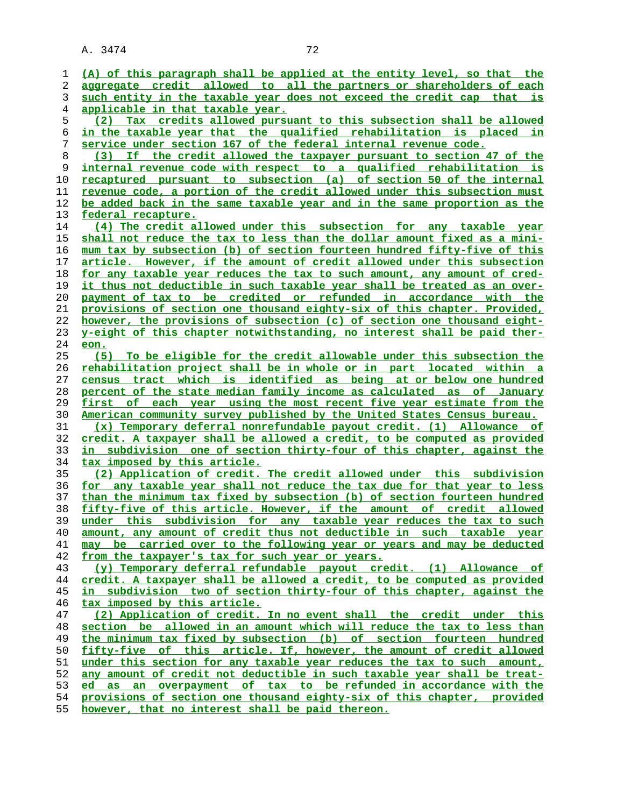**(A) of this paragraph shall be applied at the entity level, so that the aggregate credit allowed to all the partners or shareholders of each such entity in the taxable year does not exceed the credit cap that is applicable in that taxable year. (2) Tax credits allowed pursuant to this subsection shall be allowed in the taxable year that the qualified rehabilitation is placed in service under section 167 of the federal internal revenue code. (3) If the credit allowed the taxpayer pursuant to section 47 of the internal revenue code with respect to a qualified rehabilitation is recaptured pursuant to subsection (a) of section 50 of the internal revenue code, a portion of the credit allowed under this subsection must be added back in the same taxable year and in the same proportion as the federal recapture. (4) The credit allowed under this subsection for any taxable year shall not reduce the tax to less than the dollar amount fixed as a mini- mum tax by subsection (b) of section fourteen hundred fifty-five of this article. However, if the amount of credit allowed under this subsection for any taxable year reduces the tax to such amount, any amount of cred- it thus not deductible in such taxable year shall be treated as an over- payment of tax to be credited or refunded in accordance with the provisions of section one thousand eighty-six of this chapter. Provided, however, the provisions of subsection (c) of section one thousand eight- y-eight of this chapter notwithstanding, no interest shall be paid ther- eon. (5) To be eligible for the credit allowable under this subsection the rehabilitation project shall be in whole or in part located within a census tract which is identified as being at or below one hundred percent of the state median family income as calculated as of January first of each year using the most recent five year estimate from the American community survey published by the United States Census bureau. (x) Temporary deferral nonrefundable payout credit. (1) Allowance of credit. A taxpayer shall be allowed a credit, to be computed as provided in subdivision one of section thirty-four of this chapter, against the tax imposed by this article. (2) Application of credit. The credit allowed under this subdivision for any taxable year shall not reduce the tax due for that year to less than the minimum tax fixed by subsection (b) of section fourteen hundred fifty-five of this article. However, if the amount of credit allowed under this subdivision for any taxable year reduces the tax to such amount, any amount of credit thus not deductible in such taxable year may be carried over to the following year or years and may be deducted from the taxpayer's tax for such year or years. (y) Temporary deferral refundable payout credit. (1) Allowance of credit. A taxpayer shall be allowed a credit, to be computed as provided in subdivision two of section thirty-four of this chapter, against the tax imposed by this article. (2) Application of credit. In no event shall the credit under this section be allowed in an amount which will reduce the tax to less than the minimum tax fixed by subsection (b) of section fourteen hundred fifty-five of this article. If, however, the amount of credit allowed under this section for any taxable year reduces the tax to such amount, any amount of credit not deductible in such taxable year shall be treat- ed as an overpayment of tax to be refunded in accordance with the provisions of section one thousand eighty-six of this chapter, provided**

**however, that no interest shall be paid thereon.**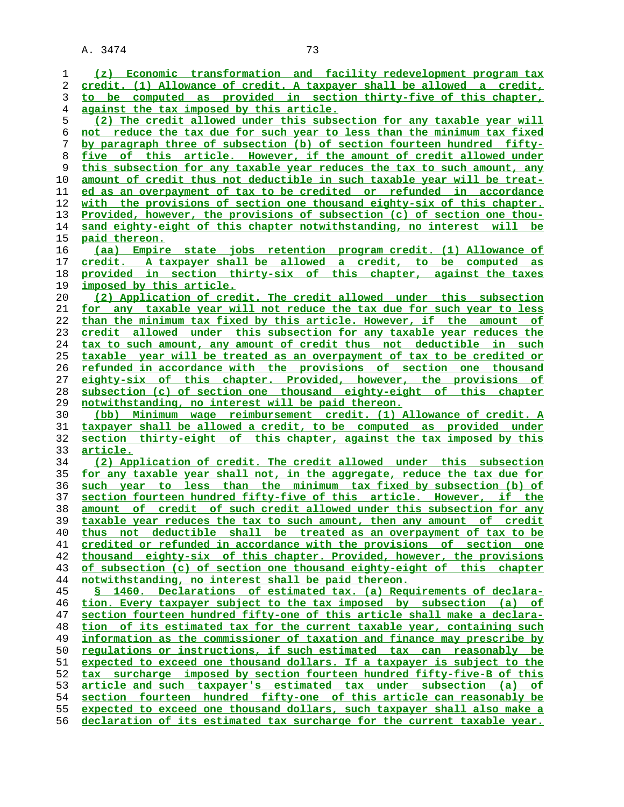**(z) Economic transformation and facility redevelopment program tax credit. (1) Allowance of credit. A taxpayer shall be allowed a credit, to be computed as provided in section thirty-five of this chapter, against the tax imposed by this article. (2) The credit allowed under this subsection for any taxable year will not reduce the tax due for such year to less than the minimum tax fixed by paragraph three of subsection (b) of section fourteen hundred fifty- five of this article. However, if the amount of credit allowed under this subsection for any taxable year reduces the tax to such amount, any amount of credit thus not deductible in such taxable year will be treat- ed as an overpayment of tax to be credited or refunded in accordance with the provisions of section one thousand eighty-six of this chapter. Provided, however, the provisions of subsection (c) of section one thou** sand eighty-eight of this chapter notwithstanding, no interest will be **paid thereon. (aa) Empire state jobs retention program credit. (1) Allowance of credit. A taxpayer shall be allowed a credit, to be computed as provided in section thirty-six of this chapter, against the taxes imposed by this article. (2) Application of credit. The credit allowed under this subsection for any taxable year will not reduce the tax due for such year to less than the minimum tax fixed by this article. However, if the amount of credit allowed under this subsection for any taxable year reduces the tax to such amount, any amount of credit thus not deductible in such taxable year will be treated as an overpayment of tax to be credited or refunded in accordance with the provisions of section one thousand eighty-six of this chapter. Provided, however, the provisions of subsection (c) of section one thousand eighty-eight of this chapter notwithstanding, no interest will be paid thereon. (bb) Minimum wage reimbursement credit. (1) Allowance of credit. A taxpayer shall be allowed a credit, to be computed as provided under section thirty-eight of this chapter, against the tax imposed by this article. (2) Application of credit. The credit allowed under this subsection for any taxable year shall not, in the aggregate, reduce the tax due for such year to less than the minimum tax fixed by subsection (b) of section fourteen hundred fifty-five of this article. However, if the amount of credit of such credit allowed under this subsection for any taxable year reduces the tax to such amount, then any amount of credit thus not deductible shall be treated as an overpayment of tax to be credited or refunded in accordance with the provisions of section one thousand eighty-six of this chapter. Provided, however, the provisions of subsection (c) of section one thousand eighty-eight of this chapter notwithstanding, no interest shall be paid thereon. § 1460. Declarations of estimated tax. (a) Requirements of declara- tion. Every taxpayer subject to the tax imposed by subsection (a) of section fourteen hundred fifty-one of this article shall make a declara- tion of its estimated tax for the current taxable year, containing such information as the commissioner of taxation and finance may prescribe by regulations or instructions, if such estimated tax can reasonably be expected to exceed one thousand dollars. If a taxpayer is subject to the tax surcharge imposed by section fourteen hundred fifty-five-B of this article and such taxpayer's estimated tax under subsection (a) of section fourteen hundred fifty-one of this article can reasonably be expected to exceed one thousand dollars, such taxpayer shall also make a declaration of its estimated tax surcharge for the current taxable year.**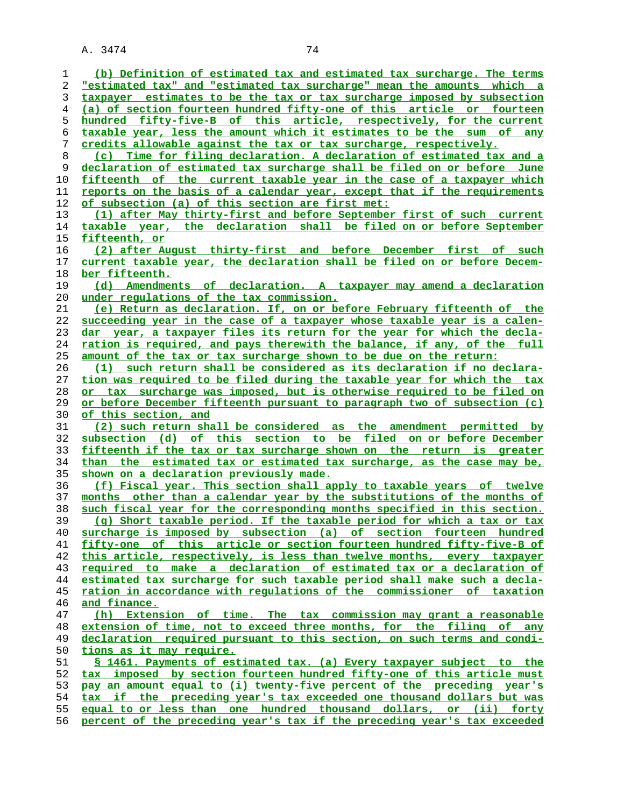**(b) Definition of estimated tax and estimated tax surcharge. The terms "estimated tax" and "estimated tax surcharge" mean the amounts which a taxpayer estimates to be the tax or tax surcharge imposed by subsection (a) of section fourteen hundred fifty-one of this article or fourteen hundred fifty-five-B of this article, respectively, for the current taxable year, less the amount which it estimates to be the sum of any credits allowable against the tax or tax surcharge, respectively. (c) Time for filing declaration. A declaration of estimated tax and a declaration of estimated tax surcharge shall be filed on or before June fifteenth of the current taxable year in the case of a taxpayer which reports on the basis of a calendar year, except that if the requirements of subsection (a) of this section are first met: (1) after May thirty-first and before September first of such current taxable year, the declaration shall be filed on or before September fifteenth, or (2) after August thirty-first and before December first of such current taxable year, the declaration shall be filed on or before Decem- ber fifteenth. (d) Amendments of declaration. A taxpayer may amend a declaration under regulations of the tax commission. (e) Return as declaration. If, on or before February fifteenth of the succeeding year in the case of a taxpayer whose taxable year is a calen- dar year, a taxpayer files its return for the year for which the decla- ration is required, and pays therewith the balance, if any, of the full amount of the tax or tax surcharge shown to be due on the return: (1) such return shall be considered as its declaration if no declara- tion was required to be filed during the taxable year for which the tax or tax surcharge was imposed, but is otherwise required to be filed on**

**or before December fifteenth pursuant to paragraph two of subsection (c) of this section, and (2) such return shall be considered as the amendment permitted by**

**subsection (d) of this section to be filed on or before December fifteenth if the tax or tax surcharge shown on the return is greater than the estimated tax or estimated tax surcharge, as the case may be, shown on a declaration previously made.**

**(f) Fiscal year. This section shall apply to taxable years of twelve months other than a calendar year by the substitutions of the months of such fiscal year for the corresponding months specified in this section. (g) Short taxable period. If the taxable period for which a tax or tax surcharge is imposed by subsection (a) of section fourteen hundred fifty-one of this article or section fourteen hundred fifty-five-B of this article, respectively, is less than twelve months, every taxpayer required to make a declaration of estimated tax or a declaration of estimated tax surcharge for such taxable period shall make such a decla- ration in accordance with regulations of the commissioner of taxation and finance. (h) Extension of time. The tax commission may grant a reasonable extension of time, not to exceed three months, for the filing of any**

**declaration required pursuant to this section, on such terms and condi- tions as it may require.**

**§ 1461. Payments of estimated tax. (a) Every taxpayer subject to the tax imposed by section fourteen hundred fifty-one of this article must pay an amount equal to (i) twenty-five percent of the preceding year's tax if the preceding year's tax exceeded one thousand dollars but was equal to or less than one hundred thousand dollars, or (ii) forty percent of the preceding year's tax if the preceding year's tax exceeded**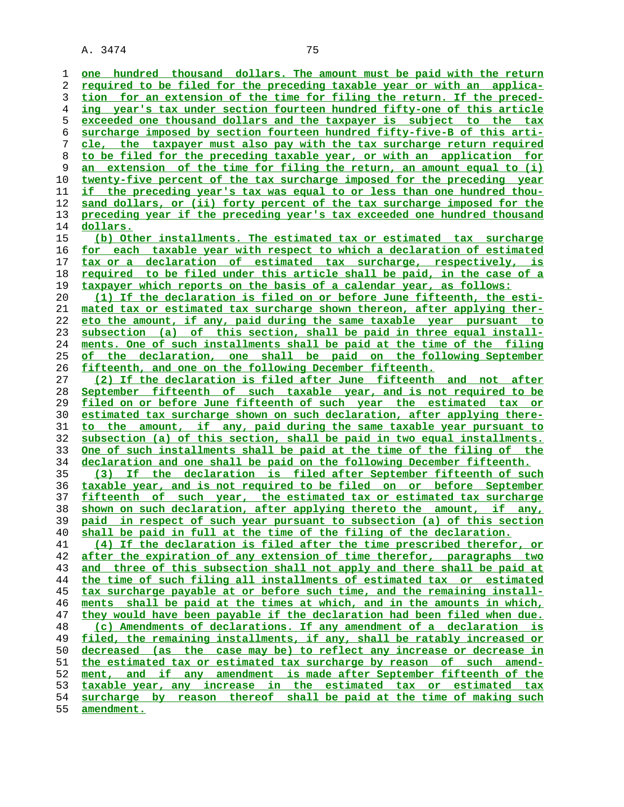**one hundred thousand dollars. The amount must be paid with the return required to be filed for the preceding taxable year or with an applica- tion for an extension of the time for filing the return. If the preced- ing year's tax under section fourteen hundred fifty-one of this article exceeded one thousand dollars and the taxpayer is subject to the tax surcharge imposed by section fourteen hundred fifty-five-B of this arti- cle, the taxpayer must also pay with the tax surcharge return required to be filed for the preceding taxable year, or with an application for an extension of the time for filing the return, an amount equal to (i) twenty-five percent of the tax surcharge imposed for the preceding year if the preceding year's tax was equal to or less than one hundred thou- sand dollars, or (ii) forty percent of the tax surcharge imposed for the preceding year if the preceding year's tax exceeded one hundred thousand dollars. (b) Other installments. The estimated tax or estimated tax surcharge for each taxable year with respect to which a declaration of estimated tax or a declaration of estimated tax surcharge, respectively, is required to be filed under this article shall be paid, in the case of a taxpayer which reports on the basis of a calendar year, as follows: (1) If the declaration is filed on or before June fifteenth, the esti- mated tax or estimated tax surcharge shown thereon, after applying ther- eto the amount, if any, paid during the same taxable year pursuant to subsection (a) of this section, shall be paid in three equal install- ments. One of such installments shall be paid at the time of the filing of the declaration, one shall be paid on the following September fifteenth, and one on the following December fifteenth. (2) If the declaration is filed after June fifteenth and not after September fifteenth of such taxable year, and is not required to be filed on or before June fifteenth of such year the estimated tax or estimated tax surcharge shown on such declaration, after applying there- to the amount, if any, paid during the same taxable year pursuant to subsection (a) of this section, shall be paid in two equal installments. One of such installments shall be paid at the time of the filing of the declaration and one shall be paid on the following December fifteenth. (3) If the declaration is filed after September fifteenth of such taxable year, and is not required to be filed on or before September fifteenth of such year, the estimated tax or estimated tax surcharge shown on such declaration, after applying thereto the amount, if any, paid in respect of such year pursuant to subsection (a) of this section shall be paid in full at the time of the filing of the declaration. (4) If the declaration is filed after the time prescribed therefor, or after the expiration of any extension of time therefor, paragraphs two and three of this subsection shall not apply and there shall be paid at the time of such filing all installments of estimated tax or estimated tax surcharge payable at or before such time, and the remaining install- ments shall be paid at the times at which, and in the amounts in which, they would have been payable if the declaration had been filed when due. (c) Amendments of declarations. If any amendment of a declaration is filed, the remaining installments, if any, shall be ratably increased or decreased (as the case may be) to reflect any increase or decrease in the estimated tax or estimated tax surcharge by reason of such amend- ment, and if any amendment is made after September fifteenth of the taxable year, any increase in the estimated tax or estimated tax surcharge by reason thereof shall be paid at the time of making such amendment.**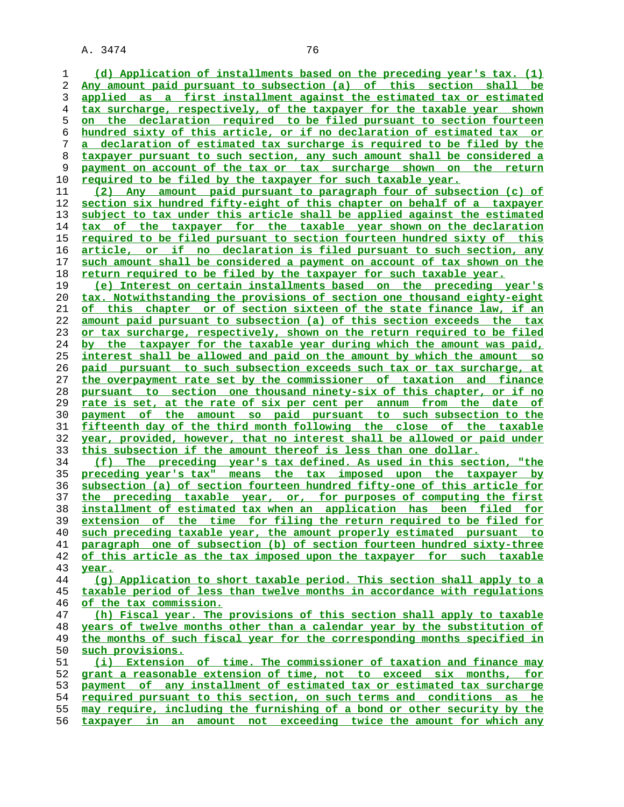**(d) Application of installments based on the preceding year's tax. (1)**

**Any amount paid pursuant to subsection (a) of this section shall be applied as a first installment against the estimated tax or estimated tax surcharge, respectively, of the taxpayer for the taxable year shown on the declaration required to be filed pursuant to section fourteen hundred sixty of this article, or if no declaration of estimated tax or a declaration of estimated tax surcharge is required to be filed by the taxpayer pursuant to such section, any such amount shall be considered a payment on account of the tax or tax surcharge shown on the return required to be filed by the taxpayer for such taxable year. (2) Any amount paid pursuant to paragraph four of subsection (c) of section six hundred fifty-eight of this chapter on behalf of a taxpayer subject to tax under this article shall be applied against the estimated**

**tax of the taxpayer for the taxable year shown on the declaration required to be filed pursuant to section fourteen hundred sixty of this article, or if no declaration is filed pursuant to such section, any such amount shall be considered a payment on account of tax shown on the return required to be filed by the taxpayer for such taxable year.**

**(e) Interest on certain installments based on the preceding year's tax. Notwithstanding the provisions of section one thousand eighty-eight of this chapter or of section sixteen of the state finance law, if an amount paid pursuant to subsection (a) of this section exceeds the tax or tax surcharge, respectively, shown on the return required to be filed by the taxpayer for the taxable year during which the amount was paid, interest shall be allowed and paid on the amount by which the amount so paid pursuant to such subsection exceeds such tax or tax surcharge, at the overpayment rate set by the commissioner of taxation and finance pursuant to section one thousand ninety-six of this chapter, or if no rate is set, at the rate of six per cent per annum from the date of payment of the amount so paid pursuant to such subsection to the fifteenth day of the third month following the close of the taxable year, provided, however, that no interest shall be allowed or paid under this subsection if the amount thereof is less than one dollar.**

**(f) The preceding year's tax defined. As used in this section, "the preceding year's tax" means the tax imposed upon the taxpayer by subsection (a) of section fourteen hundred fifty-one of this article for the preceding taxable year, or, for purposes of computing the first installment of estimated tax when an application has been filed for extension of the time for filing the return required to be filed for such preceding taxable year, the amount properly estimated pursuant to paragraph one of subsection (b) of section fourteen hundred sixty-three of this article as the tax imposed upon the taxpayer for such taxable year.**

**(g) Application to short taxable period. This section shall apply to a taxable period of less than twelve months in accordance with regulations of the tax commission.**

**(h) Fiscal year. The provisions of this section shall apply to taxable years of twelve months other than a calendar year by the substitution of the months of such fiscal year for the corresponding months specified in such provisions.**

**(i) Extension of time. The commissioner of taxation and finance may grant a reasonable extension of time, not to exceed six months, for payment of any installment of estimated tax or estimated tax surcharge required pursuant to this section, on such terms and conditions as he may require, including the furnishing of a bond or other security by the taxpayer in an amount not exceeding twice the amount for which any**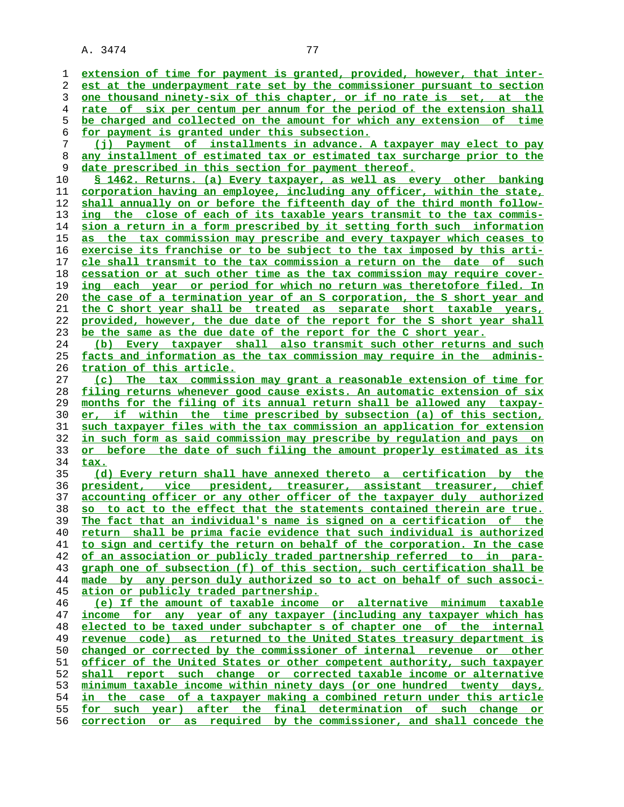**extension of time for payment is granted, provided, however, that inter- est at the underpayment rate set by the commissioner pursuant to section one thousand ninety-six of this chapter, or if no rate is set, at the rate of six per centum per annum for the period of the extension shall be charged and collected on the amount for which any extension of time for payment is granted under this subsection. (j) Payment of installments in advance. A taxpayer may elect to pay any installment of estimated tax or estimated tax surcharge prior to the** date prescribed in this section for payment thereof. **§ 1462. Returns. (a) Every taxpayer, as well as every other banking corporation having an employee, including any officer, within the state, shall annually on or before the fifteenth day of the third month follow- ing the close of each of its taxable years transmit to the tax commis- sion a return in a form prescribed by it setting forth such information as the tax commission may prescribe and every taxpayer which ceases to exercise its franchise or to be subject to the tax imposed by this arti- cle shall transmit to the tax commission a return on the date of such cessation or at such other time as the tax commission may require cover- ing each year or period for which no return was theretofore filed. In the case of a termination year of an S corporation, the S short year and the C short year shall be treated as separate short taxable years, provided, however, the due date of the report for the S short year shall be the same as the due date of the report for the C short year. (b) Every taxpayer shall also transmit such other returns and such facts and information as the tax commission may require in the adminis- tration of this article. (c) The tax commission may grant a reasonable extension of time for filing returns whenever good cause exists. An automatic extension of six months for the filing of its annual return shall be allowed any taxpay- er, if within the time prescribed by subsection (a) of this section, such taxpayer files with the tax commission an application for extension in such form as said commission may prescribe by regulation and pays on or before the date of such filing the amount properly estimated as its tax. (d) Every return shall have annexed thereto a certification by the president, vice president, treasurer, assistant treasurer, chief accounting officer or any other officer of the taxpayer duly authorized so to act to the effect that the statements contained therein are true. The fact that an individual's name is signed on a certification of the return shall be prima facie evidence that such individual is authorized to sign and certify the return on behalf of the corporation. In the case of an association or publicly traded partnership referred to in para- graph one of subsection (f) of this section, such certification shall be made by any person duly authorized so to act on behalf of such associ- ation or publicly traded partnership. (e) If the amount of taxable income or alternative minimum taxable income for any year of any taxpayer (including any taxpayer which has elected to be taxed under subchapter s of chapter one of the internal revenue code) as returned to the United States treasury department is changed or corrected by the commissioner of internal revenue or other officer of the United States or other competent authority, such taxpayer shall report such change or corrected taxable income or alternative minimum taxable income within ninety days (or one hundred twenty days, in the case of a taxpayer making a combined return under this article for such year) after the final determination of such change or correction or as required by the commissioner, and shall concede the**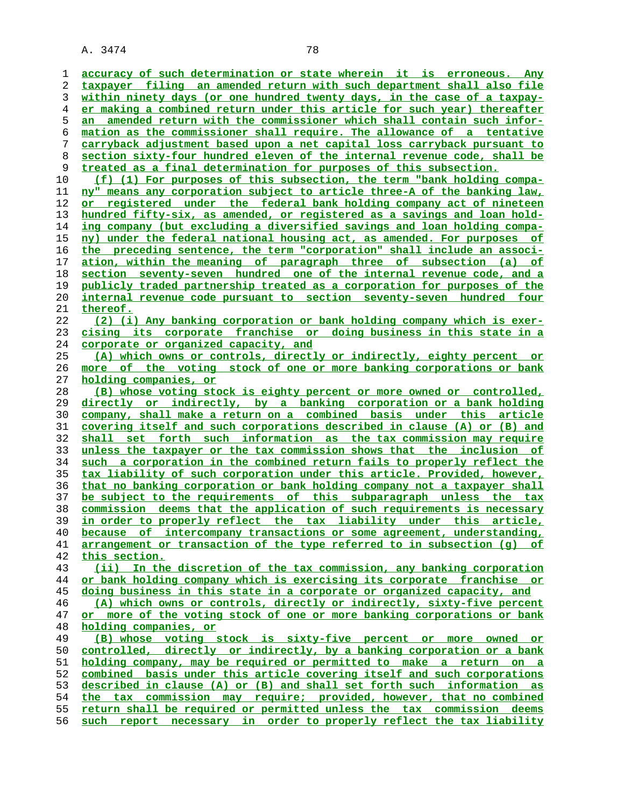**accuracy of such determination or state wherein it is erroneous. Any taxpayer filing an amended return with such department shall also file within ninety days (or one hundred twenty days, in the case of a taxpay- er making a combined return under this article for such year) thereafter an amended return with the commissioner which shall contain such infor- mation as the commissioner shall require. The allowance of a tentative carryback adjustment based upon a net capital loss carryback pursuant to section sixty-four hundred eleven of the internal revenue code, shall be treated as a final determination for purposes of this subsection.**

**(f) (1) For purposes of this subsection, the term "bank holding compa- ny" means any corporation subject to article three-A of the banking law, or registered under the federal bank holding company act of nineteen hundred fifty-six, as amended, or registered as a savings and loan hold** ing company (but excluding a diversified savings and loan holding compa-**ny) under the federal national housing act, as amended. For purposes of the preceding sentence, the term "corporation" shall include an associ- ation, within the meaning of paragraph three of subsection (a) of section seventy-seven hundred one of the internal revenue code, and a publicly traded partnership treated as a corporation for purposes of the internal revenue code pursuant to section seventy-seven hundred four thereof.**

## **(2) (i) Any banking corporation or bank holding company which is exer- cising its corporate franchise or doing business in this state in a corporate or organized capacity, and**

**(A) which owns or controls, directly or indirectly, eighty percent or more of the voting stock of one or more banking corporations or bank holding companies, or**

**(B) whose voting stock is eighty percent or more owned or controlled, directly or indirectly, by a banking corporation or a bank holding company, shall make a return on a combined basis under this article covering itself and such corporations described in clause (A) or (B) and shall set forth such information as the tax commission may require unless the taxpayer or the tax commission shows that the inclusion of such a corporation in the combined return fails to properly reflect the tax liability of such corporation under this article. Provided, however, that no banking corporation or bank holding company not a taxpayer shall be subject to the requirements of this subparagraph unless the tax commission deems that the application of such requirements is necessary in order to properly reflect the tax liability under this article, because of intercompany transactions or some agreement, understanding, arrangement or transaction of the type referred to in subsection (g) of this section.**

**(ii) In the discretion of the tax commission, any banking corporation or bank holding company which is exercising its corporate franchise or doing business in this state in a corporate or organized capacity, and**

**(A) which owns or controls, directly or indirectly, sixty-five percent**

**or more of the voting stock of one or more banking corporations or bank holding companies, or**

**(B) whose voting stock is sixty-five percent or more owned or controlled, directly or indirectly, by a banking corporation or a bank holding company, may be required or permitted to make a return on a combined basis under this article covering itself and such corporations described in clause (A) or (B) and shall set forth such information as the tax commission may require; provided, however, that no combined return shall be required or permitted unless the tax commission deems such report necessary in order to properly reflect the tax liability**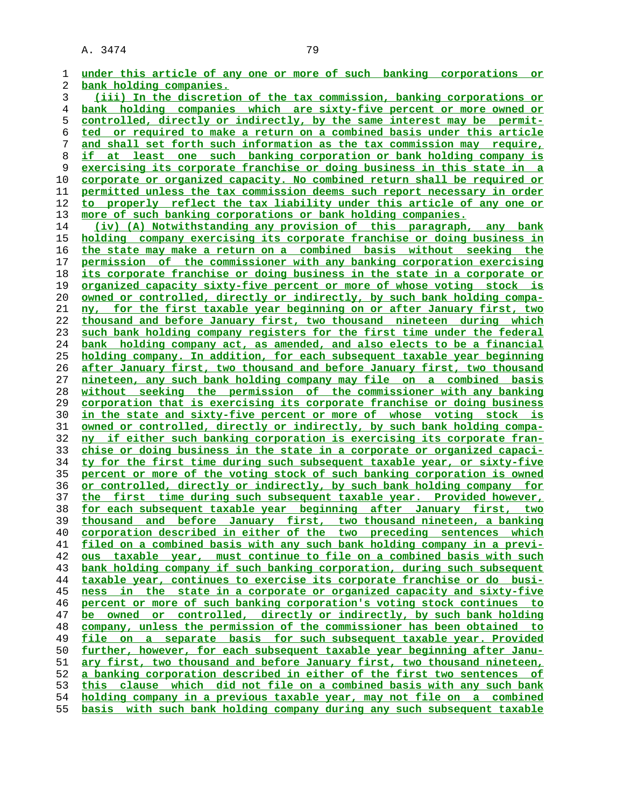**under this article of any one or more of such banking corporations or bank holding companies. (iii) In the discretion of the tax commission, banking corporations or bank holding companies which are sixty-five percent or more owned or controlled, directly or indirectly, by the same interest may be permit- ted or required to make a return on a combined basis under this article and shall set forth such information as the tax commission may require, if at least one such banking corporation or bank holding company is exercising its corporate franchise or doing business in this state in a corporate or organized capacity. No combined return shall be required or permitted unless the tax commission deems such report necessary in order to properly reflect the tax liability under this article of any one or more of such banking corporations or bank holding companies. (iv) (A) Notwithstanding any provision of this paragraph, any bank holding company exercising its corporate franchise or doing business in the state may make a return on a combined basis without seeking the permission of the commissioner with any banking corporation exercising its corporate franchise or doing business in the state in a corporate or organized capacity sixty-five percent or more of whose voting stock is owned or controlled, directly or indirectly, by such bank holding compa- ny, for the first taxable year beginning on or after January first, two thousand and before January first, two thousand nineteen during which such bank holding company registers for the first time under the federal bank holding company act, as amended, and also elects to be a financial holding company. In addition, for each subsequent taxable year beginning after January first, two thousand and before January first, two thousand nineteen, any such bank holding company may file on a combined basis without seeking the permission of the commissioner with any banking corporation that is exercising its corporate franchise or doing business in the state and sixty-five percent or more of whose voting stock is owned or controlled, directly or indirectly, by such bank holding compa- ny if either such banking corporation is exercising its corporate fran- chise or doing business in the state in a corporate or organized capaci- ty for the first time during such subsequent taxable year, or sixty-five percent or more of the voting stock of such banking corporation is owned or controlled, directly or indirectly, by such bank holding company for the first time during such subsequent taxable year. Provided however, for each subsequent taxable year beginning after January first, two thousand and before January first, two thousand nineteen, a banking corporation described in either of the two preceding sentences which filed on a combined basis with any such bank holding company in a previ- ous taxable year, must continue to file on a combined basis with such bank holding company if such banking corporation, during such subsequent taxable year, continues to exercise its corporate franchise or do busi- ness in the state in a corporate or organized capacity and sixty-five percent or more of such banking corporation's voting stock continues to be owned or controlled, directly or indirectly, by such bank holding company, unless the permission of the commissioner has been obtained to file on a separate basis for such subsequent taxable year. Provided further, however, for each subsequent taxable year beginning after Janu- ary first, two thousand and before January first, two thousand nineteen, a banking corporation described in either of the first two sentences of this clause which did not file on a combined basis with any such bank holding company in a previous taxable year, may not file on a combined basis with such bank holding company during any such subsequent taxable**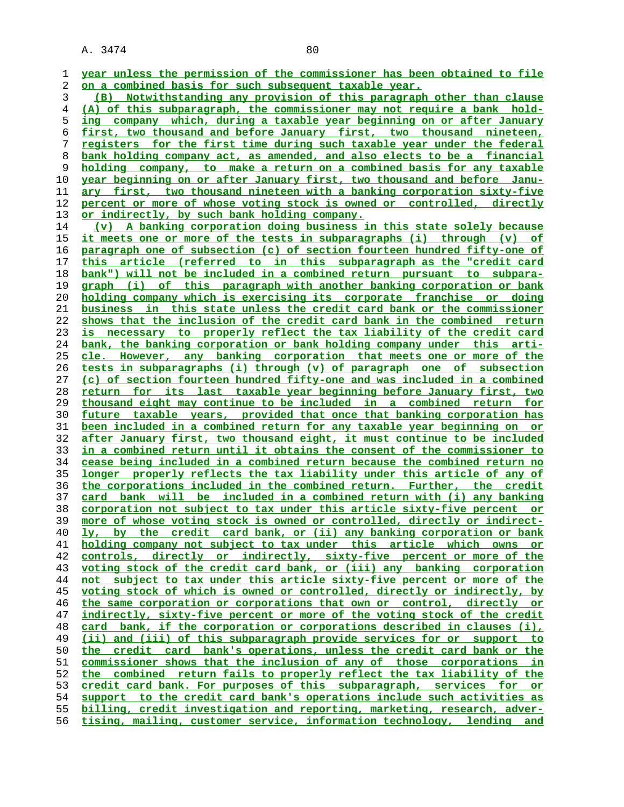**year unless the permission of the commissioner has been obtained to file on a combined basis for such subsequent taxable year. (B) Notwithstanding any provision of this paragraph other than clause (A) of this subparagraph, the commissioner may not require a bank hold- ing company which, during a taxable year beginning on or after January first, two thousand and before January first, two thousand nineteen, registers for the first time during such taxable year under the federal bank holding company act, as amended, and also elects to be a financial holding company, to make a return on a combined basis for any taxable year beginning on or after January first, two thousand and before Janu- ary first, two thousand nineteen with a banking corporation sixty-five percent or more of whose voting stock is owned or controlled, directly or indirectly, by such bank holding company. (v) A banking corporation doing business in this state solely because it meets one or more of the tests in subparagraphs (i) through (v) of paragraph one of subsection (c) of section fourteen hundred fifty-one of this article (referred to in this subparagraph as the "credit card bank") will not be included in a combined return pursuant to subpara- graph (i) of this paragraph with another banking corporation or bank holding company which is exercising its corporate franchise or doing business in this state unless the credit card bank or the commissioner shows that the inclusion of the credit card bank in the combined return is necessary to properly reflect the tax liability of the credit card bank, the banking corporation or bank holding company under this arti- cle. However, any banking corporation that meets one or more of the tests in subparagraphs (i) through (v) of paragraph one of subsection (c) of section fourteen hundred fifty-one and was included in a combined return for its last taxable year beginning before January first, two thousand eight may continue to be included in a combined return for future taxable years, provided that once that banking corporation has been included in a combined return for any taxable year beginning on or after January first, two thousand eight, it must continue to be included in a combined return until it obtains the consent of the commissioner to cease being included in a combined return because the combined return no longer properly reflects the tax liability under this article of any of the corporations included in the combined return. Further, the credit card bank will be included in a combined return with (i) any banking corporation not subject to tax under this article sixty-five percent or more of whose voting stock is owned or controlled, directly or indirect- ly, by the credit card bank, or (ii) any banking corporation or bank holding company not subject to tax under this article which owns or controls, directly or indirectly, sixty-five percent or more of the voting stock of the credit card bank, or (iii) any banking corporation not subject to tax under this article sixty-five percent or more of the voting stock of which is owned or controlled, directly or indirectly, by the same corporation or corporations that own or control, directly or indirectly, sixty-five percent or more of the voting stock of the credit card bank, if the corporation or corporations described in clauses (i), (ii) and (iii) of this subparagraph provide services for or support to the credit card bank's operations, unless the credit card bank or the commissioner shows that the inclusion of any of those corporations in the combined return fails to properly reflect the tax liability of the credit card bank. For purposes of this subparagraph, services for or support to the credit card bank's operations include such activities as billing, credit investigation and reporting, marketing, research, adver- tising, mailing, customer service, information technology, lending and**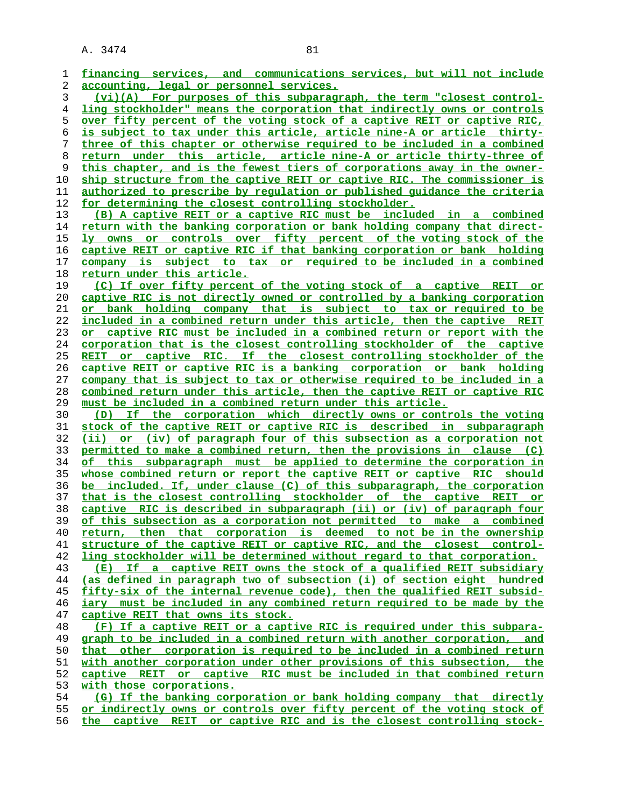| 1        | financing services, and communications services, but will not include                                                                             |
|----------|---------------------------------------------------------------------------------------------------------------------------------------------------|
| 2        | accounting, legal or personnel services.                                                                                                          |
| 3        | (vi)(A) For purposes of this subparagraph, the term "closest control-                                                                             |
| 4        | ling stockholder" means the corporation that indirectly owns or controls                                                                          |
| 5        | over fifty percent of the voting stock of a captive REIT or captive RIC,                                                                          |
| 6        | is subject to tax under this article, article nine-A or article thirty-                                                                           |
| 7        | three of this chapter or otherwise required to be included in a combined                                                                          |
| 8        | return under this article, article nine-A or article thirty-three of                                                                              |
| 9        | this chapter, and is the fewest tiers of corporations away in the owner-                                                                          |
| 10       | ship structure from the captive REIT or captive RIC. The commissioner is                                                                          |
| 11       | authorized to prescribe by requlation or published quidance the criteria                                                                          |
| 12       | for determining the closest controlling stockholder.                                                                                              |
| 13       | (B) A captive REIT or a captive RIC must be included in a combined                                                                                |
| 14       | return with the banking corporation or bank holding company that direct-                                                                          |
| 15       | ly owns or controls over fifty percent of the voting stock of the                                                                                 |
| 16       | captive REIT or captive RIC if that banking corporation or bank holding                                                                           |
| 17       | company is subject to tax or required to be included in a combined                                                                                |
| 18       | return under this article.                                                                                                                        |
| 19       | (C) If over fifty percent of the voting stock of a captive REIT or                                                                                |
|          | captive RIC is not directly owned or controlled by a banking corporation                                                                          |
| 20       |                                                                                                                                                   |
| 21       | or bank holding company that is subject to tax or required to be                                                                                  |
| 22       | included in a combined return under this article, then the captive REIT                                                                           |
| 23       | or captive RIC must be included in a combined return or report with the                                                                           |
| 24       | corporation that is the closest controlling stockholder of the captive                                                                            |
| 25       | REIT or captive RIC. If the closest controlling stockholder of the                                                                                |
| 26       | captive REIT or captive RIC is a banking corporation or bank holding                                                                              |
| 27       | company that is subject to tax or otherwise required to be included in a                                                                          |
| 28       | combined return under this article, then the captive REIT or captive RIC                                                                          |
|          |                                                                                                                                                   |
| 29       | must be included in a combined return under this article.                                                                                         |
| 30       | (D) If the corporation which directly owns or controls the voting                                                                                 |
| 31       | stock of the captive REIT or captive RIC is described in subparagraph                                                                             |
| 32       | (ii) or (iv) of paragraph four of this subsection as a corporation not                                                                            |
| 33       | permitted to make a combined return, then the provisions in clause (C)                                                                            |
| 34       | of this subparagraph must be applied to determine the corporation in                                                                              |
| 35       | whose combined return or report the captive REIT or captive RIC should                                                                            |
| 36       | be included. If, under clause (C) of this subparagraph, the corporation                                                                           |
| 37       | that is the closest controlling stockholder of the captive REIT or                                                                                |
| 38       | captive RIC is described in subparagraph (ii) or (iv) of paragraph four                                                                           |
| 39       | of this subsection as a corporation not permitted to make a combined                                                                              |
| 40       | return, then that corporation is deemed to not be in the ownership                                                                                |
| 41       |                                                                                                                                                   |
|          | structure of the captive REIT or captive RIC, and the closest control-<br>ling stockholder will be determined without regard to that corporation. |
| 42       | (E)                                                                                                                                               |
| 43       | If a captive REIT owns the stock of a qualified REIT subsidiary                                                                                   |
| 44       | (as defined in paragraph two of subsection (i) of section eight hundred                                                                           |
| 45       | fifty-six of the internal revenue code), then the qualified REIT subsid-                                                                          |
| 46       | iary must be included in any combined return required to be made by the                                                                           |
| 47       | captive REIT that owns its stock.                                                                                                                 |
| 48       | (F) If a captive REIT or a captive RIC is required under this subpara-                                                                            |
| 49       | graph to be included in a combined return with another corporation, and                                                                           |
| 50       | that other corporation is required to be included in a combined return                                                                            |
| 51       | with another corporation under other provisions of this subsection, the                                                                           |
| 52       | captive REIT or captive RIC must be included in that combined return                                                                              |
| 53       | with those corporations.                                                                                                                          |
| 54       | (G) If the banking corporation or bank holding company that directly                                                                              |
| 55<br>56 | or indirectly owns or controls over fifty percent of the voting stock of<br>the captive REIT or captive RIC and is the closest controlling stock- |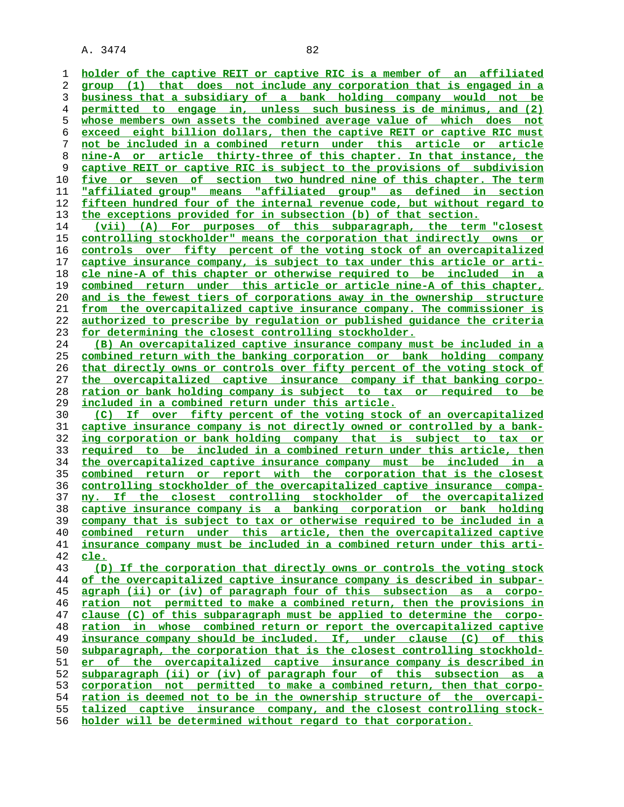**holder of the captive REIT or captive RIC is a member of an affiliated group (1) that does not include any corporation that is engaged in a business that a subsidiary of a bank holding company would not be permitted to engage in, unless such business is de minimus, and (2) whose members own assets the combined average value of which does not exceed eight billion dollars, then the captive REIT or captive RIC must not be included in a combined return under this article or article nine-A or article thirty-three of this chapter. In that instance, the captive REIT or captive RIC is subject to the provisions of subdivision five or seven of section two hundred nine of this chapter. The term "affiliated group" means "affiliated group" as defined in section fifteen hundred four of the internal revenue code, but without regard to the exceptions provided for in subsection (b) of that section.**

**(vii) (A) For purposes of this subparagraph, the term "closest controlling stockholder" means the corporation that indirectly owns or controls over fifty percent of the voting stock of an overcapitalized captive insurance company, is subject to tax under this article or arti- cle nine-A of this chapter or otherwise required to be included in a combined return under this article or article nine-A of this chapter, and is the fewest tiers of corporations away in the ownership structure from the overcapitalized captive insurance company. The commissioner is authorized to prescribe by regulation or published guidance the criteria for determining the closest controlling stockholder.**

**(B) An overcapitalized captive insurance company must be included in a combined return with the banking corporation or bank holding company that directly owns or controls over fifty percent of the voting stock of the overcapitalized captive insurance company if that banking corpo- ration or bank holding company is subject to tax or required to be included in a combined return under this article.**

**(C) If over fifty percent of the voting stock of an overcapitalized captive insurance company is not directly owned or controlled by a bank- ing corporation or bank holding company that is subject to tax or required to be included in a combined return under this article, then the overcapitalized captive insurance company must be included in a combined return or report with the corporation that is the closest controlling stockholder of the overcapitalized captive insurance compa- ny. If the closest controlling stockholder of the overcapitalized captive insurance company is a banking corporation or bank holding company that is subject to tax or otherwise required to be included in a combined return under this article, then the overcapitalized captive insurance company must be included in a combined return under this arti- cle.**

**(D) If the corporation that directly owns or controls the voting stock of the overcapitalized captive insurance company is described in subpar- agraph (ii) or (iv) of paragraph four of this subsection as a corpo- ration not permitted to make a combined return, then the provisions in clause (C) of this subparagraph must be applied to determine the corpo- ration in whose combined return or report the overcapitalized captive insurance company should be included. If, under clause (C) of this subparagraph, the corporation that is the closest controlling stockhold- er of the overcapitalized captive insurance company is described in subparagraph (ii) or (iv) of paragraph four of this subsection as a corporation not permitted to make a combined return, then that corpo- ration is deemed not to be in the ownership structure of the overcapi- talized captive insurance company, and the closest controlling stock- holder will be determined without regard to that corporation.**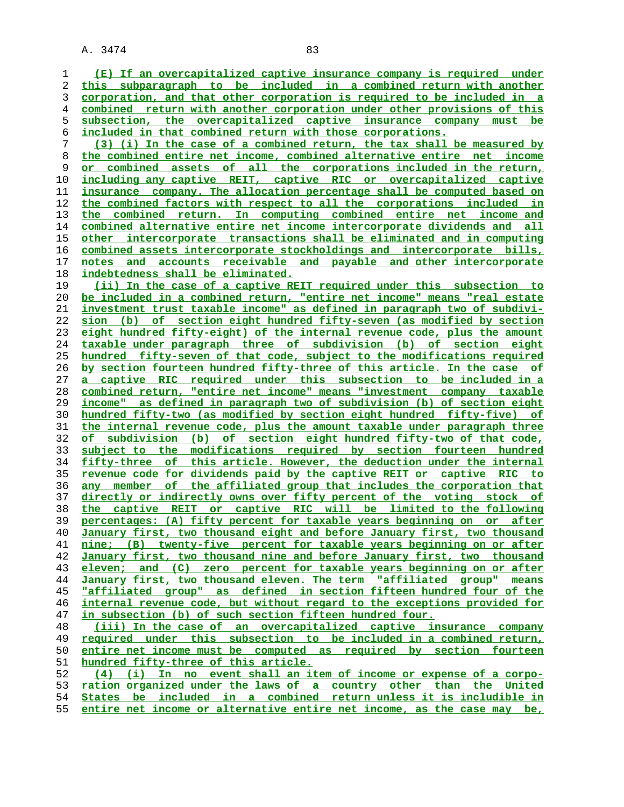**(E) If an overcapitalized captive insurance company is required under this subparagraph to be included in a combined return with another corporation, and that other corporation is required to be included in a combined return with another corporation under other provisions of this subsection, the overcapitalized captive insurance company must be included in that combined return with those corporations. (3) (i) In the case of a combined return, the tax shall be measured by the combined entire net income, combined alternative entire net income or combined assets of all the corporations included in the return, including any captive REIT, captive RIC or overcapitalized captive insurance company. The allocation percentage shall be computed based on the combined factors with respect to all the corporations included in the combined return. In computing combined entire net income and combined alternative entire net income intercorporate dividends and all other intercorporate transactions shall be eliminated and in computing combined assets intercorporate stockholdings and intercorporate bills, notes and accounts receivable and payable and other intercorporate indebtedness shall be eliminated. (ii) In the case of a captive REIT required under this subsection to be included in a combined return, "entire net income" means "real estate investment trust taxable income" as defined in paragraph two of subdivi- sion (b) of section eight hundred fifty-seven (as modified by section eight hundred fifty-eight) of the internal revenue code, plus the amount taxable under paragraph three of subdivision (b) of section eight hundred fifty-seven of that code, subject to the modifications required by section fourteen hundred fifty-three of this article. In the case of a captive RIC required under this subsection to be included in a combined return, "entire net income" means "investment company taxable income" as defined in paragraph two of subdivision (b) of section eight hundred fifty-two (as modified by section eight hundred fifty-five) of the internal revenue code, plus the amount taxable under paragraph three of subdivision (b) of section eight hundred fifty-two of that code, subject to the modifications required by section fourteen hundred fifty-three of this article. However, the deduction under the internal revenue code for dividends paid by the captive REIT or captive RIC to any member of the affiliated group that includes the corporation that directly or indirectly owns over fifty percent of the voting stock of the captive REIT or captive RIC will be limited to the following percentages: (A) fifty percent for taxable years beginning on or after January first, two thousand eight and before January first, two thousand nine; (B) twenty-five percent for taxable years beginning on or after January first, two thousand nine and before January first, two thousand eleven; and (C) zero percent for taxable years beginning on or after January first, two thousand eleven. The term "affiliated group" means "affiliated group" as defined in section fifteen hundred four of the internal revenue code, but without regard to the exceptions provided for in subsection (b) of such section fifteen hundred four. (iii) In the case of an overcapitalized captive insurance company required under this subsection to be included in a combined return, entire net income must be computed as required by section fourteen hundred fifty-three of this article. (4) (i) In no event shall an item of income or expense of a corpo- ration organized under the laws of a country other than the United States be included in a combined return unless it is includible in**

**entire net income or alternative entire net income, as the case may be,**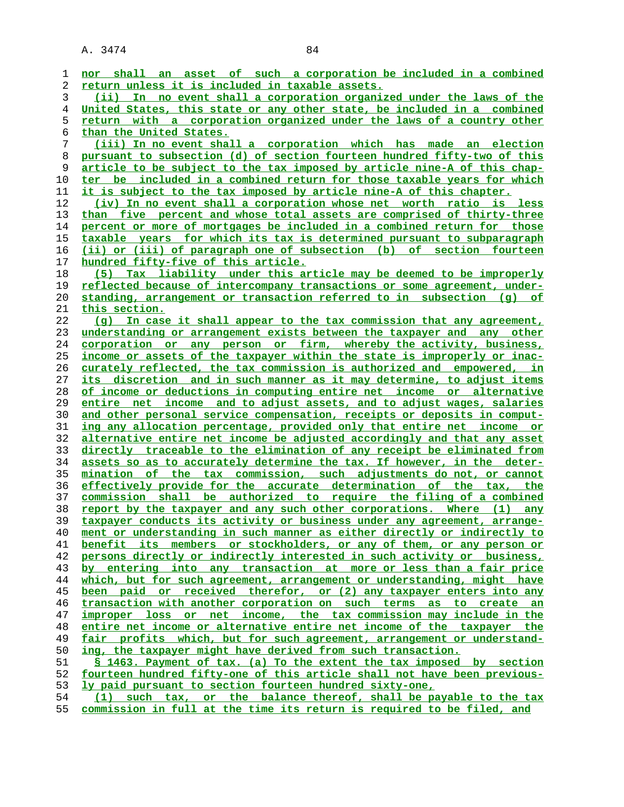| 1  | nor shall an asset of such a corporation be included in a combined              |
|----|---------------------------------------------------------------------------------|
| 2  | return unless it is included in taxable assets.                                 |
| 3  | (ii) In no event shall a corporation organized under the laws of the            |
| 4  | United States, this state or any other state, be included in a combined         |
| 5  | return with a corporation organized under the laws of a country other           |
| 6  | than the United States.                                                         |
| 7  | (iii) In no event shall a corporation which has made an election                |
| 8  | pursuant to subsection (d) of section fourteen hundred fifty-two of this        |
| 9  | article to be subject to the tax imposed by article nine-A of this chap-        |
| 10 | ter be included in a combined return for those taxable years for which          |
| 11 | <u>it is subject to the tax imposed by article nine-A of this chapter.</u>      |
| 12 | (iv) In no event shall a corporation whose net worth ratio is less              |
| 13 | than five percent and whose total assets are comprised of thirty-three          |
| 14 | percent or more of mortgages be included in a combined return for those         |
| 15 | taxable years for which its tax is determined pursuant to subparagraph          |
| 16 | (ii) or (iii) of paragraph one of subsection (b) of section fourteen            |
| 17 | hundred fifty-five of this article.                                             |
| 18 | Tax liability under this article may be deemed to be improperly<br>(5)          |
| 19 | reflected because of intercompany transactions or some agreement, under-        |
| 20 | standing, arrangement or transaction referred to in subsection (g) of           |
| 21 | this section.                                                                   |
| 22 | (q) In case it shall appear to the tax commission that any agreement,           |
| 23 | understanding or arrangement exists between the taxpayer and any other          |
| 24 | corporation or any person or firm, whereby the activity, business,              |
| 25 | income or assets of the taxpayer within the state is improperly or inac-        |
| 26 | curately reflected, the tax commission is authorized and empowered, in          |
| 27 | <u>its discretion and in such manner as it may determine, to adjust items</u>   |
| 28 | of income or deductions in computing entire net income or alternative           |
| 29 | entire net income and to adjust assets, and to adjust wages, salaries           |
| 30 | and other personal service compensation, receipts or deposits in comput-        |
| 31 | ing any allocation percentage, provided only that entire net income or          |
| 32 | <u>alternative entire net income be adjusted accordingly and that any asset</u> |
| 33 | directly traceable to the elimination of any receipt be eliminated from         |
| 34 | assets so as to accurately determine the tax. If however, in the deter-         |
| 35 | mination of the tax commission, such adjustments do not, or cannot              |
| 36 | effectively provide for the accurate determination of the tax, the              |
| 37 | commission shall be authorized to require the filing of a combined              |
| 38 | <u>report by the taxpayer and any such other corporations. Where (1)</u><br>any |
| 39 | taxpayer conducts its activity or business under any agreement, arrange-        |
| 40 | ment or understanding in such manner as either directly or indirectly to        |
| 41 | benefit its members or stockholders, or any of them, or any person or           |
| 42 | persons directly or indirectly interested in such activity or business,         |
| 43 | by entering into any transaction at more or less than a fair price              |
| 44 | which, but for such agreement, arrangement or understanding, might have         |
| 45 | been paid or received therefor, or (2) any taxpayer enters into any             |
| 46 | transaction with another corporation on such terms as to create an              |
| 47 | improper loss or net income, the tax commission may include in the              |
| 48 | entire net income or alternative entire net income of the taxpayer the          |
| 49 | fair profits which, but for such agreement, arrangement or understand-          |
| 50 | ing, the taxpayer might have derived from such transaction.                     |
| 51 | \$ 1463. Payment of tax. (a) To the extent the tax imposed by section           |
| 52 | fourteen hundred fifty-one of this article shall not have been previous-        |
| 53 | ly paid pursuant to section fourteen hundred sixty-one,                         |
| 54 | such tax, or the balance thereof, shall be payable to the tax<br>(1)            |
|    |                                                                                 |

**commission in full at the time its return is required to be filed, and**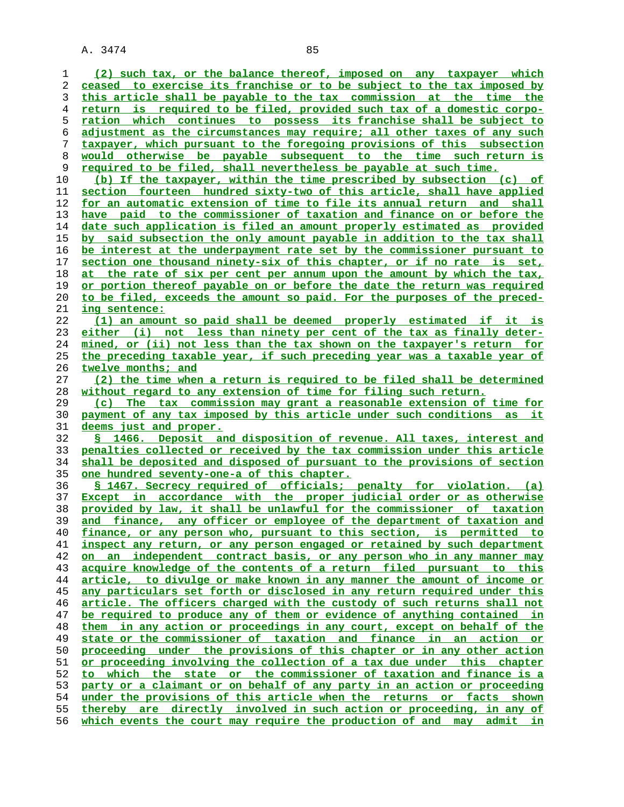**(2) such tax, or the balance thereof, imposed on any taxpayer which ceased to exercise its franchise or to be subject to the tax imposed by this article shall be payable to the tax commission at the time the return is required to be filed, provided such tax of a domestic corpo- ration which continues to possess its franchise shall be subject to adjustment as the circumstances may require; all other taxes of any such taxpayer, which pursuant to the foregoing provisions of this subsection would otherwise be payable subsequent to the time such return is required to be filed, shall nevertheless be payable at such time. (b) If the taxpayer, within the time prescribed by subsection (c) of section fourteen hundred sixty-two of this article, shall have applied for an automatic extension of time to file its annual return and shall have paid to the commissioner of taxation and finance on or before the date such application is filed an amount properly estimated as provided by said subsection the only amount payable in addition to the tax shall be interest at the underpayment rate set by the commissioner pursuant to section one thousand ninety-six of this chapter, or if no rate is set, at the rate of six per cent per annum upon the amount by which the tax, or portion thereof payable on or before the date the return was required to be filed, exceeds the amount so paid. For the purposes of the preced- ing sentence: (1) an amount so paid shall be deemed properly estimated if it is either (i) not less than ninety per cent of the tax as finally deter- mined, or (ii) not less than the tax shown on the taxpayer's return for the preceding taxable year, if such preceding year was a taxable year of twelve months; and (2) the time when a return is required to be filed shall be determined without regard to any extension of time for filing such return. (c) The tax commission may grant a reasonable extension of time for payment of any tax imposed by this article under such conditions as it deems just and proper. § 1466. Deposit and disposition of revenue. All taxes, interest and penalties collected or received by the tax commission under this article shall be deposited and disposed of pursuant to the provisions of section one hundred seventy-one-a of this chapter. § 1467. Secrecy required of officials; penalty for violation. (a) Except in accordance with the proper judicial order or as otherwise provided by law, it shall be unlawful for the commissioner of taxation and finance, any officer or employee of the department of taxation and finance, or any person who, pursuant to this section, is permitted to inspect any return, or any person engaged or retained by such department on an independent contract basis, or any person who in any manner may acquire knowledge of the contents of a return filed pursuant to this article, to divulge or make known in any manner the amount of income or any particulars set forth or disclosed in any return required under this article. The officers charged with the custody of such returns shall not be required to produce any of them or evidence of anything contained in them in any action or proceedings in any court, except on behalf of the state or the commissioner of taxation and finance in an action or proceeding under the provisions of this chapter or in any other action or proceeding involving the collection of a tax due under this chapter to which the state or the commissioner of taxation and finance is a party or a claimant or on behalf of any party in an action or proceeding under the provisions of this article when the returns or facts shown thereby are directly involved in such action or proceeding, in any of which events the court may require the production of and may admit in**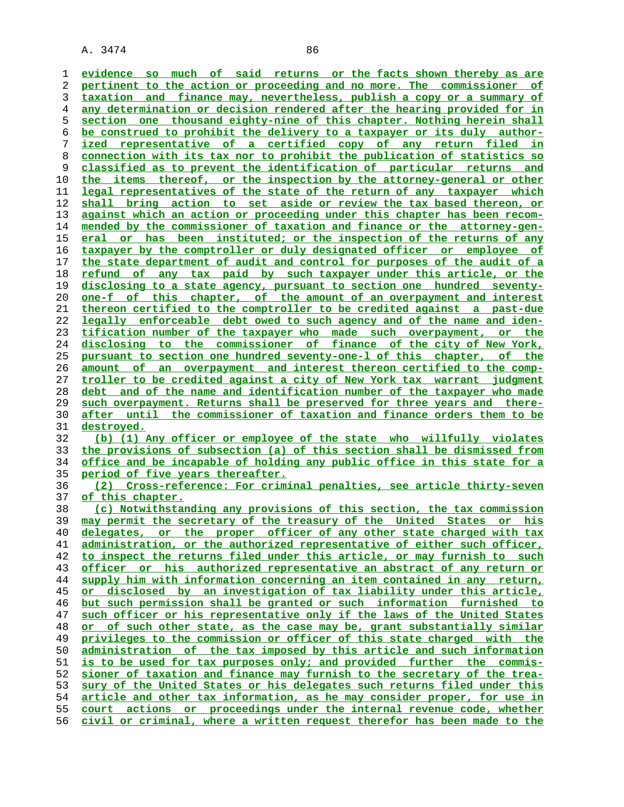**evidence so much of said returns or the facts shown thereby as are pertinent to the action or proceeding and no more. The commissioner of taxation and finance may, nevertheless, publish a copy or a summary of any determination or decision rendered after the hearing provided for in section one thousand eighty-nine of this chapter. Nothing herein shall be construed to prohibit the delivery to a taxpayer or its duly author- ized representative of a certified copy of any return filed in connection with its tax nor to prohibit the publication of statistics so classified as to prevent the identification of particular returns and the items thereof, or the inspection by the attorney-general or other legal representatives of the state of the return of any taxpayer which shall bring action to set aside or review the tax based thereon, or against which an action or proceeding under this chapter has been recom- mended by the commissioner of taxation and finance or the attorney-gen- eral or has been instituted; or the inspection of the returns of any taxpayer by the comptroller or duly designated officer or employee of the state department of audit and control for purposes of the audit of a refund of any tax paid by such taxpayer under this article, or the disclosing to a state agency, pursuant to section one hundred seventy- one-f of this chapter, of the amount of an overpayment and interest thereon certified to the comptroller to be credited against a past-due legally enforceable debt owed to such agency and of the name and iden- tification number of the taxpayer who made such overpayment, or the disclosing to the commissioner of finance of the city of New York, pursuant to section one hundred seventy-one-l of this chapter, of the amount of an overpayment and interest thereon certified to the comp- troller to be credited against a city of New York tax warrant judgment debt and of the name and identification number of the taxpayer who made such overpayment. Returns shall be preserved for three years and there- after until the commissioner of taxation and finance orders them to be destroyed. (b) (1) Any officer or employee of the state who willfully violates the provisions of subsection (a) of this section shall be dismissed from office and be incapable of holding any public office in this state for a period of five years thereafter. (2) Cross-reference: For criminal penalties, see article thirty-seven of this chapter. (c) Notwithstanding any provisions of this section, the tax commission may permit the secretary of the treasury of the United States or his delegates, or the proper officer of any other state charged with tax administration, or the authorized representative of either such officer, to inspect the returns filed under this article, or may furnish to such**

**officer or his authorized representative an abstract of any return or supply him with information concerning an item contained in any return, or disclosed by an investigation of tax liability under this article, but such permission shall be granted or such information furnished to such officer or his representative only if the laws of the United States or of such other state, as the case may be, grant substantially similar privileges to the commission or officer of this state charged with the administration of the tax imposed by this article and such information is to be used for tax purposes only; and provided further the commis- sioner of taxation and finance may furnish to the secretary of the trea- sury of the United States or his delegates such returns filed under this article and other tax information, as he may consider proper, for use in court actions or proceedings under the internal revenue code, whether civil or criminal, where a written request therefor has been made to the**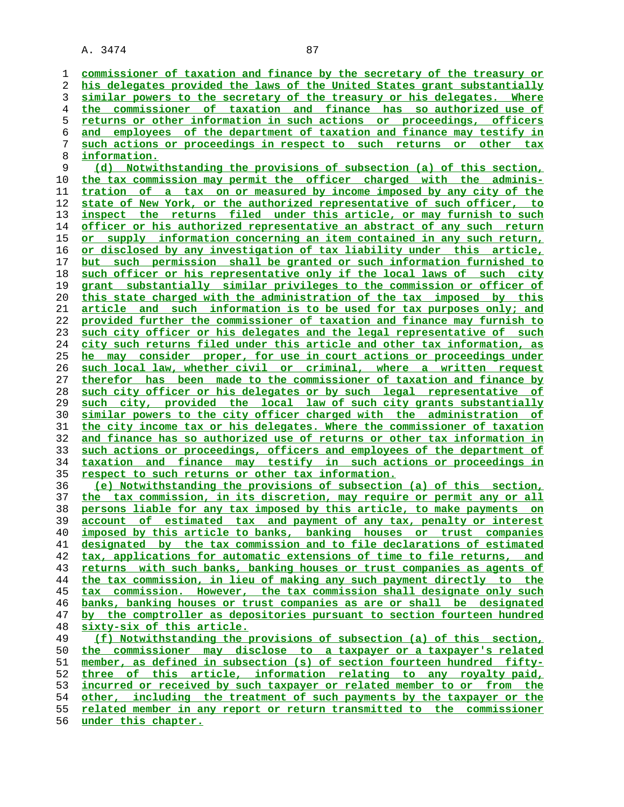**commissioner of taxation and finance by the secretary of the treasury or his delegates provided the laws of the United States grant substantially similar powers to the secretary of the treasury or his delegates. Where the commissioner of taxation and finance has so authorized use of returns or other information in such actions or proceedings, officers and employees of the department of taxation and finance may testify in such actions or proceedings in respect to such returns or other tax information. (d) Notwithstanding the provisions of subsection (a) of this section, the tax commission may permit the officer charged with the adminis- tration of a tax on or measured by income imposed by any city of the state of New York, or the authorized representative of such officer, to inspect the returns filed under this article, or may furnish to such officer or his authorized representative an abstract of any such return or supply information concerning an item contained in any such return, or disclosed by any investigation of tax liability under this article, but such permission shall be granted or such information furnished to such officer or his representative only if the local laws of such city grant substantially similar privileges to the commission or officer of this state charged with the administration of the tax imposed by this article and such information is to be used for tax purposes only; and provided further the commissioner of taxation and finance may furnish to such city officer or his delegates and the legal representative of such city such returns filed under this article and other tax information, as he may consider proper, for use in court actions or proceedings under such local law, whether civil or criminal, where a written request therefor has been made to the commissioner of taxation and finance by such city officer or his delegates or by such legal representative of such city, provided the local law of such city grants substantially similar powers to the city officer charged with the administration of the city income tax or his delegates. Where the commissioner of taxation and finance has so authorized use of returns or other tax information in such actions or proceedings, officers and employees of the department of taxation and finance may testify in such actions or proceedings in respect to such returns or other tax information. (e) Notwithstanding the provisions of subsection (a) of this section, the tax commission, in its discretion, may require or permit any or all persons liable for any tax imposed by this article, to make payments on account of estimated tax and payment of any tax, penalty or interest imposed by this article to banks, banking houses or trust companies designated by the tax commission and to file declarations of estimated tax, applications for automatic extensions of time to file returns, and returns with such banks, banking houses or trust companies as agents of the tax commission, in lieu of making any such payment directly to the tax commission. However, the tax commission shall designate only such banks, banking houses or trust companies as are or shall be designated by the comptroller as depositories pursuant to section fourteen hundred sixty-six of this article. (f) Notwithstanding the provisions of subsection (a) of this section, the commissioner may disclose to a taxpayer or a taxpayer's related member, as defined in subsection (s) of section fourteen hundred fifty- three of this article, information relating to any royalty paid, incurred or received by such taxpayer or related member to or from the other, including the treatment of such payments by the taxpayer or the related member in any report or return transmitted to the commissioner under this chapter.**